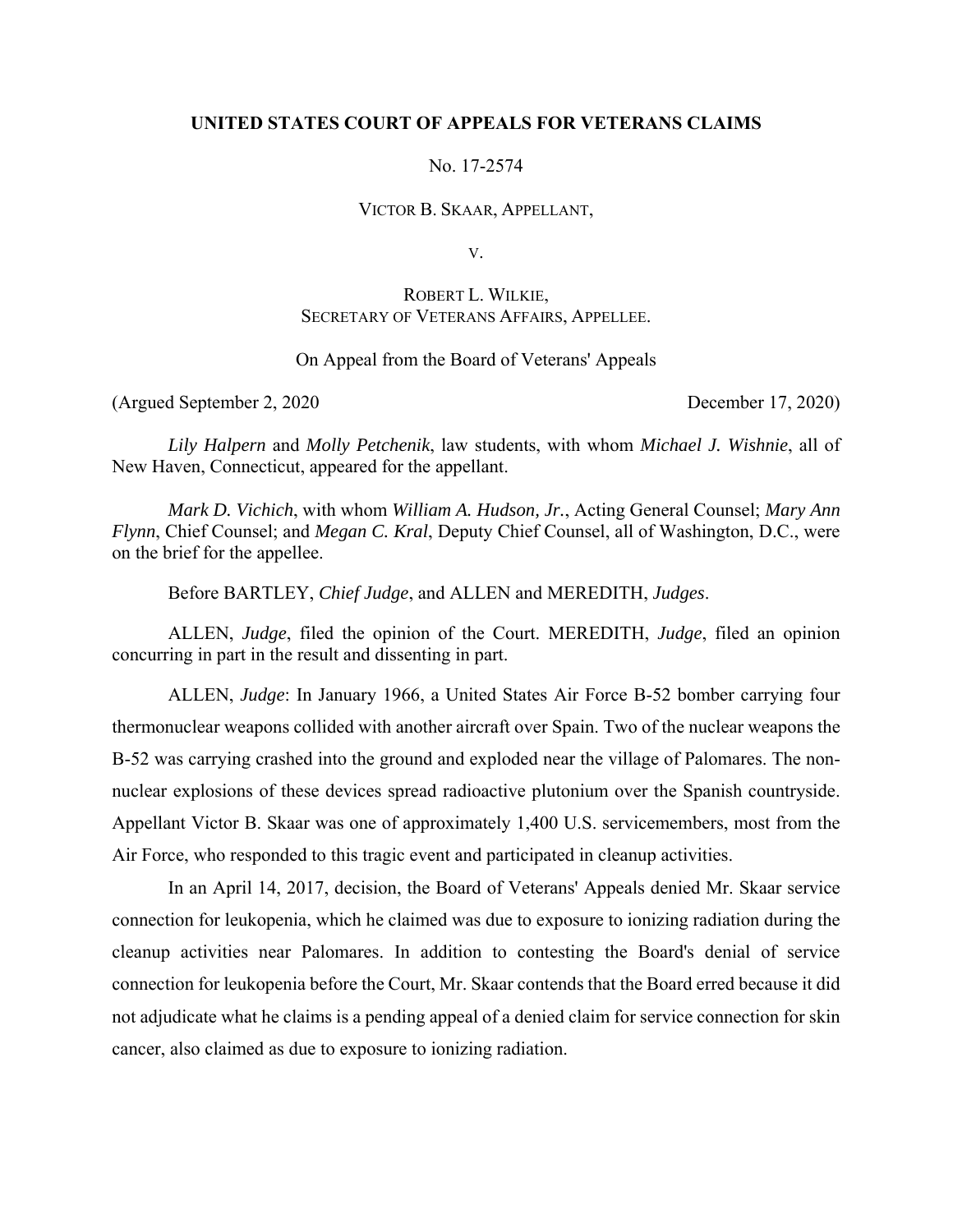## **UNITED STATES COURT OF APPEALS FOR VETERANS CLAIMS**

No. 17-2574

VICTOR B. SKAAR, APPELLANT,

V.

# ROBERT L. WILKIE, SECRETARY OF VETERANS AFFAIRS, APPELLEE.

# On Appeal from the Board of Veterans' Appeals

(Argued September 2, 2020 December 17, 2020)

*Lily Halpern* and *Molly Petchenik*, law students, with whom *Michael J. Wishnie*, all of New Haven, Connecticut, appeared for the appellant.

*Mark D. Vichich*, with whom *William A. Hudson, Jr.*, Acting General Counsel; *Mary Ann Flynn*, Chief Counsel; and *Megan C. Kral*, Deputy Chief Counsel, all of Washington, D.C., were on the brief for the appellee.

Before BARTLEY, *Chief Judge*, and ALLEN and MEREDITH, *Judges*.

ALLEN, *Judge*, filed the opinion of the Court. MEREDITH, *Judge*, filed an opinion concurring in part in the result and dissenting in part.

ALLEN, *Judge*: In January 1966, a United States Air Force B-52 bomber carrying four thermonuclear weapons collided with another aircraft over Spain. Two of the nuclear weapons the B-52 was carrying crashed into the ground and exploded near the village of Palomares. The nonnuclear explosions of these devices spread radioactive plutonium over the Spanish countryside. Appellant Victor B. Skaar was one of approximately 1,400 U.S. servicemembers, most from the Air Force, who responded to this tragic event and participated in cleanup activities.

In an April 14, 2017, decision, the Board of Veterans' Appeals denied Mr. Skaar service connection for leukopenia, which he claimed was due to exposure to ionizing radiation during the cleanup activities near Palomares. In addition to contesting the Board's denial of service connection for leukopenia before the Court, Mr. Skaar contends that the Board erred because it did not adjudicate what he claims is a pending appeal of a denied claim for service connection for skin cancer, also claimed as due to exposure to ionizing radiation.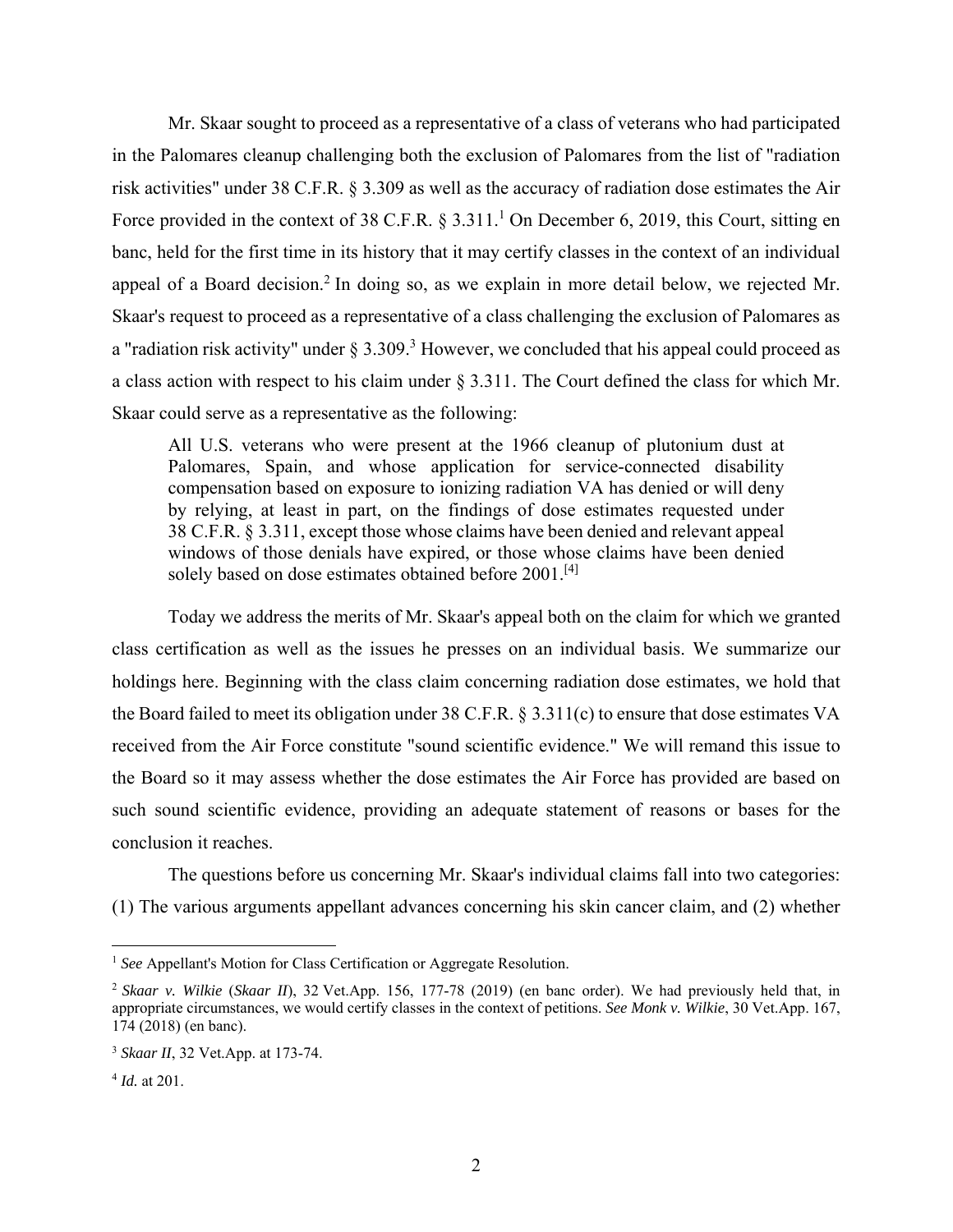Mr. Skaar sought to proceed as a representative of a class of veterans who had participated in the Palomares cleanup challenging both the exclusion of Palomares from the list of "radiation risk activities" under 38 C.F.R. § 3.309 as well as the accuracy of radiation dose estimates the Air Force provided in the context of 38 C.F.R.  $\S 3.311$ .<sup>1</sup> On December 6, 2019, this Court, sitting en banc, held for the first time in its history that it may certify classes in the context of an individual appeal of a Board decision.<sup>2</sup> In doing so, as we explain in more detail below, we rejected Mr. Skaar's request to proceed as a representative of a class challenging the exclusion of Palomares as a "radiation risk activity" under  $\S 3.309$ .<sup>3</sup> However, we concluded that his appeal could proceed as a class action with respect to his claim under § 3.311. The Court defined the class for which Mr. Skaar could serve as a representative as the following:

All U.S. veterans who were present at the 1966 cleanup of plutonium dust at Palomares, Spain, and whose application for service-connected disability compensation based on exposure to ionizing radiation VA has denied or will deny by relying, at least in part, on the findings of dose estimates requested under 38 C.F.R. § 3.311, except those whose claims have been denied and relevant appeal windows of those denials have expired, or those whose claims have been denied solely based on dose estimates obtained before 2001.<sup>[4]</sup>

Today we address the merits of Mr. Skaar's appeal both on the claim for which we granted class certification as well as the issues he presses on an individual basis. We summarize our holdings here. Beginning with the class claim concerning radiation dose estimates, we hold that the Board failed to meet its obligation under 38 C.F.R. § 3.311(c) to ensure that dose estimates VA received from the Air Force constitute "sound scientific evidence." We will remand this issue to the Board so it may assess whether the dose estimates the Air Force has provided are based on such sound scientific evidence, providing an adequate statement of reasons or bases for the conclusion it reaches.

The questions before us concerning Mr. Skaar's individual claims fall into two categories: (1) The various arguments appellant advances concerning his skin cancer claim, and (2) whether

<sup>&</sup>lt;sup>1</sup> See Appellant's Motion for Class Certification or Aggregate Resolution.

<sup>2</sup> *Skaar v. Wilkie* (*Skaar II*), 32 Vet.App. 156, 177-78 (2019) (en banc order). We had previously held that, in appropriate circumstances, we would certify classes in the context of petitions. *See Monk v. Wilkie*, 30 Vet.App. 167, 174 (2018) (en banc).

<sup>3</sup> *Skaar II*, 32 Vet.App. at 173-74.

<sup>4</sup> *Id.* at 201.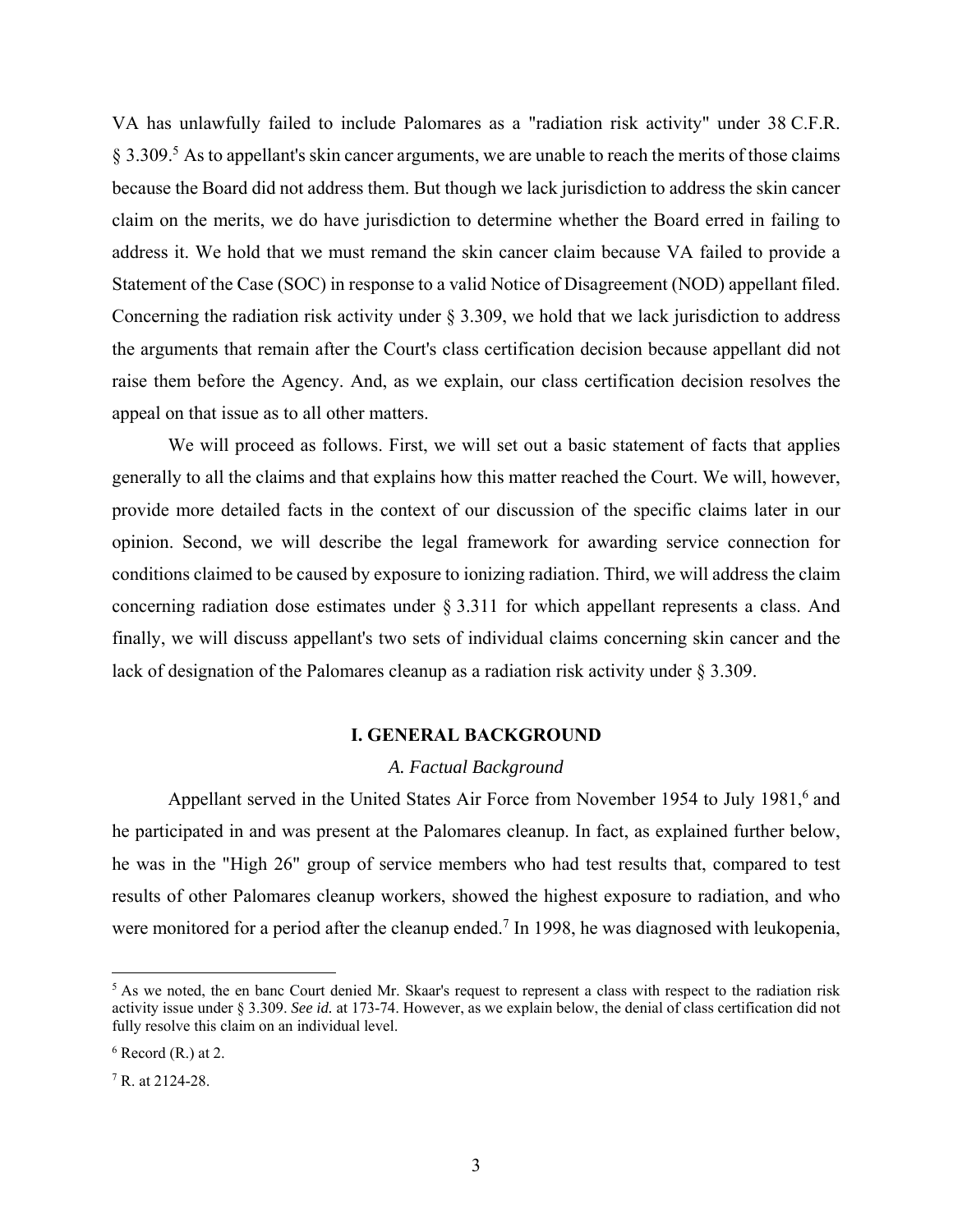VA has unlawfully failed to include Palomares as a "radiation risk activity" under 38 C.F.R. § 3.309.<sup>5</sup> As to appellant's skin cancer arguments, we are unable to reach the merits of those claims because the Board did not address them. But though we lack jurisdiction to address the skin cancer claim on the merits, we do have jurisdiction to determine whether the Board erred in failing to address it. We hold that we must remand the skin cancer claim because VA failed to provide a Statement of the Case (SOC) in response to a valid Notice of Disagreement (NOD) appellant filed. Concerning the radiation risk activity under § 3.309, we hold that we lack jurisdiction to address the arguments that remain after the Court's class certification decision because appellant did not raise them before the Agency. And, as we explain, our class certification decision resolves the appeal on that issue as to all other matters.

We will proceed as follows. First, we will set out a basic statement of facts that applies generally to all the claims and that explains how this matter reached the Court. We will, however, provide more detailed facts in the context of our discussion of the specific claims later in our opinion. Second, we will describe the legal framework for awarding service connection for conditions claimed to be caused by exposure to ionizing radiation. Third, we will address the claim concerning radiation dose estimates under § 3.311 for which appellant represents a class. And finally, we will discuss appellant's two sets of individual claims concerning skin cancer and the lack of designation of the Palomares cleanup as a radiation risk activity under § 3.309.

#### **I. GENERAL BACKGROUND**

#### *A. Factual Background*

Appellant served in the United States Air Force from November 1954 to July 1981,<sup>6</sup> and he participated in and was present at the Palomares cleanup. In fact, as explained further below, he was in the "High 26" group of service members who had test results that, compared to test results of other Palomares cleanup workers, showed the highest exposure to radiation, and who were monitored for a period after the cleanup ended.<sup>7</sup> In 1998, he was diagnosed with leukopenia,

<sup>&</sup>lt;sup>5</sup> As we noted, the en banc Court denied Mr. Skaar's request to represent a class with respect to the radiation risk activity issue under § 3.309. *See id.* at 173-74. However, as we explain below, the denial of class certification did not fully resolve this claim on an individual level.

 $6$  Record (R.) at 2.

<sup>7</sup> R. at 2124-28.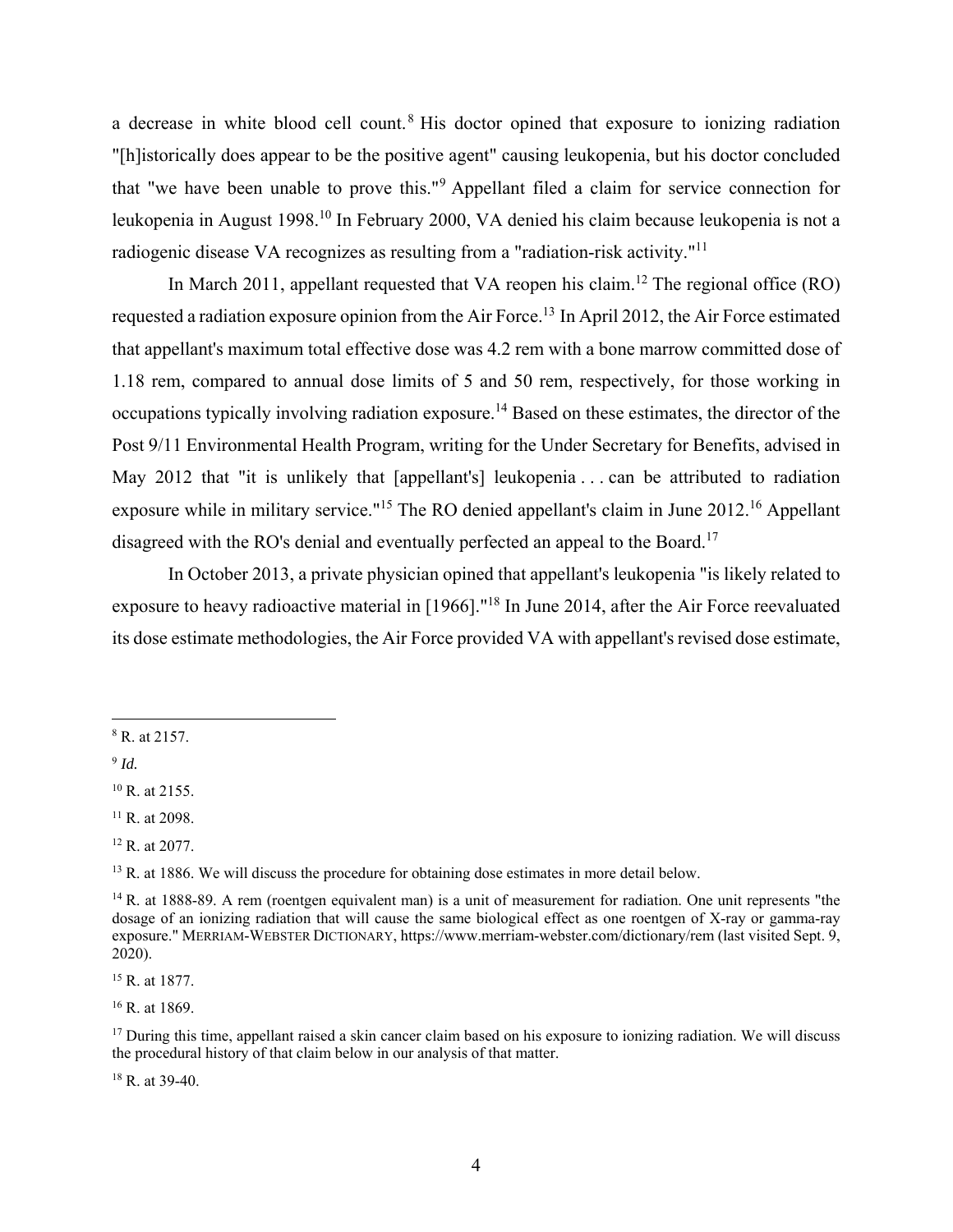a decrease in white blood cell count.<sup>8</sup> His doctor opined that exposure to ionizing radiation "[h]istorically does appear to be the positive agent" causing leukopenia, but his doctor concluded that "we have been unable to prove this."9 Appellant filed a claim for service connection for leukopenia in August 1998.<sup>10</sup> In February 2000, VA denied his claim because leukopenia is not a radiogenic disease VA recognizes as resulting from a "radiation-risk activity."11

In March 2011, appellant requested that VA reopen his claim.<sup>12</sup> The regional office (RO) requested a radiation exposure opinion from the Air Force.13 In April 2012, the Air Force estimated that appellant's maximum total effective dose was 4.2 rem with a bone marrow committed dose of 1.18 rem, compared to annual dose limits of 5 and 50 rem, respectively, for those working in occupations typically involving radiation exposure.14 Based on these estimates, the director of the Post 9/11 Environmental Health Program, writing for the Under Secretary for Benefits, advised in May 2012 that "it is unlikely that [appellant's] leukopenia . . . can be attributed to radiation exposure while in military service."15 The RO denied appellant's claim in June 2012.16 Appellant disagreed with the RO's denial and eventually perfected an appeal to the Board.<sup>17</sup>

 In October 2013, a private physician opined that appellant's leukopenia "is likely related to exposure to heavy radioactive material in [1966]."18 In June 2014, after the Air Force reevaluated its dose estimate methodologies, the Air Force provided VA with appellant's revised dose estimate,

1

15 R. at 1877.

16 R. at 1869.

18 R. at 39-40.

<sup>8</sup> R. at 2157.

<sup>9</sup> *Id.*

 $10$  R. at 2155.

 $11$  R. at 2098.

<sup>12</sup> R. at 2077.

<sup>&</sup>lt;sup>13</sup> R. at 1886. We will discuss the procedure for obtaining dose estimates in more detail below.

<sup>&</sup>lt;sup>14</sup> R. at 1888-89. A rem (roentgen equivalent man) is a unit of measurement for radiation. One unit represents "the dosage of an ionizing radiation that will cause the same biological effect as one roentgen of X-ray or gamma-ray exposure." MERRIAM-WEBSTER DICTIONARY, https://www.merriam-webster.com/dictionary/rem (last visited Sept. 9, 2020).

 $17$  During this time, appellant raised a skin cancer claim based on his exposure to ionizing radiation. We will discuss the procedural history of that claim below in our analysis of that matter.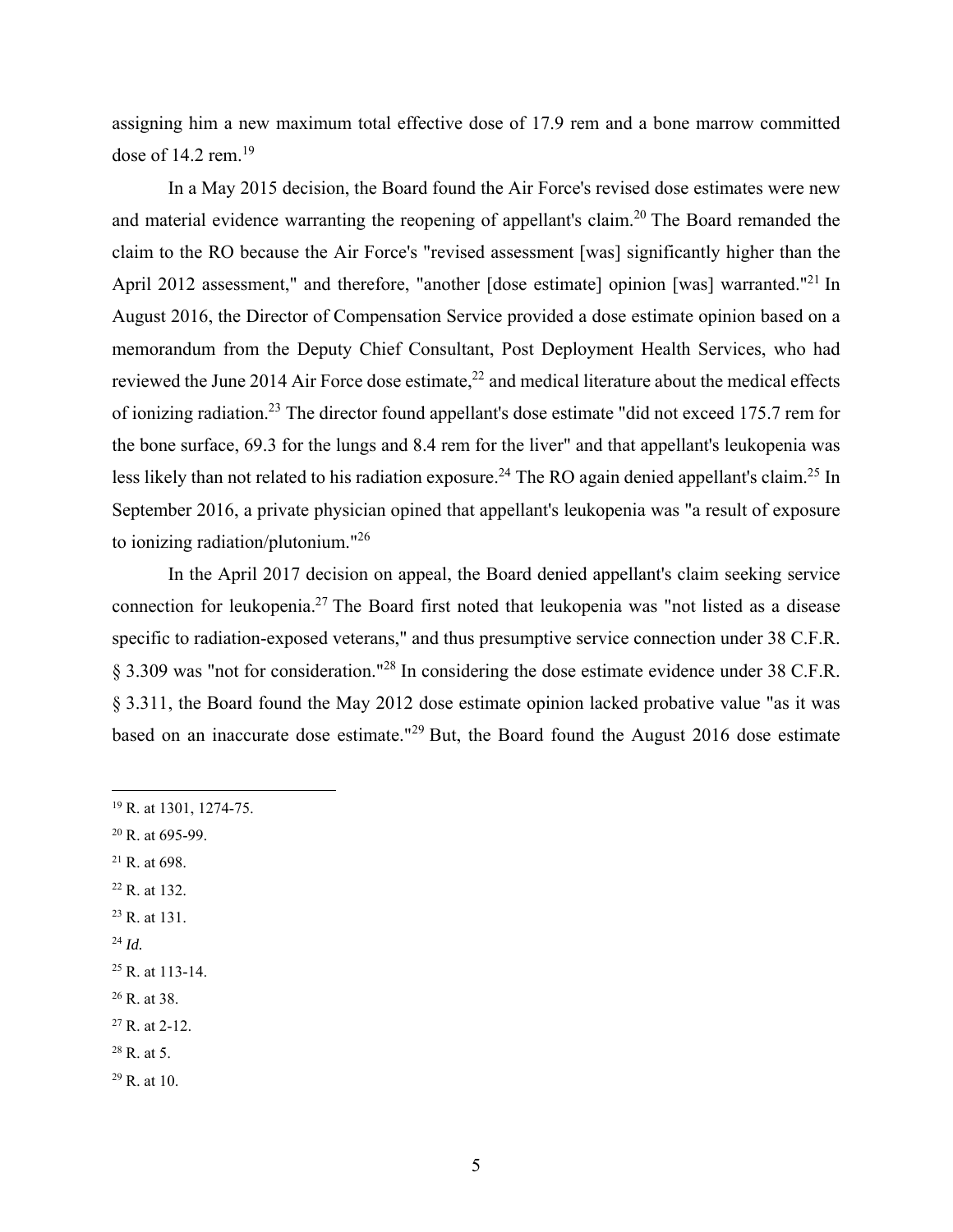assigning him a new maximum total effective dose of 17.9 rem and a bone marrow committed dose of  $14.2$  rem.<sup>19</sup>

 In a May 2015 decision, the Board found the Air Force's revised dose estimates were new and material evidence warranting the reopening of appellant's claim.20 The Board remanded the claim to the RO because the Air Force's "revised assessment [was] significantly higher than the April 2012 assessment," and therefore, "another [dose estimate] opinion [was] warranted."<sup>21</sup> In August 2016, the Director of Compensation Service provided a dose estimate opinion based on a memorandum from the Deputy Chief Consultant, Post Deployment Health Services, who had reviewed the June 2014 Air Force dose estimate, $^{22}$  and medical literature about the medical effects of ionizing radiation.23 The director found appellant's dose estimate "did not exceed 175.7 rem for the bone surface, 69.3 for the lungs and 8.4 rem for the liver" and that appellant's leukopenia was less likely than not related to his radiation exposure.<sup>24</sup> The RO again denied appellant's claim.<sup>25</sup> In September 2016, a private physician opined that appellant's leukopenia was "a result of exposure to ionizing radiation/plutonium."<sup>26</sup>

 In the April 2017 decision on appeal, the Board denied appellant's claim seeking service connection for leukopenia.27 The Board first noted that leukopenia was "not listed as a disease specific to radiation-exposed veterans," and thus presumptive service connection under 38 C.F.R. § 3.309 was "not for consideration."28 In considering the dose estimate evidence under 38 C.F.R. § 3.311, the Board found the May 2012 dose estimate opinion lacked probative value "as it was based on an inaccurate dose estimate."29 But, the Board found the August 2016 dose estimate

- $20$  R. at 695-99.
- $21$  R. at 698.
- 22 R. at 132.
- 23 R. at 131.
- <sup>24</sup> *Id.*

- $25$  R. at 113-14.
- 26 R. at 38.
- 27 R. at 2-12.
- $28$  R. at 5.
- $29$  R. at 10.

<sup>19</sup> R. at 1301, 1274-75.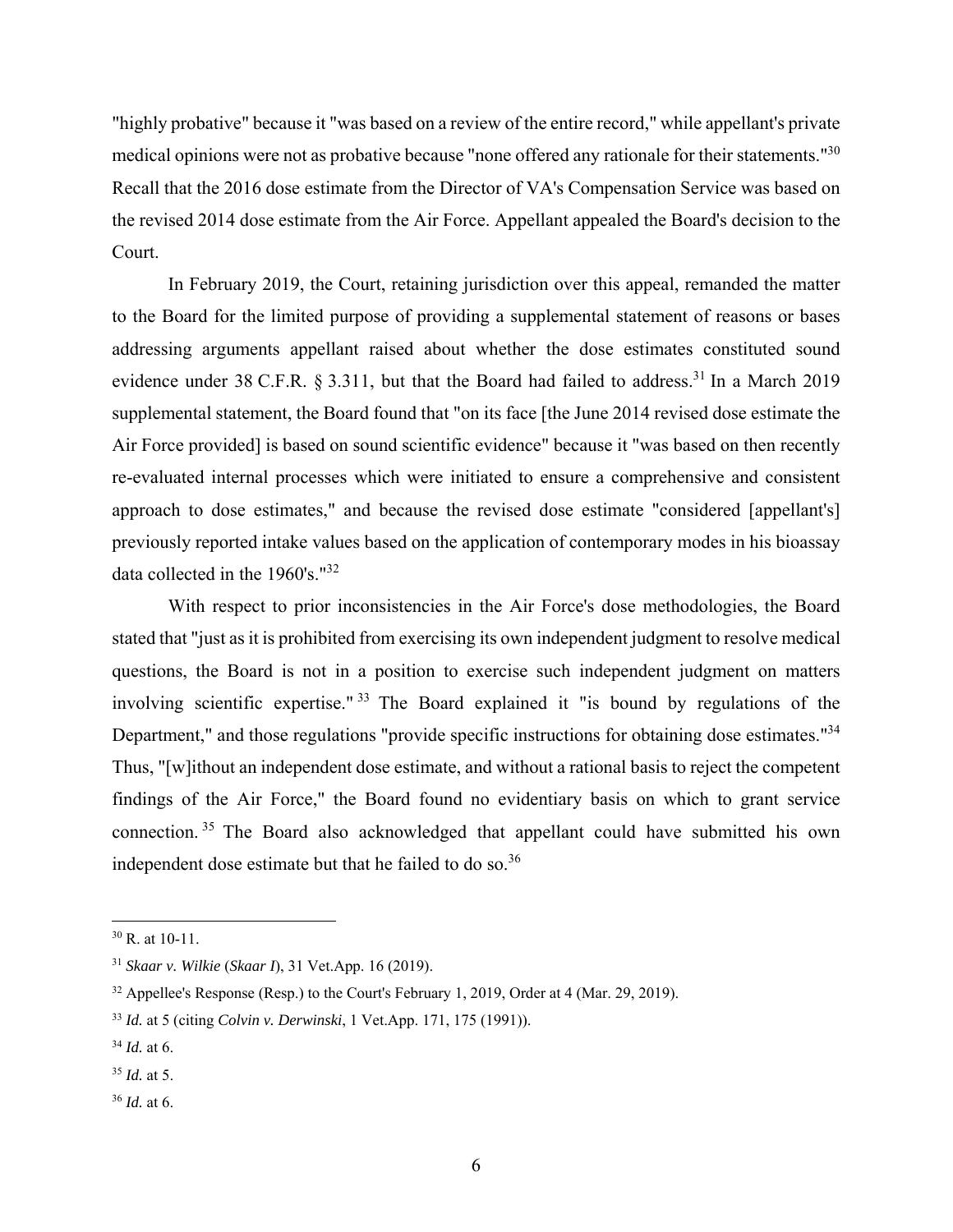"highly probative" because it "was based on a review of the entire record," while appellant's private medical opinions were not as probative because "none offered any rationale for their statements."30 Recall that the 2016 dose estimate from the Director of VA's Compensation Service was based on the revised 2014 dose estimate from the Air Force. Appellant appealed the Board's decision to the Court.

 In February 2019, the Court, retaining jurisdiction over this appeal, remanded the matter to the Board for the limited purpose of providing a supplemental statement of reasons or bases addressing arguments appellant raised about whether the dose estimates constituted sound evidence under 38 C.F.R. § 3.311, but that the Board had failed to address.<sup>31</sup> In a March 2019 supplemental statement, the Board found that "on its face [the June 2014 revised dose estimate the Air Force provided] is based on sound scientific evidence" because it "was based on then recently re-evaluated internal processes which were initiated to ensure a comprehensive and consistent approach to dose estimates," and because the revised dose estimate "considered [appellant's] previously reported intake values based on the application of contemporary modes in his bioassay data collected in the 1960's."32

 With respect to prior inconsistencies in the Air Force's dose methodologies, the Board stated that "just as it is prohibited from exercising its own independent judgment to resolve medical questions, the Board is not in a position to exercise such independent judgment on matters involving scientific expertise." 33 The Board explained it "is bound by regulations of the Department," and those regulations "provide specific instructions for obtaining dose estimates."<sup>34</sup> Thus, "[w]ithout an independent dose estimate, and without a rational basis to reject the competent findings of the Air Force," the Board found no evidentiary basis on which to grant service connection. 35 The Board also acknowledged that appellant could have submitted his own independent dose estimate but that he failed to do so.<sup>36</sup>

<sup>30</sup> R. at 10-11.

<sup>31</sup> *Skaar v. Wilkie* (*Skaar I*), 31 Vet.App. 16 (2019).

<sup>&</sup>lt;sup>32</sup> Appellee's Response (Resp.) to the Court's February 1, 2019, Order at 4 (Mar. 29, 2019).

<sup>33</sup> *Id.* at 5 (citing *Colvin v. Derwinski*, 1 Vet.App. 171, 175 (1991)).

<sup>34</sup> *Id.* at 6.

<sup>35</sup> *Id.* at 5.

<sup>36</sup> *Id.* at 6.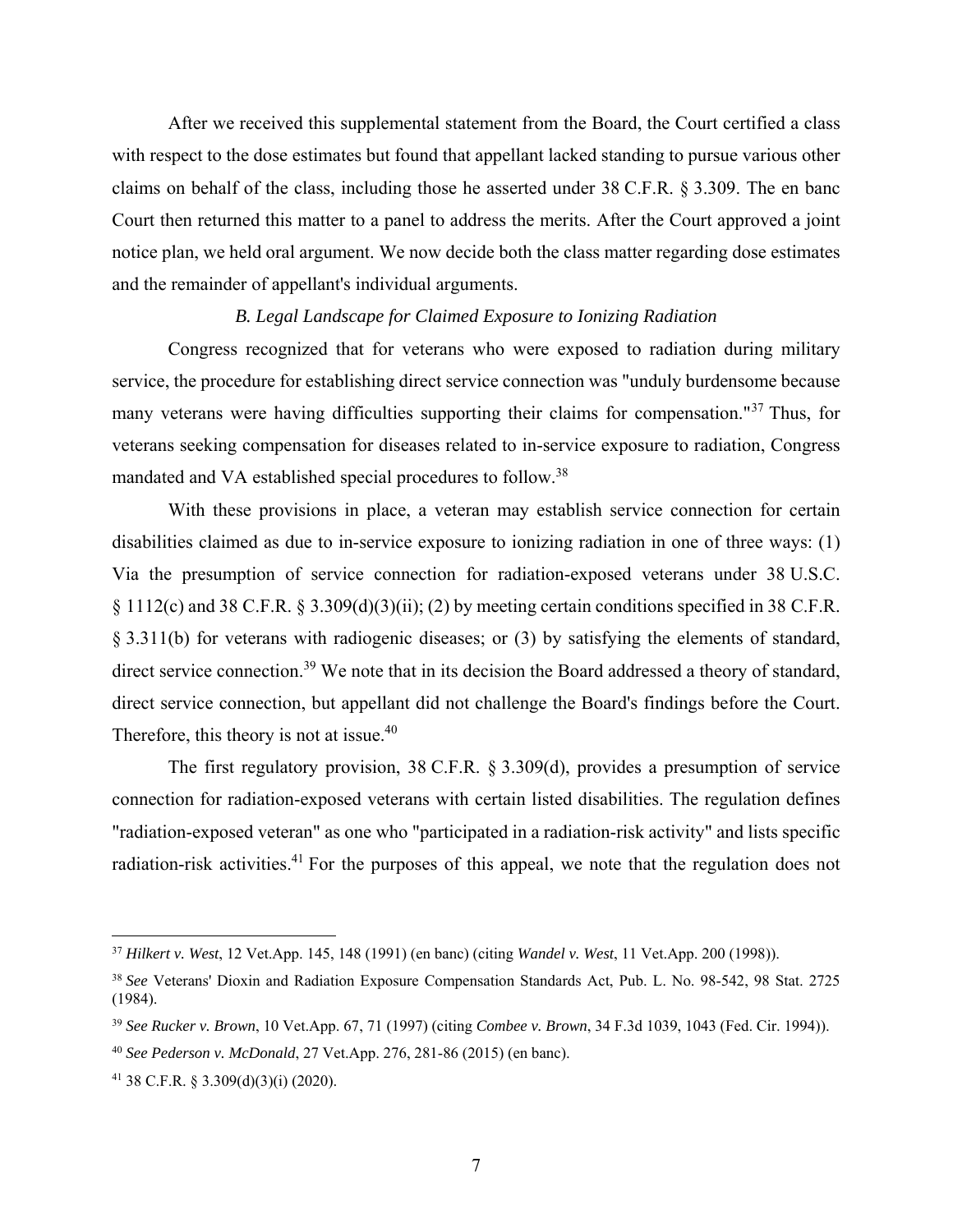After we received this supplemental statement from the Board, the Court certified a class with respect to the dose estimates but found that appellant lacked standing to pursue various other claims on behalf of the class, including those he asserted under 38 C.F.R. § 3.309. The en banc Court then returned this matter to a panel to address the merits. After the Court approved a joint notice plan, we held oral argument. We now decide both the class matter regarding dose estimates and the remainder of appellant's individual arguments.

# *B. Legal Landscape for Claimed Exposure to Ionizing Radiation*

Congress recognized that for veterans who were exposed to radiation during military service, the procedure for establishing direct service connection was "unduly burdensome because many veterans were having difficulties supporting their claims for compensation."37 Thus, for veterans seeking compensation for diseases related to in-service exposure to radiation, Congress mandated and VA established special procedures to follow.38

With these provisions in place, a veteran may establish service connection for certain disabilities claimed as due to in-service exposure to ionizing radiation in one of three ways: (1) Via the presumption of service connection for radiation-exposed veterans under 38 U.S.C. § 1112(c) and 38 C.F.R. § 3.309(d)(3)(ii); (2) by meeting certain conditions specified in 38 C.F.R. § 3.311(b) for veterans with radiogenic diseases; or (3) by satisfying the elements of standard, direct service connection.<sup>39</sup> We note that in its decision the Board addressed a theory of standard, direct service connection, but appellant did not challenge the Board's findings before the Court. Therefore, this theory is not at issue.<sup>40</sup>

The first regulatory provision, 38 C.F.R. § 3.309(d), provides a presumption of service connection for radiation-exposed veterans with certain listed disabilities. The regulation defines "radiation-exposed veteran" as one who "participated in a radiation-risk activity" and lists specific radiation-risk activities.<sup>41</sup> For the purposes of this appeal, we note that the regulation does not

1

<sup>37</sup> *Hilkert v. West*, 12 Vet.App. 145, 148 (1991) (en banc) (citing *Wandel v. West*, 11 Vet.App. 200 (1998)).

<sup>38</sup> *See* Veterans' Dioxin and Radiation Exposure Compensation Standards Act, Pub. L. No. 98-542, 98 Stat. 2725 (1984).

<sup>39</sup> *See Rucker v. Brown*, 10 Vet.App. 67, 71 (1997) (citing *Combee v. Brown*, 34 F.3d 1039, 1043 (Fed. Cir. 1994)).

<sup>40</sup> *See Pederson v. McDonald*, 27 Vet.App. 276, 281-86 (2015) (en banc).

<sup>41 38</sup> C.F.R. § 3.309(d)(3)(i) (2020).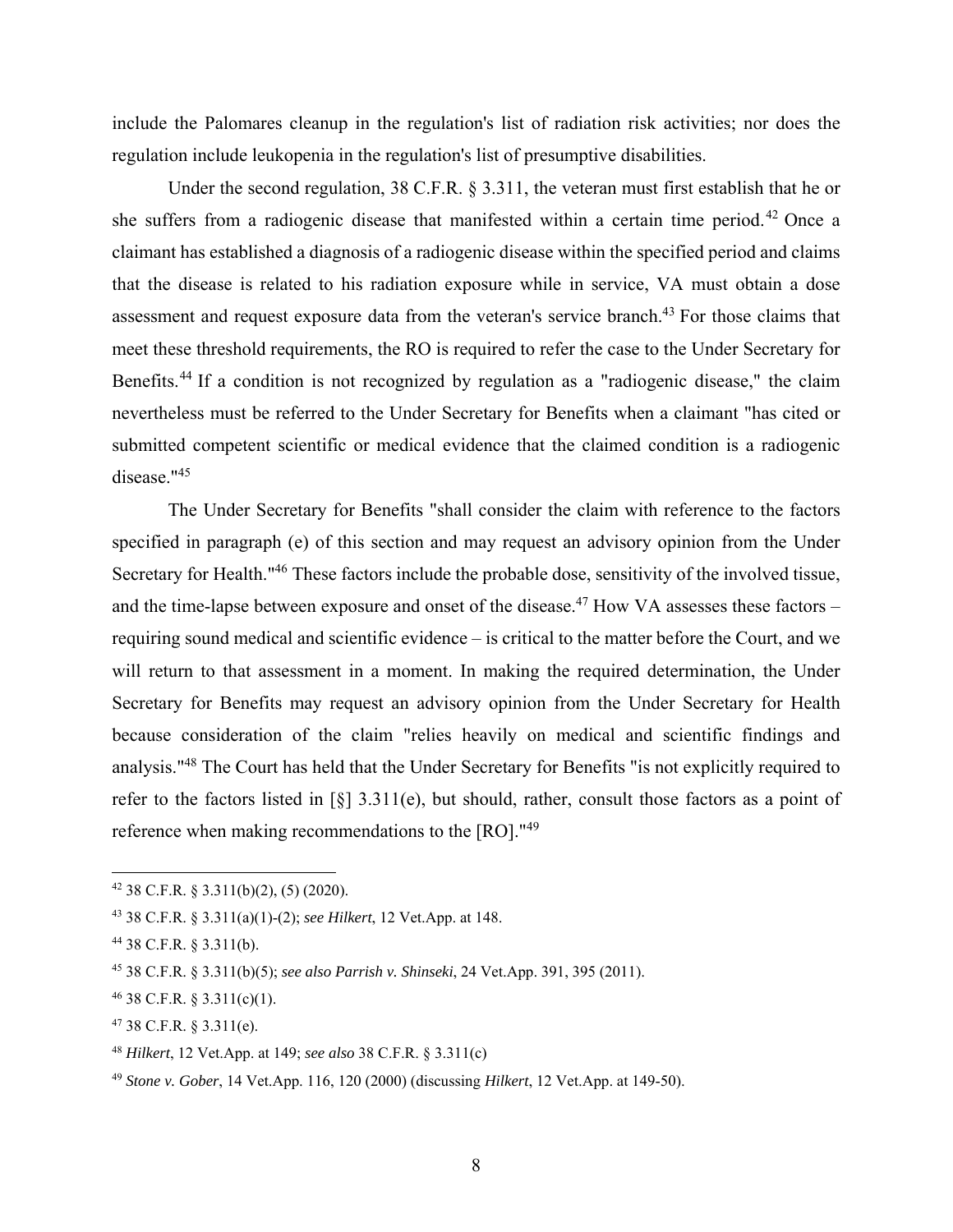include the Palomares cleanup in the regulation's list of radiation risk activities; nor does the regulation include leukopenia in the regulation's list of presumptive disabilities.

Under the second regulation, 38 C.F.R. § 3.311, the veteran must first establish that he or she suffers from a radiogenic disease that manifested within a certain time period.<sup>42</sup> Once a claimant has established a diagnosis of a radiogenic disease within the specified period and claims that the disease is related to his radiation exposure while in service, VA must obtain a dose assessment and request exposure data from the veteran's service branch.<sup>43</sup> For those claims that meet these threshold requirements, the RO is required to refer the case to the Under Secretary for Benefits.<sup>44</sup> If a condition is not recognized by regulation as a "radiogenic disease," the claim nevertheless must be referred to the Under Secretary for Benefits when a claimant "has cited or submitted competent scientific or medical evidence that the claimed condition is a radiogenic disease."<sup>45</sup>

The Under Secretary for Benefits "shall consider the claim with reference to the factors specified in paragraph (e) of this section and may request an advisory opinion from the Under Secretary for Health."46 These factors include the probable dose, sensitivity of the involved tissue, and the time-lapse between exposure and onset of the disease.<sup>47</sup> How VA assesses these factors – requiring sound medical and scientific evidence – is critical to the matter before the Court, and we will return to that assessment in a moment. In making the required determination, the Under Secretary for Benefits may request an advisory opinion from the Under Secretary for Health because consideration of the claim "relies heavily on medical and scientific findings and analysis."48 The Court has held that the Under Secretary for Benefits "is not explicitly required to refer to the factors listed in [§] 3.311(e), but should, rather, consult those factors as a point of reference when making recommendations to the [RO]."49

 $42$  38 C.F.R. § 3.311(b)(2), (5) (2020).

<sup>43 38</sup> C.F.R. § 3.311(a)(1)-(2); *see Hilkert*, 12 Vet.App. at 148.

<sup>44 38</sup> C.F.R. § 3.311(b).

<sup>45 38</sup> C.F.R. § 3.311(b)(5); *see also Parrish v. Shinseki*, 24 Vet.App. 391, 395 (2011).

 $46$  38 C.F.R. § 3.311(c)(1).

<sup>47 38</sup> C.F.R. § 3.311(e).

<sup>48</sup> *Hilkert*, 12 Vet.App. at 149; *see also* 38 C.F.R. § 3.311(c)

<sup>49</sup> *Stone v. Gober*, 14 Vet.App. 116, 120 (2000) (discussing *Hilkert*, 12 Vet.App. at 149-50).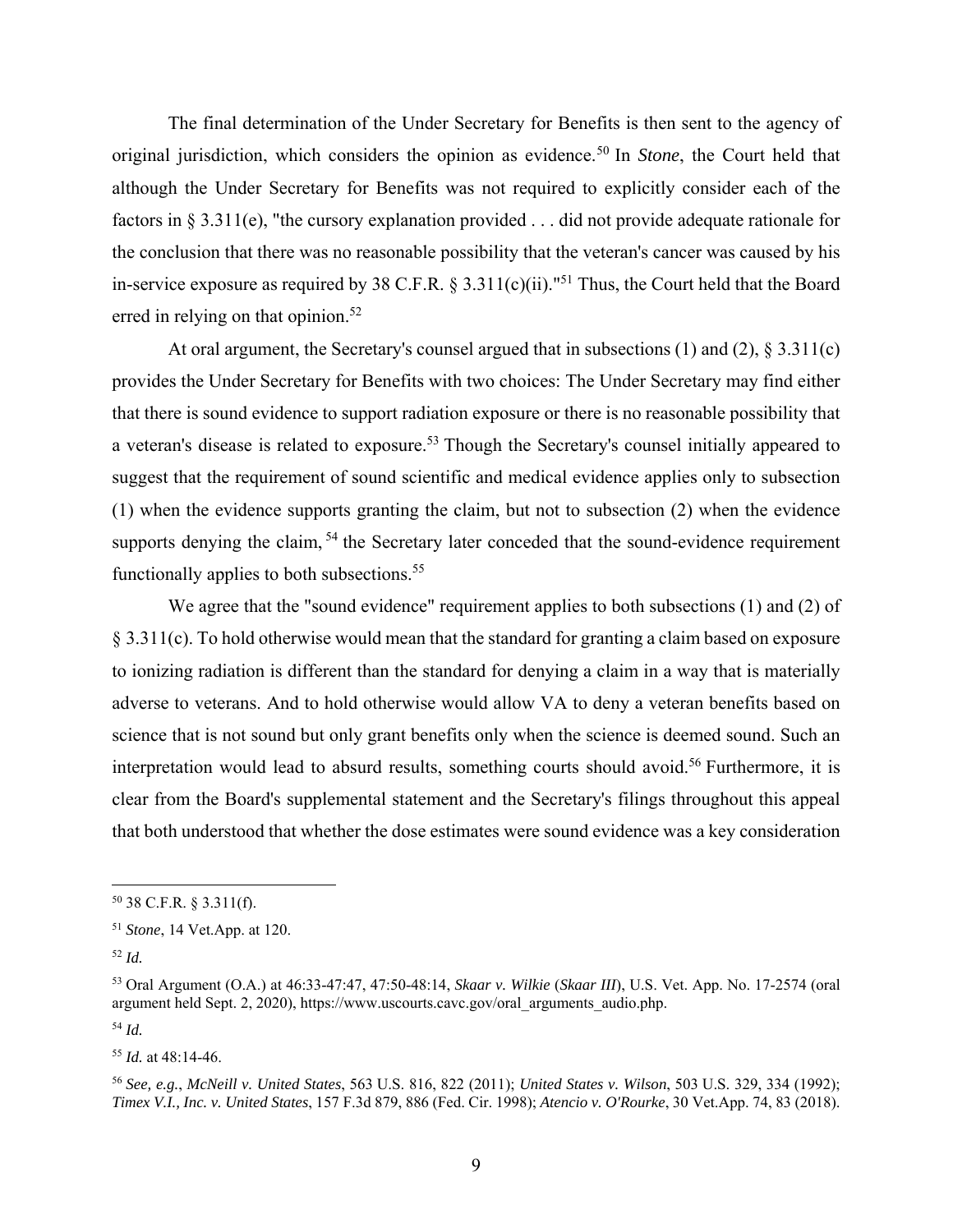The final determination of the Under Secretary for Benefits is then sent to the agency of original jurisdiction, which considers the opinion as evidence.50 In *Stone*, the Court held that although the Under Secretary for Benefits was not required to explicitly consider each of the factors in § 3.311(e), "the cursory explanation provided . . . did not provide adequate rationale for the conclusion that there was no reasonable possibility that the veteran's cancer was caused by his in-service exposure as required by 38 C.F.R.  $\S 3.311(c)(ii)$ ."<sup>51</sup> Thus, the Court held that the Board erred in relying on that opinion.<sup>52</sup>

At oral argument, the Secretary's counsel argued that in subsections  $(1)$  and  $(2)$ ,  $\S 3.311(c)$ provides the Under Secretary for Benefits with two choices: The Under Secretary may find either that there is sound evidence to support radiation exposure or there is no reasonable possibility that a veteran's disease is related to exposure.<sup>53</sup> Though the Secretary's counsel initially appeared to suggest that the requirement of sound scientific and medical evidence applies only to subsection (1) when the evidence supports granting the claim, but not to subsection (2) when the evidence supports denying the claim, <sup>54</sup> the Secretary later conceded that the sound-evidence requirement functionally applies to both subsections.<sup>55</sup>

We agree that the "sound evidence" requirement applies to both subsections (1) and (2) of § 3.311(c). To hold otherwise would mean that the standard for granting a claim based on exposure to ionizing radiation is different than the standard for denying a claim in a way that is materially adverse to veterans. And to hold otherwise would allow VA to deny a veteran benefits based on science that is not sound but only grant benefits only when the science is deemed sound. Such an interpretation would lead to absurd results, something courts should avoid.<sup>56</sup> Furthermore, it is clear from the Board's supplemental statement and the Secretary's filings throughout this appeal that both understood that whether the dose estimates were sound evidence was a key consideration

 $\overline{a}$ 

<sup>54</sup> *Id.*

<sup>50 38</sup> C.F.R. § 3.311(f).

<sup>51</sup> *Stone*, 14 Vet.App. at 120.

<sup>52</sup> *Id.*

<sup>53</sup> Oral Argument (O.A.) at 46:33-47:47, 47:50-48:14, *Skaar v. Wilkie* (*Skaar III*), U.S. Vet. App. No. 17-2574 (oral argument held Sept. 2, 2020), https://www.uscourts.cavc.gov/oral\_arguments\_audio.php.

<sup>55</sup> *Id.* at 48:14-46.

<sup>56</sup> *See, e.g.*, *McNeill v. United States*, 563 U.S. 816, 822 (2011); *United States v. Wilson*, 503 U.S. 329, 334 (1992); *Timex V.I., Inc. v. United States*, 157 F.3d 879, 886 (Fed. Cir. 1998); *Atencio v. O'Rourke*, 30 Vet.App. 74, 83 (2018).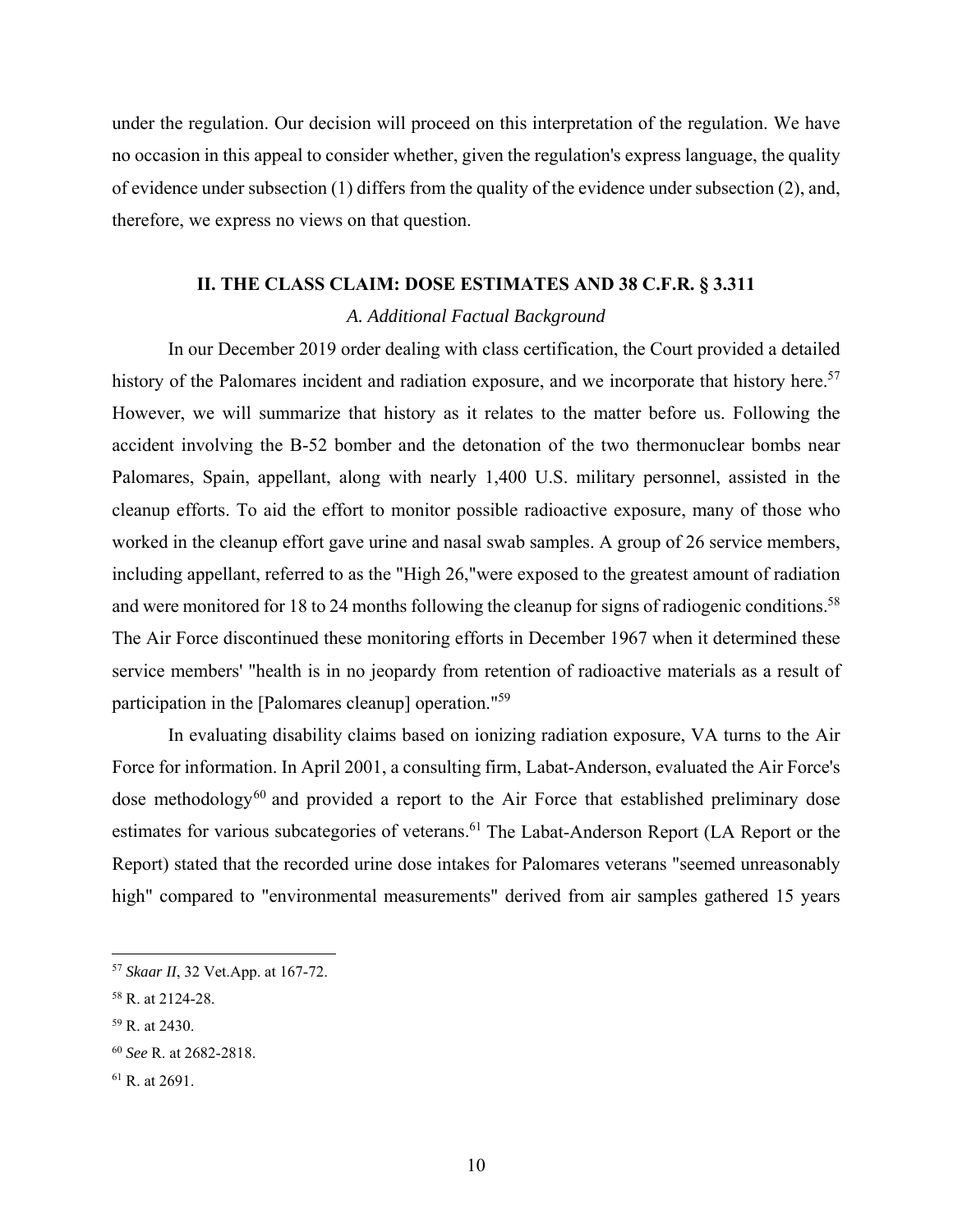under the regulation. Our decision will proceed on this interpretation of the regulation. We have no occasion in this appeal to consider whether, given the regulation's express language, the quality of evidence under subsection (1) differs from the quality of the evidence under subsection (2), and, therefore, we express no views on that question.

## **II. THE CLASS CLAIM: DOSE ESTIMATES AND 38 C.F.R. § 3.311**

# *A. Additional Factual Background*

 In our December 2019 order dealing with class certification, the Court provided a detailed history of the Palomares incident and radiation exposure, and we incorporate that history here.<sup>57</sup> However, we will summarize that history as it relates to the matter before us. Following the accident involving the B-52 bomber and the detonation of the two thermonuclear bombs near Palomares, Spain, appellant, along with nearly 1,400 U.S. military personnel, assisted in the cleanup efforts. To aid the effort to monitor possible radioactive exposure, many of those who worked in the cleanup effort gave urine and nasal swab samples. A group of 26 service members, including appellant, referred to as the "High 26,"were exposed to the greatest amount of radiation and were monitored for 18 to 24 months following the cleanup for signs of radiogenic conditions.<sup>58</sup> The Air Force discontinued these monitoring efforts in December 1967 when it determined these service members' "health is in no jeopardy from retention of radioactive materials as a result of participation in the [Palomares cleanup] operation."<sup>59</sup>

 In evaluating disability claims based on ionizing radiation exposure, VA turns to the Air Force for information. In April 2001, a consulting firm, Labat-Anderson, evaluated the Air Force's dose methodology<sup>60</sup> and provided a report to the Air Force that established preliminary dose estimates for various subcategories of veterans.<sup>61</sup> The Labat-Anderson Report (LA Report or the Report) stated that the recorded urine dose intakes for Palomares veterans "seemed unreasonably high" compared to "environmental measurements" derived from air samples gathered 15 years

59 R. at 2430.

<sup>57</sup> *Skaar II*, 32 Vet.App. at 167-72.

<sup>58</sup> R. at 2124-28.

<sup>60</sup> *See* R. at 2682-2818.

<sup>61</sup> R. at 2691.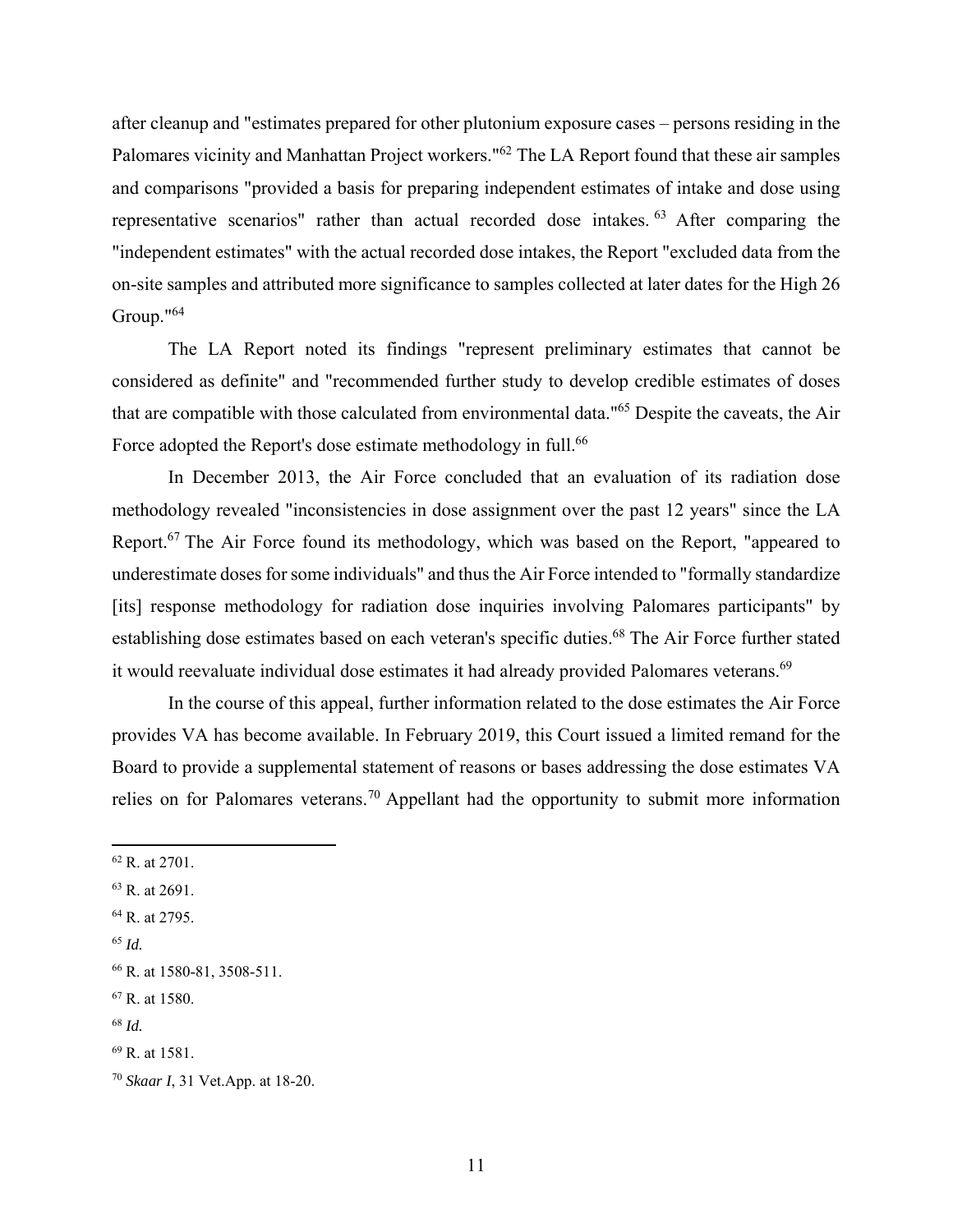after cleanup and "estimates prepared for other plutonium exposure cases – persons residing in the Palomares vicinity and Manhattan Project workers."62 The LA Report found that these air samples and comparisons "provided a basis for preparing independent estimates of intake and dose using representative scenarios" rather than actual recorded dose intakes. 63 After comparing the "independent estimates" with the actual recorded dose intakes, the Report "excluded data from the on-site samples and attributed more significance to samples collected at later dates for the High 26 Group."64

The LA Report noted its findings "represent preliminary estimates that cannot be considered as definite" and "recommended further study to develop credible estimates of doses that are compatible with those calculated from environmental data."65 Despite the caveats, the Air Force adopted the Report's dose estimate methodology in full.<sup>66</sup>

 In December 2013, the Air Force concluded that an evaluation of its radiation dose methodology revealed "inconsistencies in dose assignment over the past 12 years" since the LA Report.<sup>67</sup> The Air Force found its methodology, which was based on the Report, "appeared to underestimate doses for some individuals" and thus the Air Force intended to "formally standardize [its] response methodology for radiation dose inquiries involving Palomares participants" by establishing dose estimates based on each veteran's specific duties.<sup>68</sup> The Air Force further stated it would reevaluate individual dose estimates it had already provided Palomares veterans.<sup>69</sup>

 In the course of this appeal, further information related to the dose estimates the Air Force provides VA has become available. In February 2019, this Court issued a limited remand for the Board to provide a supplemental statement of reasons or bases addressing the dose estimates VA relies on for Palomares veterans.70 Appellant had the opportunity to submit more information

- 63 R. at 2691.
- 64 R. at 2795.
- <sup>65</sup> *Id.*

- 67 R. at 1580.
- <sup>68</sup> *Id.*

<sup>62</sup> R. at 2701.

<sup>66</sup> R. at 1580-81, 3508-511.

<sup>69</sup> R. at 1581.

<sup>70</sup> *Skaar I*, 31 Vet.App. at 18-20.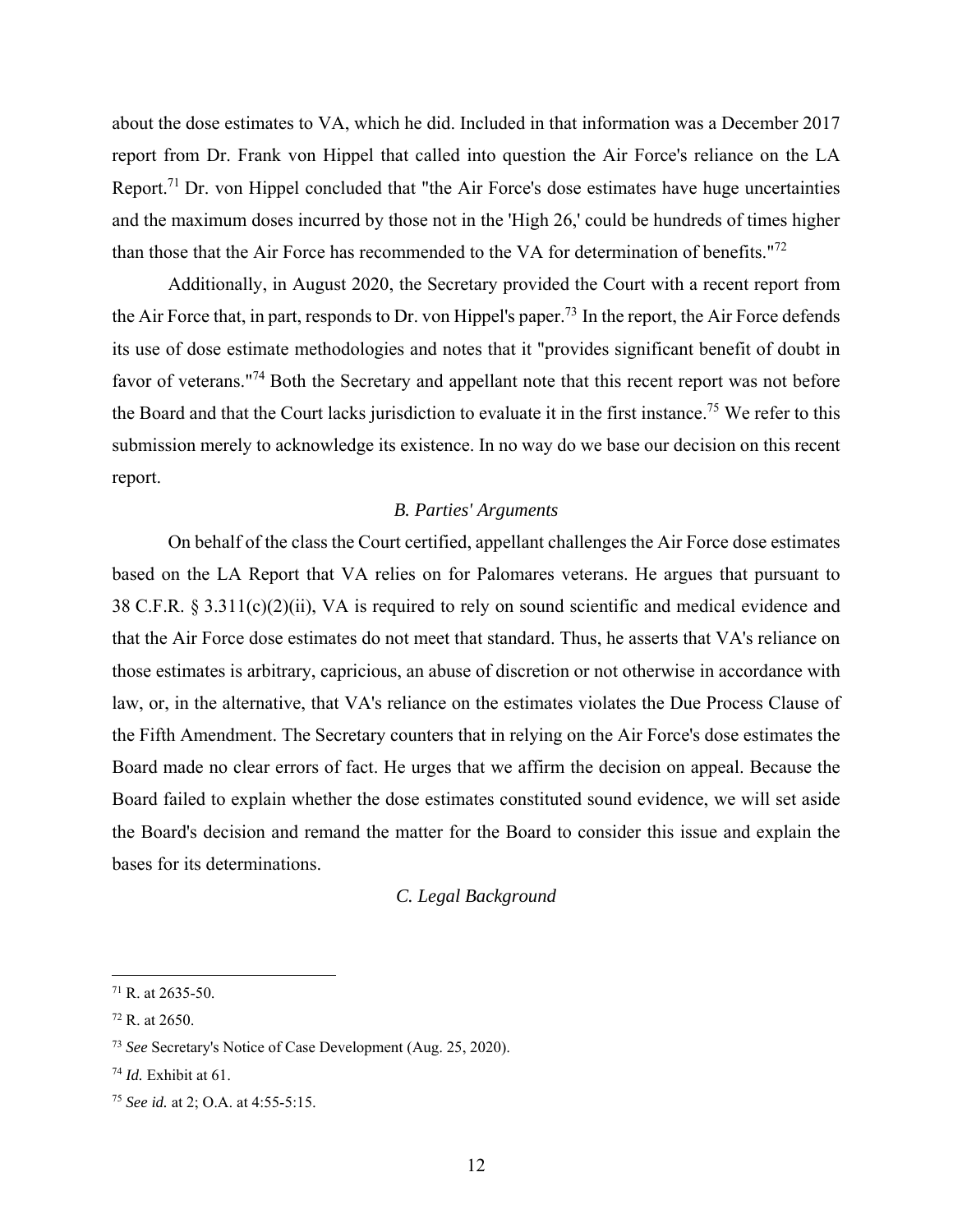about the dose estimates to VA, which he did. Included in that information was a December 2017 report from Dr. Frank von Hippel that called into question the Air Force's reliance on the LA Report.<sup>71</sup> Dr. von Hippel concluded that "the Air Force's dose estimates have huge uncertainties and the maximum doses incurred by those not in the 'High 26,' could be hundreds of times higher than those that the Air Force has recommended to the VA for determination of benefits."<sup>72</sup>

 Additionally, in August 2020, the Secretary provided the Court with a recent report from the Air Force that, in part, responds to Dr. von Hippel's paper.<sup>73</sup> In the report, the Air Force defends its use of dose estimate methodologies and notes that it "provides significant benefit of doubt in favor of veterans."74 Both the Secretary and appellant note that this recent report was not before the Board and that the Court lacks jurisdiction to evaluate it in the first instance.75 We refer to this submission merely to acknowledge its existence. In no way do we base our decision on this recent report.

## *B. Parties' Arguments*

 On behalf of the class the Court certified, appellant challenges the Air Force dose estimates based on the LA Report that VA relies on for Palomares veterans. He argues that pursuant to 38 C.F.R. § 3.311(c)(2)(ii), VA is required to rely on sound scientific and medical evidence and that the Air Force dose estimates do not meet that standard. Thus, he asserts that VA's reliance on those estimates is arbitrary, capricious, an abuse of discretion or not otherwise in accordance with law, or, in the alternative, that VA's reliance on the estimates violates the Due Process Clause of the Fifth Amendment. The Secretary counters that in relying on the Air Force's dose estimates the Board made no clear errors of fact. He urges that we affirm the decision on appeal. Because the Board failed to explain whether the dose estimates constituted sound evidence, we will set aside the Board's decision and remand the matter for the Board to consider this issue and explain the bases for its determinations.

#### *C. Legal Background*

 $71$  R. at 2635-50.

<sup>72</sup> R. at 2650.

<sup>73</sup> *See* Secretary's Notice of Case Development (Aug. 25, 2020).

<sup>74</sup> *Id.* Exhibit at 61.

<sup>75</sup> *See id.* at 2; O.A. at 4:55-5:15.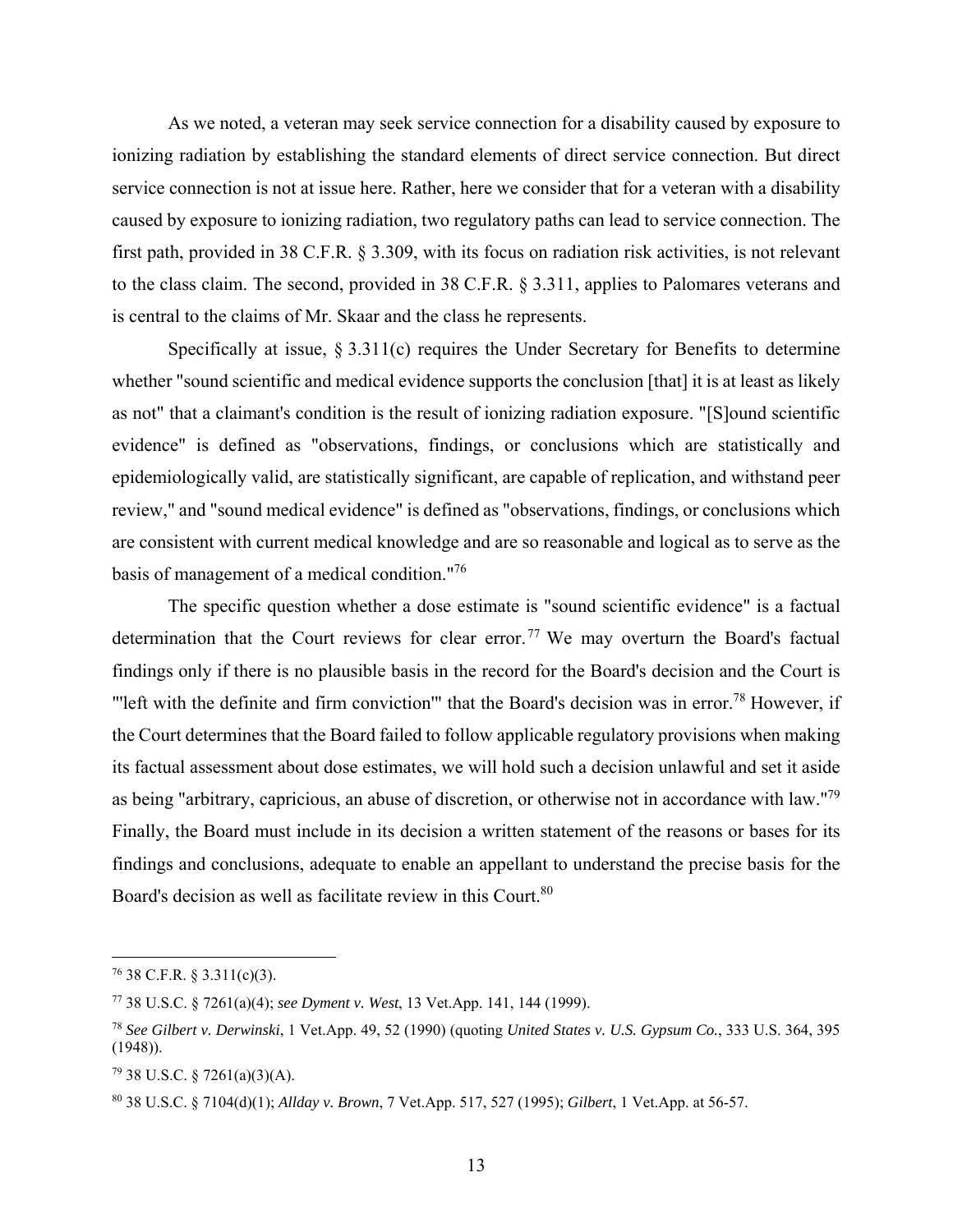As we noted, a veteran may seek service connection for a disability caused by exposure to ionizing radiation by establishing the standard elements of direct service connection. But direct service connection is not at issue here. Rather, here we consider that for a veteran with a disability caused by exposure to ionizing radiation, two regulatory paths can lead to service connection. The first path, provided in 38 C.F.R. § 3.309, with its focus on radiation risk activities, is not relevant to the class claim. The second, provided in 38 C.F.R. § 3.311, applies to Palomares veterans and is central to the claims of Mr. Skaar and the class he represents.

Specifically at issue, § 3.311(c) requires the Under Secretary for Benefits to determine whether "sound scientific and medical evidence supports the conclusion [that] it is at least as likely as not" that a claimant's condition is the result of ionizing radiation exposure. "[S]ound scientific evidence" is defined as "observations, findings, or conclusions which are statistically and epidemiologically valid, are statistically significant, are capable of replication, and withstand peer review," and "sound medical evidence" is defined as "observations, findings, or conclusions which are consistent with current medical knowledge and are so reasonable and logical as to serve as the basis of management of a medical condition."76

The specific question whether a dose estimate is "sound scientific evidence" is a factual determination that the Court reviews for clear error.<sup>77</sup> We may overturn the Board's factual findings only if there is no plausible basis in the record for the Board's decision and the Court is "left with the definite and firm conviction" that the Board's decision was in error.<sup>78</sup> However, if the Court determines that the Board failed to follow applicable regulatory provisions when making its factual assessment about dose estimates, we will hold such a decision unlawful and set it aside as being "arbitrary, capricious, an abuse of discretion, or otherwise not in accordance with law."79 Finally, the Board must include in its decision a written statement of the reasons or bases for its findings and conclusions, adequate to enable an appellant to understand the precise basis for the Board's decision as well as facilitate review in this Court.<sup>80</sup>

 $76$  38 C.F.R. § 3.311(c)(3).

<sup>77 38</sup> U.S.C. § 7261(a)(4); *see Dyment v. West*, 13 Vet.App. 141, 144 (1999).

<sup>78</sup> *See Gilbert v. Derwinski*, 1 Vet.App. 49, 52 (1990) (quoting *United States v. U.S. Gypsum Co.*, 333 U.S. 364, 395 (1948)).

 $79$  38 U.S.C. § 7261(a)(3)(A).

<sup>80 38</sup> U.S.C. § 7104(d)(1); *Allday v. Brown*, 7 Vet.App. 517, 527 (1995); *Gilbert*, 1 Vet.App. at 56-57.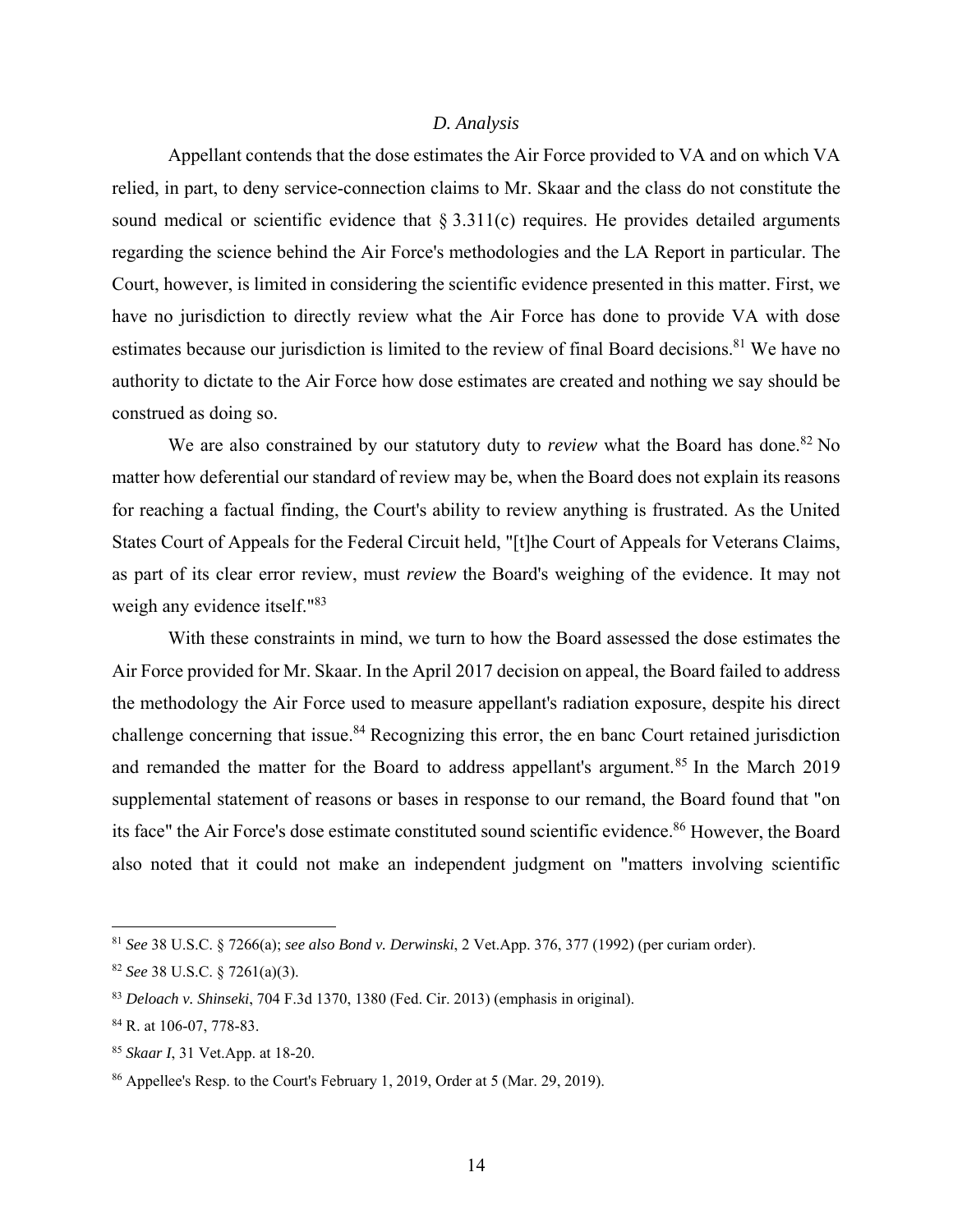#### *D. Analysis*

 Appellant contends that the dose estimates the Air Force provided to VA and on which VA relied, in part, to deny service-connection claims to Mr. Skaar and the class do not constitute the sound medical or scientific evidence that  $\S 3.311(c)$  requires. He provides detailed arguments regarding the science behind the Air Force's methodologies and the LA Report in particular. The Court, however, is limited in considering the scientific evidence presented in this matter. First, we have no jurisdiction to directly review what the Air Force has done to provide VA with dose estimates because our jurisdiction is limited to the review of final Board decisions.<sup>81</sup> We have no authority to dictate to the Air Force how dose estimates are created and nothing we say should be construed as doing so.

We are also constrained by our statutory duty to *review* what the Board has done.<sup>82</sup> No matter how deferential our standard of review may be, when the Board does not explain its reasons for reaching a factual finding, the Court's ability to review anything is frustrated. As the United States Court of Appeals for the Federal Circuit held, "[t]he Court of Appeals for Veterans Claims, as part of its clear error review, must *review* the Board's weighing of the evidence. It may not weigh any evidence itself."<sup>83</sup>

 With these constraints in mind, we turn to how the Board assessed the dose estimates the Air Force provided for Mr. Skaar. In the April 2017 decision on appeal, the Board failed to address the methodology the Air Force used to measure appellant's radiation exposure, despite his direct challenge concerning that issue.<sup>84</sup> Recognizing this error, the en banc Court retained jurisdiction and remanded the matter for the Board to address appellant's argument.<sup>85</sup> In the March 2019 supplemental statement of reasons or bases in response to our remand, the Board found that "on its face" the Air Force's dose estimate constituted sound scientific evidence.<sup>86</sup> However, the Board also noted that it could not make an independent judgment on "matters involving scientific

<sup>81</sup> *See* 38 U.S.C. § 7266(a); *see also Bond v. Derwinski*, 2 Vet.App. 376, 377 (1992) (per curiam order).

<sup>82</sup> *See* 38 U.S.C. § 7261(a)(3).

<sup>83</sup> *Deloach v. Shinseki*, 704 F.3d 1370, 1380 (Fed. Cir. 2013) (emphasis in original).

<sup>84</sup> R. at 106-07, 778-83.

<sup>85</sup> *Skaar I*, 31 Vet.App. at 18-20.

<sup>86</sup> Appellee's Resp. to the Court's February 1, 2019, Order at 5 (Mar. 29, 2019).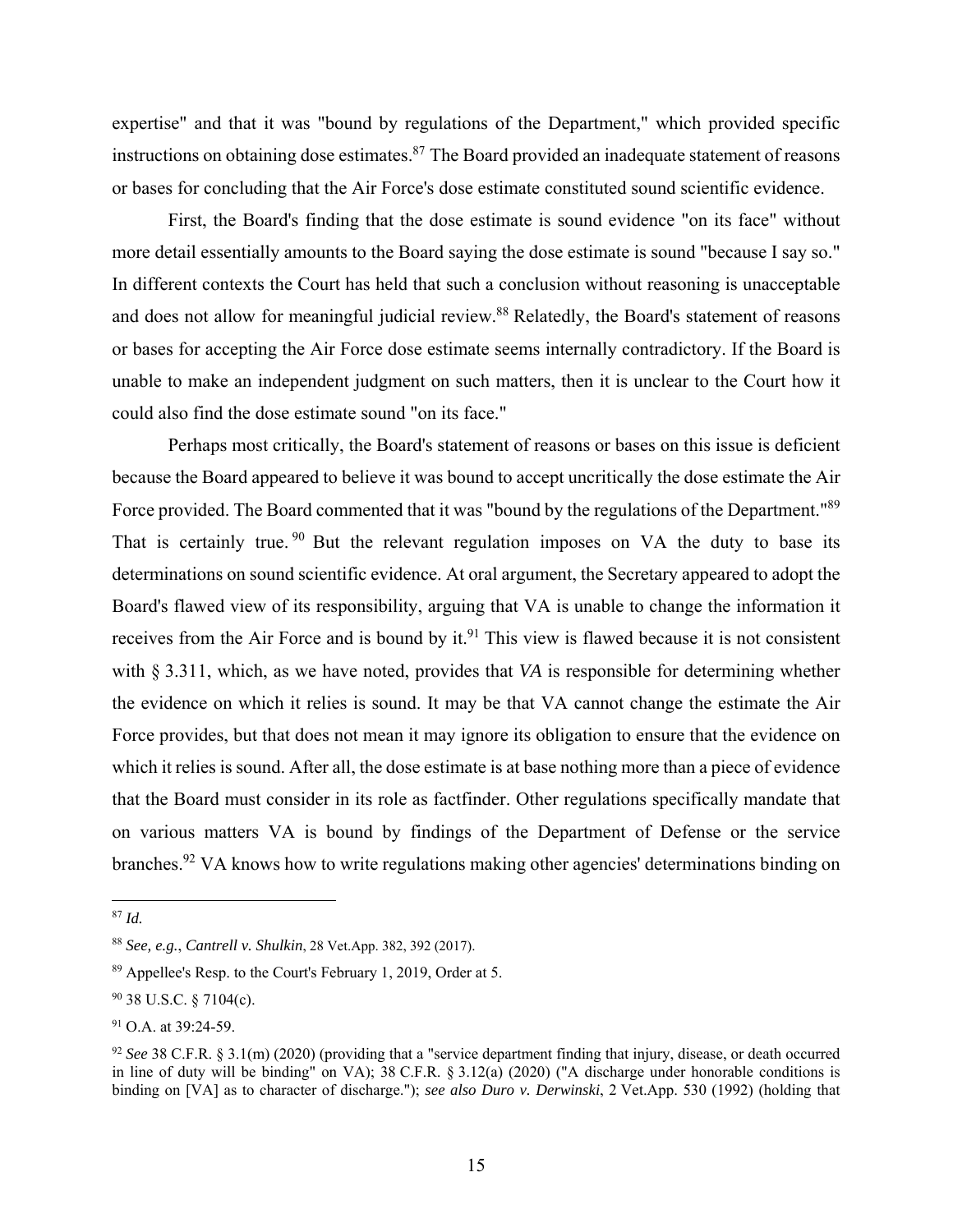expertise" and that it was "bound by regulations of the Department," which provided specific instructions on obtaining dose estimates.<sup>87</sup> The Board provided an inadequate statement of reasons or bases for concluding that the Air Force's dose estimate constituted sound scientific evidence.

 First, the Board's finding that the dose estimate is sound evidence "on its face" without more detail essentially amounts to the Board saying the dose estimate is sound "because I say so." In different contexts the Court has held that such a conclusion without reasoning is unacceptable and does not allow for meaningful judicial review.<sup>88</sup> Relatedly, the Board's statement of reasons or bases for accepting the Air Force dose estimate seems internally contradictory. If the Board is unable to make an independent judgment on such matters, then it is unclear to the Court how it could also find the dose estimate sound "on its face."

 Perhaps most critically, the Board's statement of reasons or bases on this issue is deficient because the Board appeared to believe it was bound to accept uncritically the dose estimate the Air Force provided. The Board commented that it was "bound by the regulations of the Department."<sup>89</sup> That is certainly true.  $90$  But the relevant regulation imposes on VA the duty to base its determinations on sound scientific evidence. At oral argument, the Secretary appeared to adopt the Board's flawed view of its responsibility, arguing that VA is unable to change the information it receives from the Air Force and is bound by it.<sup>91</sup> This view is flawed because it is not consistent with § 3.311, which, as we have noted, provides that *VA* is responsible for determining whether the evidence on which it relies is sound. It may be that VA cannot change the estimate the Air Force provides, but that does not mean it may ignore its obligation to ensure that the evidence on which it relies is sound. After all, the dose estimate is at base nothing more than a piece of evidence that the Board must consider in its role as factfinder. Other regulations specifically mandate that on various matters VA is bound by findings of the Department of Defense or the service branches.<sup>92</sup> VA knows how to write regulations making other agencies' determinations binding on

<sup>1</sup> <sup>87</sup> *Id.*

<sup>88</sup> *See, e.g.*, *Cantrell v. Shulkin*, 28 Vet.App. 382, 392 (2017).

<sup>89</sup> Appellee's Resp. to the Court's February 1, 2019, Order at 5.

<sup>90 38</sup> U.S.C. § 7104(c).

<sup>&</sup>lt;sup>91</sup> O.A. at 39:24-59.

<sup>92</sup> *See* 38 C.F.R. § 3.1(m) (2020) (providing that a "service department finding that injury, disease, or death occurred in line of duty will be binding" on VA); 38 C.F.R. § 3.12(a) (2020) ("A discharge under honorable conditions is binding on [VA] as to character of discharge."); *see also Duro v. Derwinski*, 2 Vet.App. 530 (1992) (holding that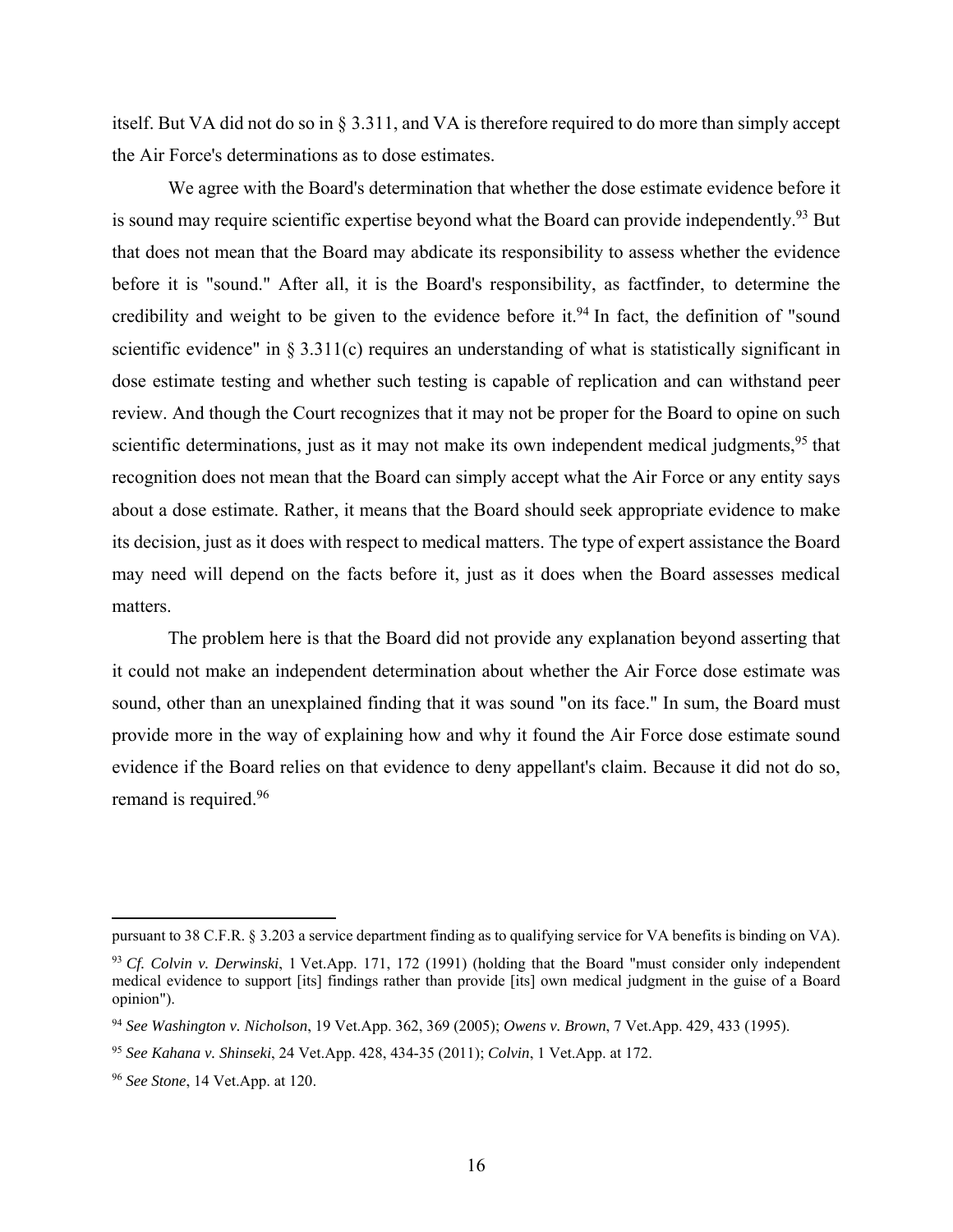itself. But VA did not do so in § 3.311, and VA is therefore required to do more than simply accept the Air Force's determinations as to dose estimates.

 We agree with the Board's determination that whether the dose estimate evidence before it is sound may require scientific expertise beyond what the Board can provide independently.<sup>93</sup> But that does not mean that the Board may abdicate its responsibility to assess whether the evidence before it is "sound." After all, it is the Board's responsibility, as factfinder, to determine the credibility and weight to be given to the evidence before it.<sup>94</sup> In fact, the definition of "sound" scientific evidence" in  $\S 3.311(c)$  requires an understanding of what is statistically significant in dose estimate testing and whether such testing is capable of replication and can withstand peer review. And though the Court recognizes that it may not be proper for the Board to opine on such scientific determinations, just as it may not make its own independent medical judgments,  $95$  that recognition does not mean that the Board can simply accept what the Air Force or any entity says about a dose estimate. Rather, it means that the Board should seek appropriate evidence to make its decision, just as it does with respect to medical matters. The type of expert assistance the Board may need will depend on the facts before it, just as it does when the Board assesses medical matters.

 The problem here is that the Board did not provide any explanation beyond asserting that it could not make an independent determination about whether the Air Force dose estimate was sound, other than an unexplained finding that it was sound "on its face." In sum, the Board must provide more in the way of explaining how and why it found the Air Force dose estimate sound evidence if the Board relies on that evidence to deny appellant's claim. Because it did not do so, remand is required.<sup>96</sup>

pursuant to 38 C.F.R. § 3.203 a service department finding as to qualifying service for VA benefits is binding on VA).

<sup>93</sup> *Cf. Colvin v. Derwinski*, 1 Vet.App. 171, 172 (1991) (holding that the Board "must consider only independent medical evidence to support [its] findings rather than provide [its] own medical judgment in the guise of a Board opinion").

<sup>94</sup> *See Washington v. Nicholson*, 19 Vet.App. 362, 369 (2005); *Owens v. Brown*, 7 Vet.App. 429, 433 (1995).

<sup>95</sup> *See Kahana v. Shinseki*, 24 Vet.App. 428, 434-35 (2011); *Colvin*, 1 Vet.App. at 172.

<sup>96</sup> *See Stone*, 14 Vet.App. at 120.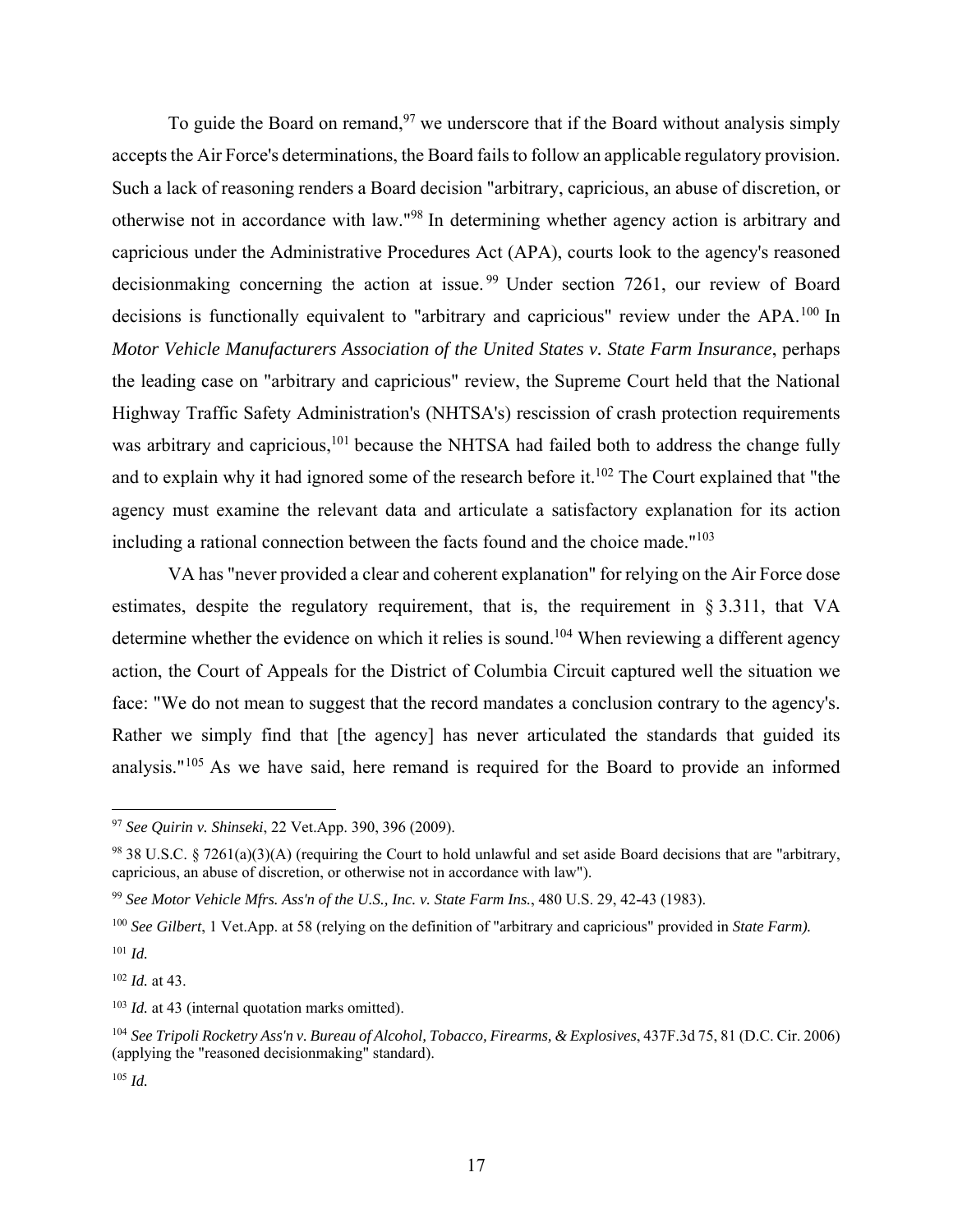To guide the Board on remand,  $97$  we underscore that if the Board without analysis simply accepts the Air Force's determinations, the Board fails to follow an applicable regulatory provision. Such a lack of reasoning renders a Board decision "arbitrary, capricious, an abuse of discretion, or otherwise not in accordance with law."98 In determining whether agency action is arbitrary and capricious under the Administrative Procedures Act (APA), courts look to the agency's reasoned decisionmaking concerning the action at issue.<sup>99</sup> Under section 7261, our review of Board decisions is functionally equivalent to "arbitrary and capricious" review under the APA.<sup>100</sup> In *Motor Vehicle Manufacturers Association of the United States v. State Farm Insurance*, perhaps the leading case on "arbitrary and capricious" review, the Supreme Court held that the National Highway Traffic Safety Administration's (NHTSA's) rescission of crash protection requirements was arbitrary and capricious,<sup>101</sup> because the NHTSA had failed both to address the change fully and to explain why it had ignored some of the research before it.<sup>102</sup> The Court explained that "the agency must examine the relevant data and articulate a satisfactory explanation for its action including a rational connection between the facts found and the choice made."103

 VA has "never provided a clear and coherent explanation" for relying on the Air Force dose estimates, despite the regulatory requirement, that is, the requirement in § 3.311, that VA determine whether the evidence on which it relies is sound.<sup>104</sup> When reviewing a different agency action, the Court of Appeals for the District of Columbia Circuit captured well the situation we face: "We do not mean to suggest that the record mandates a conclusion contrary to the agency's. Rather we simply find that [the agency] has never articulated the standards that guided its analysis."105 As we have said, here remand is required for the Board to provide an informed

<sup>100</sup> *See Gilbert*, 1 Vet.App. at 58 (relying on the definition of "arbitrary and capricious" provided in *State Farm).* 

<sup>101</sup> *Id.*

 $\overline{a}$ 

<sup>102</sup> *Id.* at 43.

<sup>103</sup> *Id.* at 43 (internal quotation marks omitted).

<sup>97</sup> *See Quirin v. Shinseki*, 22 Vet.App. 390, 396 (2009).

 $98$  38 U.S.C. § 7261(a)(3)(A) (requiring the Court to hold unlawful and set aside Board decisions that are "arbitrary, capricious, an abuse of discretion, or otherwise not in accordance with law").

<sup>99</sup> *See Motor Vehicle Mfrs. Ass'n of the U.S., Inc. v. State Farm Ins.*, 480 U.S. 29, 42-43 (1983).

<sup>104</sup> *See Tripoli Rocketry Ass'n v. Bureau of Alcohol, Tobacco, Firearms, & Explosives*, 437F.3d 75, 81 (D.C. Cir. 2006) (applying the "reasoned decisionmaking" standard).

<sup>105</sup> *Id.*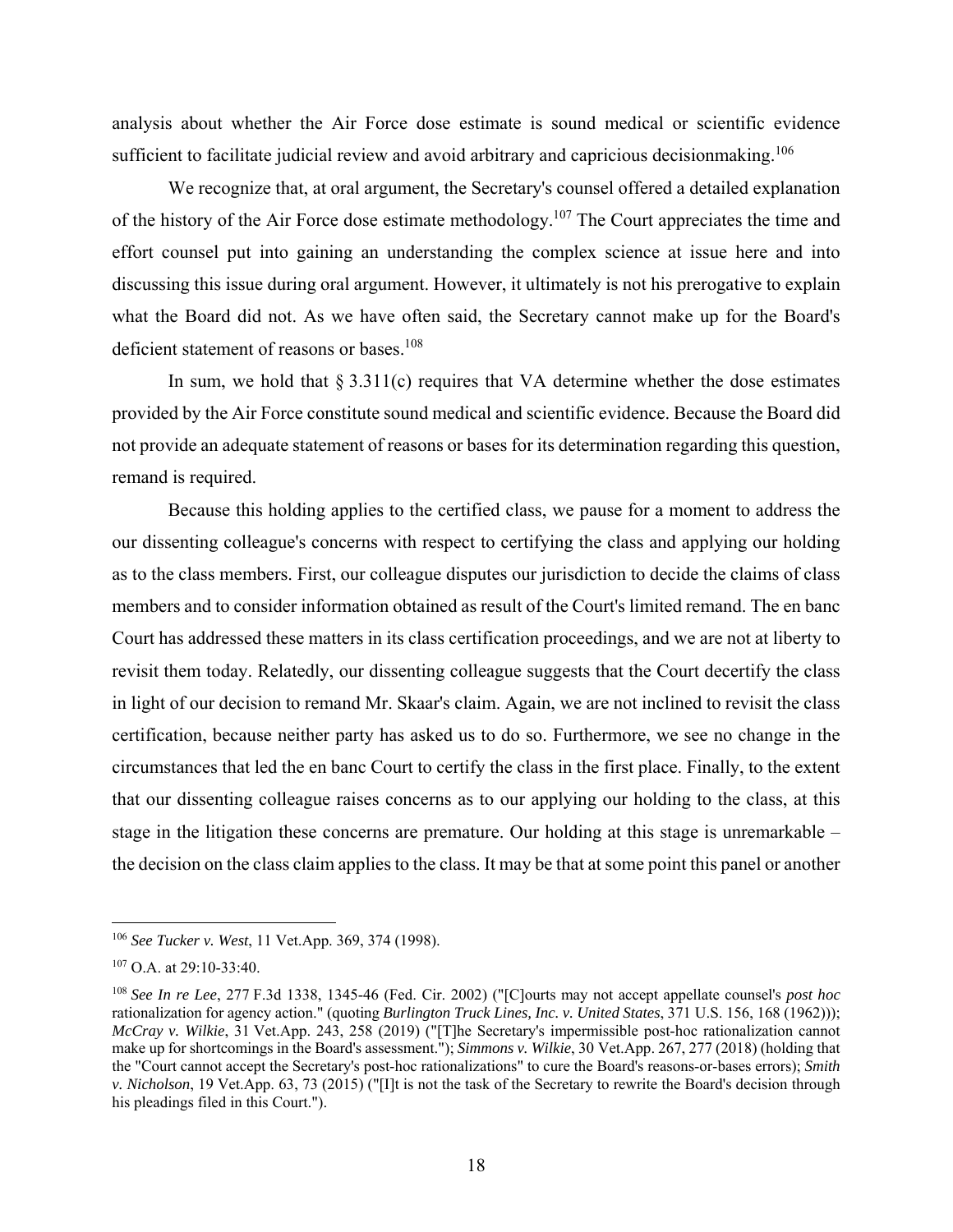analysis about whether the Air Force dose estimate is sound medical or scientific evidence sufficient to facilitate judicial review and avoid arbitrary and capricious decisionmaking.<sup>106</sup>

We recognize that, at oral argument, the Secretary's counsel offered a detailed explanation of the history of the Air Force dose estimate methodology.<sup>107</sup> The Court appreciates the time and effort counsel put into gaining an understanding the complex science at issue here and into discussing this issue during oral argument. However, it ultimately is not his prerogative to explain what the Board did not. As we have often said, the Secretary cannot make up for the Board's deficient statement of reasons or bases.<sup>108</sup>

In sum, we hold that  $\S 3.311(c)$  requires that VA determine whether the dose estimates provided by the Air Force constitute sound medical and scientific evidence. Because the Board did not provide an adequate statement of reasons or bases for its determination regarding this question, remand is required.

 Because this holding applies to the certified class, we pause for a moment to address the our dissenting colleague's concerns with respect to certifying the class and applying our holding as to the class members. First, our colleague disputes our jurisdiction to decide the claims of class members and to consider information obtained as result of the Court's limited remand. The en banc Court has addressed these matters in its class certification proceedings, and we are not at liberty to revisit them today. Relatedly, our dissenting colleague suggests that the Court decertify the class in light of our decision to remand Mr. Skaar's claim. Again, we are not inclined to revisit the class certification, because neither party has asked us to do so. Furthermore, we see no change in the circumstances that led the en banc Court to certify the class in the first place. Finally, to the extent that our dissenting colleague raises concerns as to our applying our holding to the class, at this stage in the litigation these concerns are premature. Our holding at this stage is unremarkable – the decision on the class claim applies to the class. It may be that at some point this panel or another

<sup>106</sup> *See Tucker v. West*, 11 Vet.App. 369, 374 (1998).

<sup>&</sup>lt;sup>107</sup> O.A. at 29:10-33:40.

<sup>108</sup> *See In re Lee*, 277 F.3d 1338, 1345-46 (Fed. Cir. 2002) ("[C]ourts may not accept appellate counsel's *post hoc* rationalization for agency action." (quoting *Burlington Truck Lines, Inc. v. United States*, 371 U.S. 156, 168 (1962))); *McCray v. Wilkie*, 31 Vet.App. 243, 258 (2019) ("[T]he Secretary's impermissible post-hoc rationalization cannot make up for shortcomings in the Board's assessment."); *Simmons v. Wilkie*, 30 Vet.App. 267, 277 (2018) (holding that the "Court cannot accept the Secretary's post-hoc rationalizations" to cure the Board's reasons-or-bases errors); *Smith v. Nicholson*, 19 Vet.App. 63, 73 (2015) ("[I]t is not the task of the Secretary to rewrite the Board's decision through his pleadings filed in this Court.").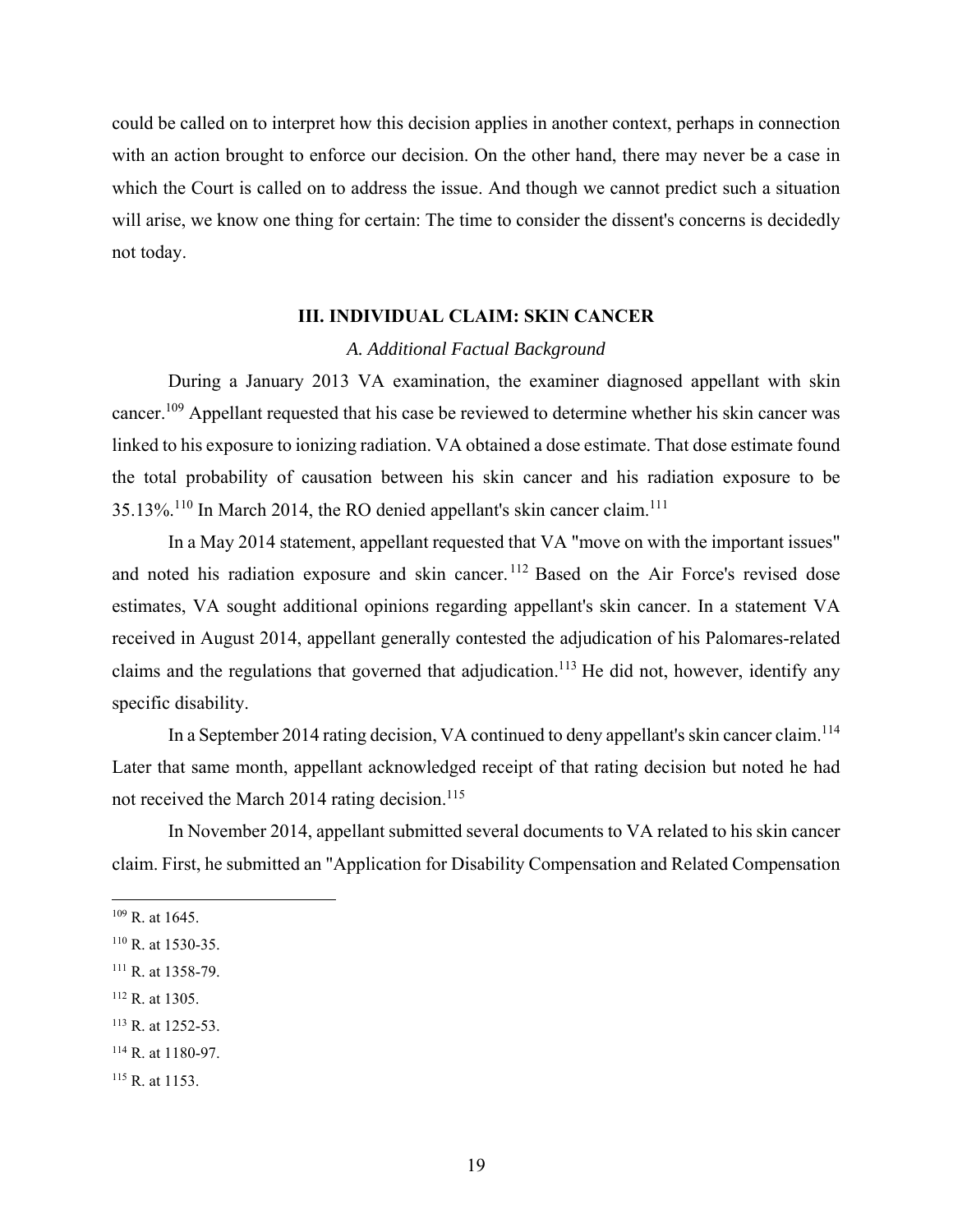could be called on to interpret how this decision applies in another context, perhaps in connection with an action brought to enforce our decision. On the other hand, there may never be a case in which the Court is called on to address the issue. And though we cannot predict such a situation will arise, we know one thing for certain: The time to consider the dissent's concerns is decidedly not today.

## **III. INDIVIDUAL CLAIM: SKIN CANCER**

#### *A. Additional Factual Background*

During a January 2013 VA examination, the examiner diagnosed appellant with skin cancer.109 Appellant requested that his case be reviewed to determine whether his skin cancer was linked to his exposure to ionizing radiation. VA obtained a dose estimate. That dose estimate found the total probability of causation between his skin cancer and his radiation exposure to be 35.13%.110 In March 2014, the RO denied appellant's skin cancer claim.111

In a May 2014 statement, appellant requested that VA "move on with the important issues" and noted his radiation exposure and skin cancer.<sup>112</sup> Based on the Air Force's revised dose estimates, VA sought additional opinions regarding appellant's skin cancer. In a statement VA received in August 2014, appellant generally contested the adjudication of his Palomares-related claims and the regulations that governed that adjudication.<sup>113</sup> He did not, however, identify any specific disability.

In a September 2014 rating decision, VA continued to deny appellant's skin cancer claim.<sup>114</sup> Later that same month, appellant acknowledged receipt of that rating decision but noted he had not received the March 2014 rating decision.<sup>115</sup>

In November 2014, appellant submitted several documents to VA related to his skin cancer claim. First, he submitted an "Application for Disability Compensation and Related Compensation

1

113 R. at 1252-53.

 $109$  R. at 1645.

<sup>110</sup> R. at 1530-35.

<sup>111</sup> R. at 1358-79.

<sup>112</sup> R. at 1305.

<sup>114</sup> R. at 1180-97.

<sup>115</sup> R. at 1153.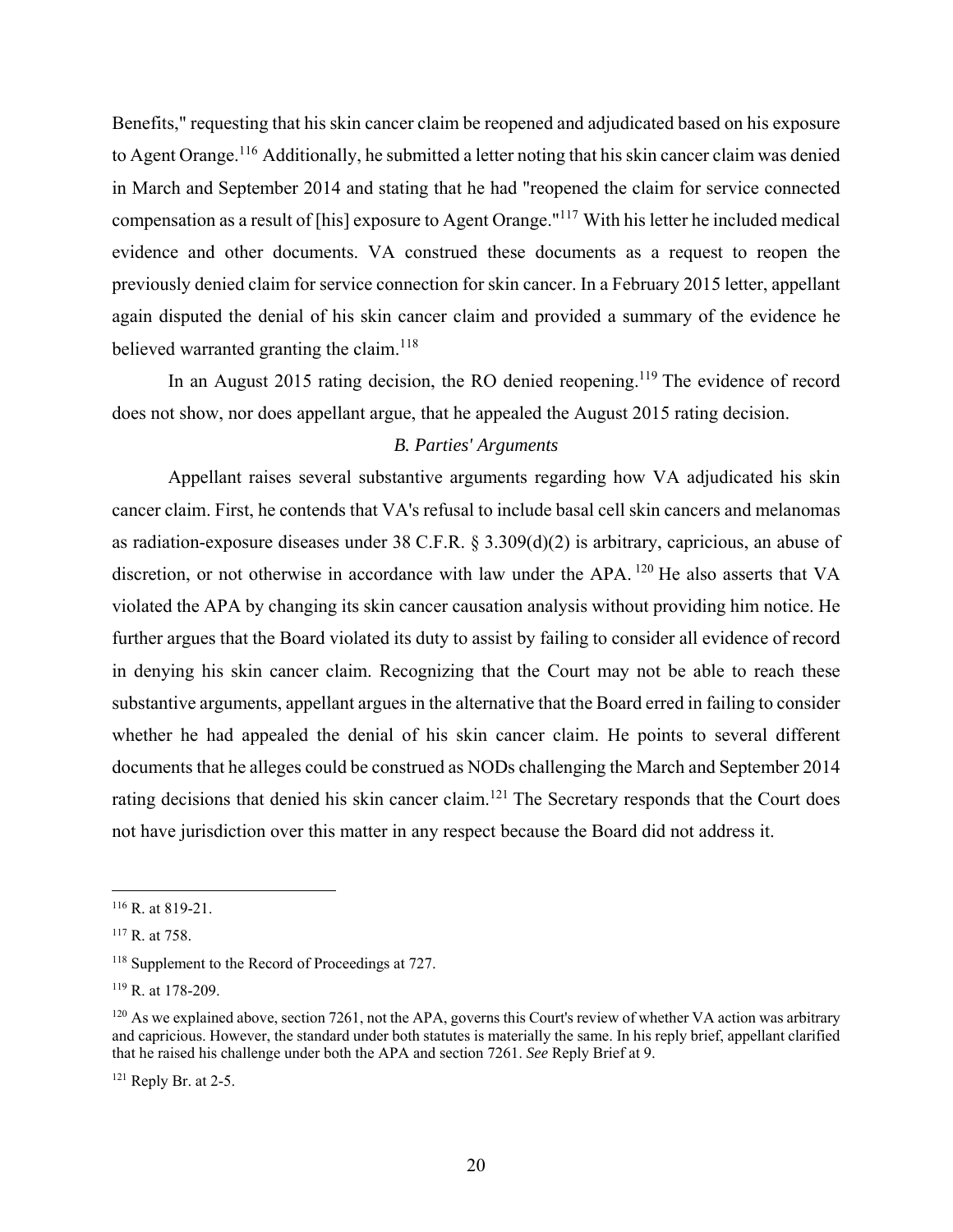Benefits," requesting that his skin cancer claim be reopened and adjudicated based on his exposure to Agent Orange.<sup>116</sup> Additionally, he submitted a letter noting that his skin cancer claim was denied in March and September 2014 and stating that he had "reopened the claim for service connected compensation as a result of [his] exposure to Agent Orange."117 With his letter he included medical evidence and other documents. VA construed these documents as a request to reopen the previously denied claim for service connection for skin cancer. In a February 2015 letter, appellant again disputed the denial of his skin cancer claim and provided a summary of the evidence he believed warranted granting the claim.<sup>118</sup>

In an August 2015 rating decision, the RO denied reopening.<sup>119</sup> The evidence of record does not show, nor does appellant argue, that he appealed the August 2015 rating decision.

# *B. Parties' Arguments*

Appellant raises several substantive arguments regarding how VA adjudicated his skin cancer claim. First, he contends that VA's refusal to include basal cell skin cancers and melanomas as radiation-exposure diseases under 38 C.F.R. § 3.309(d)(2) is arbitrary, capricious, an abuse of discretion, or not otherwise in accordance with law under the APA. <sup>120</sup> He also asserts that VA violated the APA by changing its skin cancer causation analysis without providing him notice. He further argues that the Board violated its duty to assist by failing to consider all evidence of record in denying his skin cancer claim. Recognizing that the Court may not be able to reach these substantive arguments, appellant argues in the alternative that the Board erred in failing to consider whether he had appealed the denial of his skin cancer claim. He points to several different documents that he alleges could be construed as NODs challenging the March and September 2014 rating decisions that denied his skin cancer claim.<sup>121</sup> The Secretary responds that the Court does not have jurisdiction over this matter in any respect because the Board did not address it.

1

<sup>116</sup> R. at 819-21.

<sup>117</sup> R. at 758.

<sup>&</sup>lt;sup>118</sup> Supplement to the Record of Proceedings at 727.

<sup>119</sup> R. at 178-209.

<sup>120</sup> As we explained above, section 7261, not the APA, governs this Court's review of whether VA action was arbitrary and capricious. However, the standard under both statutes is materially the same. In his reply brief, appellant clarified that he raised his challenge under both the APA and section 7261. *See* Reply Brief at 9.

 $121$  Reply Br. at 2-5.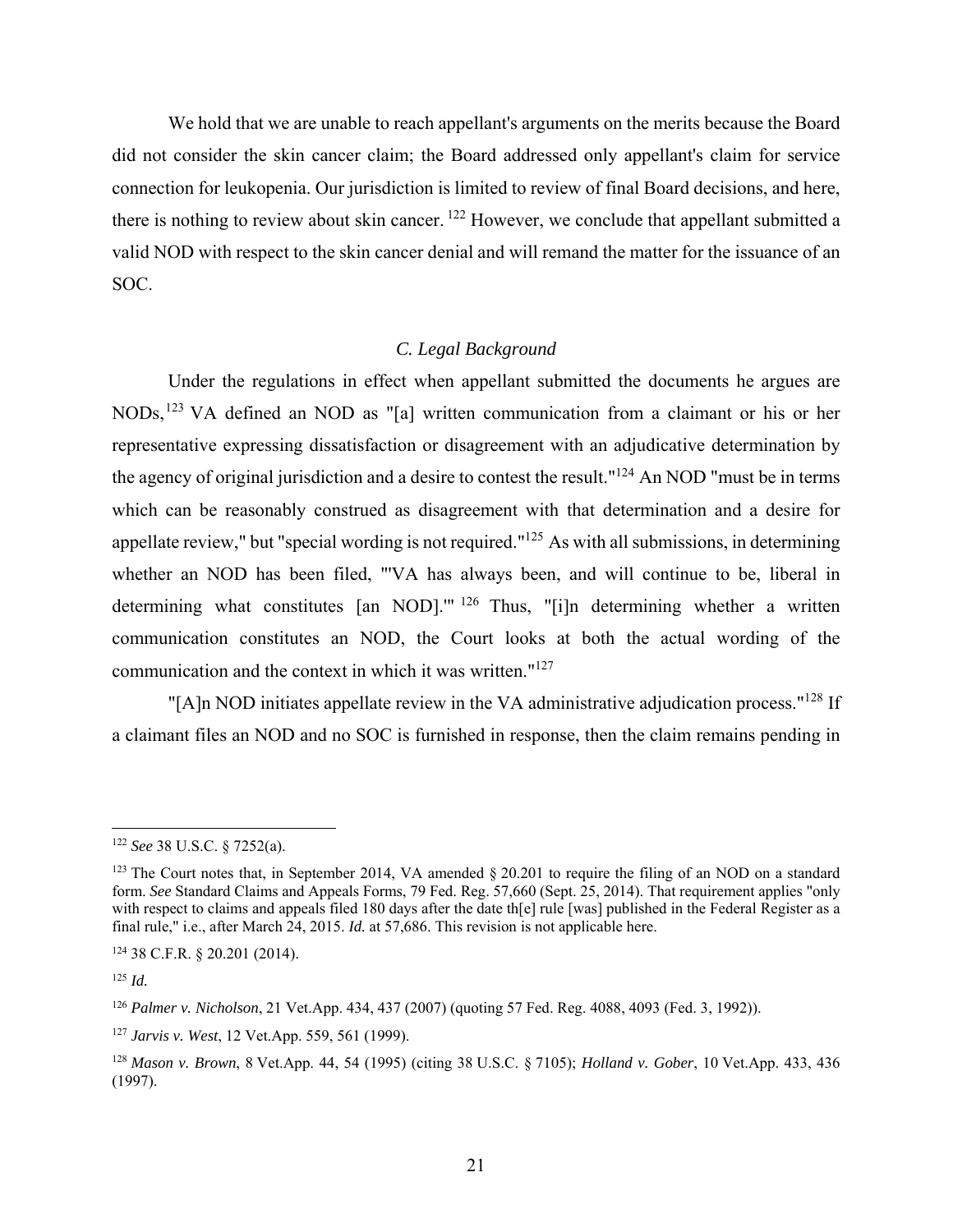We hold that we are unable to reach appellant's arguments on the merits because the Board did not consider the skin cancer claim; the Board addressed only appellant's claim for service connection for leukopenia. Our jurisdiction is limited to review of final Board decisions, and here, there is nothing to review about skin cancer. 122 However, we conclude that appellant submitted a valid NOD with respect to the skin cancer denial and will remand the matter for the issuance of an SOC.

## *C. Legal Background*

Under the regulations in effect when appellant submitted the documents he argues are NODs,123 VA defined an NOD as "[a] written communication from a claimant or his or her representative expressing dissatisfaction or disagreement with an adjudicative determination by the agency of original jurisdiction and a desire to contest the result."124 An NOD "must be in terms which can be reasonably construed as disagreement with that determination and a desire for appellate review," but "special wording is not required."<sup>125</sup> As with all submissions, in determining whether an NOD has been filed, "'VA has always been, and will continue to be, liberal in determining what constitutes [an NOD].'" 126 Thus, "[i]n determining whether a written communication constitutes an NOD, the Court looks at both the actual wording of the communication and the context in which it was written."127

"[A]n NOD initiates appellate review in the VA administrative adjudication process."<sup>128</sup> If a claimant files an NOD and no SOC is furnished in response, then the claim remains pending in

<sup>122</sup> *See* 38 U.S.C. § 7252(a).

<sup>&</sup>lt;sup>123</sup> The Court notes that, in September 2014, VA amended § 20.201 to require the filing of an NOD on a standard form. *See* Standard Claims and Appeals Forms, 79 Fed. Reg. 57,660 (Sept. 25, 2014). That requirement applies "only with respect to claims and appeals filed 180 days after the date the rule [was] published in the Federal Register as a final rule," i.e., after March 24, 2015. *Id.* at 57,686. This revision is not applicable here.

<sup>124 38</sup> C.F.R. § 20.201 (2014).

<sup>125</sup> *Id.*

<sup>126</sup> *Palmer v. Nicholson*, 21 Vet.App. 434, 437 (2007) (quoting 57 Fed. Reg. 4088, 4093 (Fed. 3, 1992)).

<sup>127</sup> *Jarvis v. West*, 12 Vet.App. 559, 561 (1999).

<sup>128</sup> *Mason v. Brown*, 8 Vet.App. 44, 54 (1995) (citing 38 U.S.C. § 7105); *Holland v. Gober*, 10 Vet.App. 433, 436 (1997).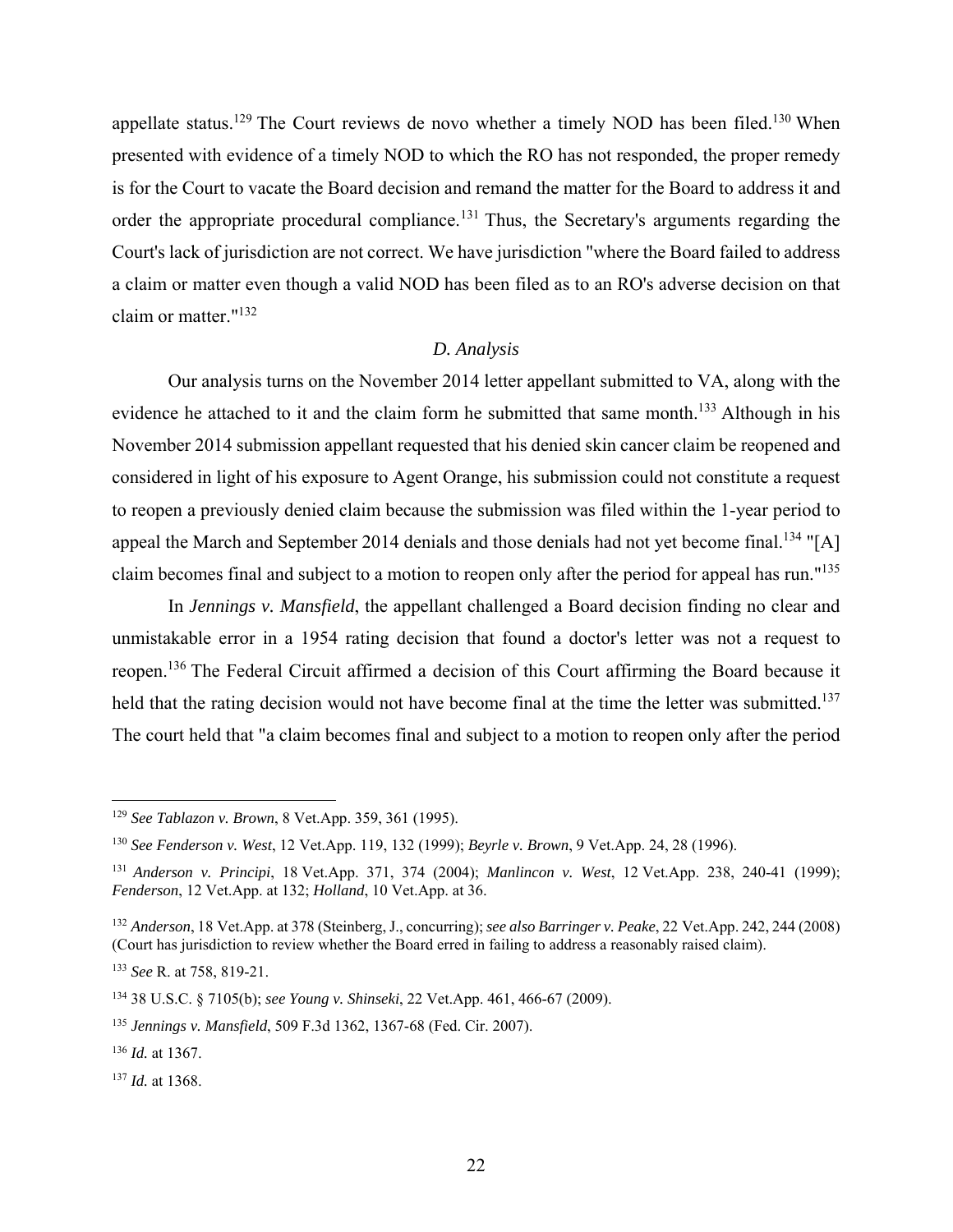appellate status.<sup>129</sup> The Court reviews de novo whether a timely NOD has been filed.<sup>130</sup> When presented with evidence of a timely NOD to which the RO has not responded, the proper remedy is for the Court to vacate the Board decision and remand the matter for the Board to address it and order the appropriate procedural compliance.<sup>131</sup> Thus, the Secretary's arguments regarding the Court's lack of jurisdiction are not correct. We have jurisdiction "where the Board failed to address a claim or matter even though a valid NOD has been filed as to an RO's adverse decision on that claim or matter."132

#### *D. Analysis*

 Our analysis turns on the November 2014 letter appellant submitted to VA, along with the evidence he attached to it and the claim form he submitted that same month.<sup>133</sup> Although in his November 2014 submission appellant requested that his denied skin cancer claim be reopened and considered in light of his exposure to Agent Orange, his submission could not constitute a request to reopen a previously denied claim because the submission was filed within the 1-year period to appeal the March and September 2014 denials and those denials had not yet become final.<sup>134</sup> "[A] claim becomes final and subject to a motion to reopen only after the period for appeal has run."135

In *Jennings v. Mansfield*, the appellant challenged a Board decision finding no clear and unmistakable error in a 1954 rating decision that found a doctor's letter was not a request to reopen.136 The Federal Circuit affirmed a decision of this Court affirming the Board because it held that the rating decision would not have become final at the time the letter was submitted.<sup>137</sup> The court held that "a claim becomes final and subject to a motion to reopen only after the period

1

<sup>129</sup> *See Tablazon v. Brown*, 8 Vet.App. 359, 361 (1995).

<sup>130</sup> *See Fenderson v. West*, 12 Vet.App. 119, 132 (1999); *Beyrle v. Brown*, 9 Vet.App. 24, 28 (1996).

<sup>131</sup> *Anderson v. Principi*, 18 Vet.App. 371, 374 (2004); *Manlincon v. West*, 12 Vet.App. 238, 240-41 (1999); *Fenderson*, 12 Vet.App. at 132; *Holland*, 10 Vet.App. at 36.

<sup>132</sup> *Anderson*, 18 Vet.App. at 378 (Steinberg, J., concurring); *see also Barringer v. Peake*, 22 Vet.App. 242, 244 (2008) (Court has jurisdiction to review whether the Board erred in failing to address a reasonably raised claim).

<sup>133</sup> *See* R. at 758, 819-21.

<sup>134 38</sup> U.S.C. § 7105(b); *see Young v. Shinseki*, 22 Vet.App. 461, 466-67 (2009).

<sup>135</sup> *Jennings v. Mansfield*, 509 F.3d 1362, 1367-68 (Fed. Cir. 2007).

<sup>136</sup> *Id.* at 1367.

<sup>137</sup> *Id.* at 1368.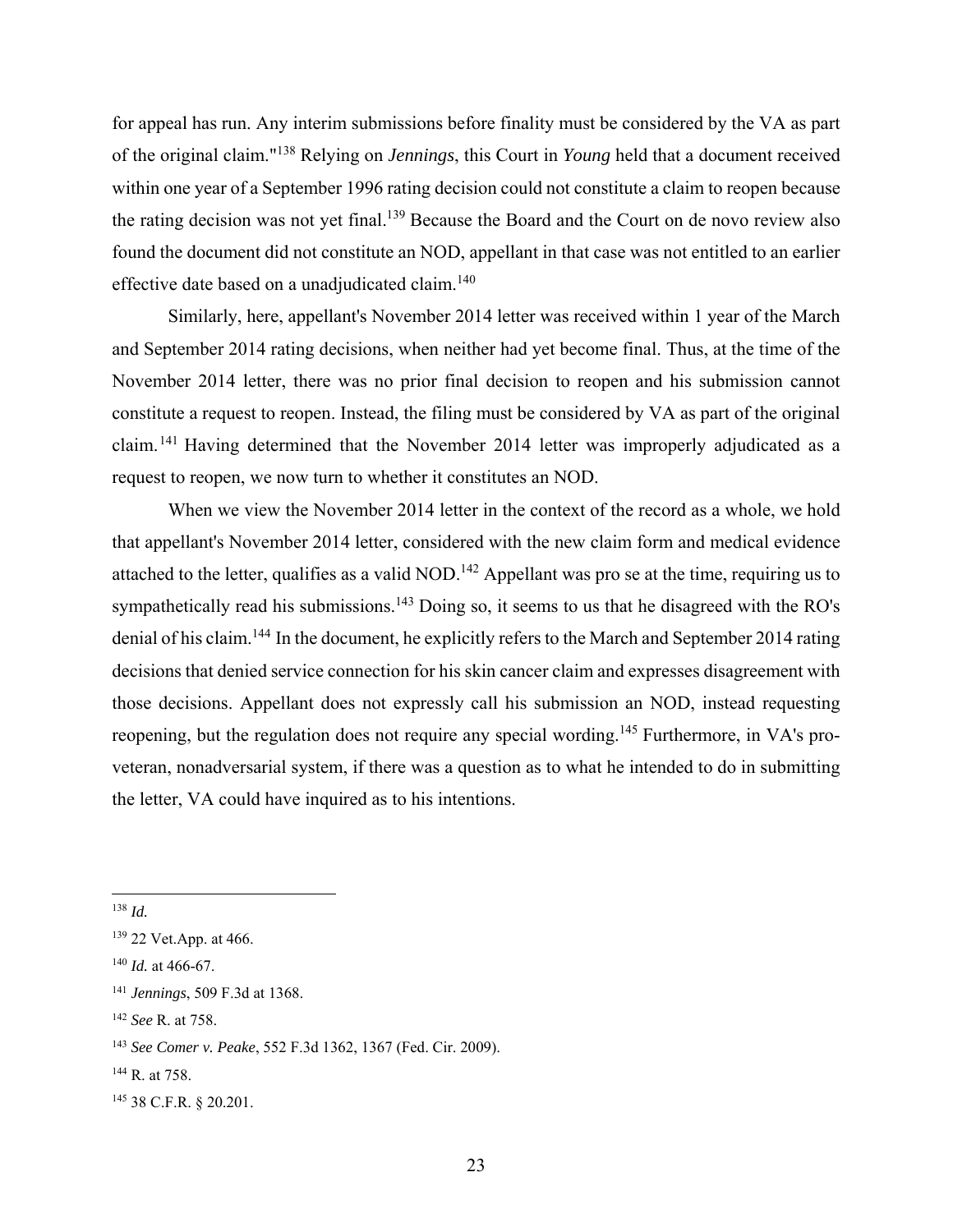for appeal has run. Any interim submissions before finality must be considered by the VA as part of the original claim."138 Relying on *Jennings*, this Court in *Young* held that a document received within one year of a September 1996 rating decision could not constitute a claim to reopen because the rating decision was not yet final.<sup>139</sup> Because the Board and the Court on de novo review also found the document did not constitute an NOD, appellant in that case was not entitled to an earlier effective date based on a unadjudicated claim.<sup>140</sup>

 Similarly, here, appellant's November 2014 letter was received within 1 year of the March and September 2014 rating decisions, when neither had yet become final. Thus, at the time of the November 2014 letter, there was no prior final decision to reopen and his submission cannot constitute a request to reopen. Instead, the filing must be considered by VA as part of the original claim.141 Having determined that the November 2014 letter was improperly adjudicated as a request to reopen, we now turn to whether it constitutes an NOD.

 When we view the November 2014 letter in the context of the record as a whole, we hold that appellant's November 2014 letter, considered with the new claim form and medical evidence attached to the letter, qualifies as a valid NOD.<sup>142</sup> Appellant was pro se at the time, requiring us to sympathetically read his submissions.<sup>143</sup> Doing so, it seems to us that he disagreed with the RO's denial of his claim.144 In the document, he explicitly refers to the March and September 2014 rating decisions that denied service connection for his skin cancer claim and expresses disagreement with those decisions. Appellant does not expressly call his submission an NOD, instead requesting reopening, but the regulation does not require any special wording.<sup>145</sup> Furthermore, in VA's proveteran, nonadversarial system, if there was a question as to what he intended to do in submitting the letter, VA could have inquired as to his intentions.

<sup>138</sup> *Id.*

<sup>139 22</sup> Vet.App. at 466.

<sup>140</sup> *Id.* at 466-67.

<sup>141</sup> *Jennings*, 509 F.3d at 1368.

<sup>142</sup> *See* R. at 758.

<sup>143</sup> *See Comer v. Peake*, 552 F.3d 1362, 1367 (Fed. Cir. 2009).

<sup>144</sup> R. at 758.

<sup>145 38</sup> C.F.R. § 20.201.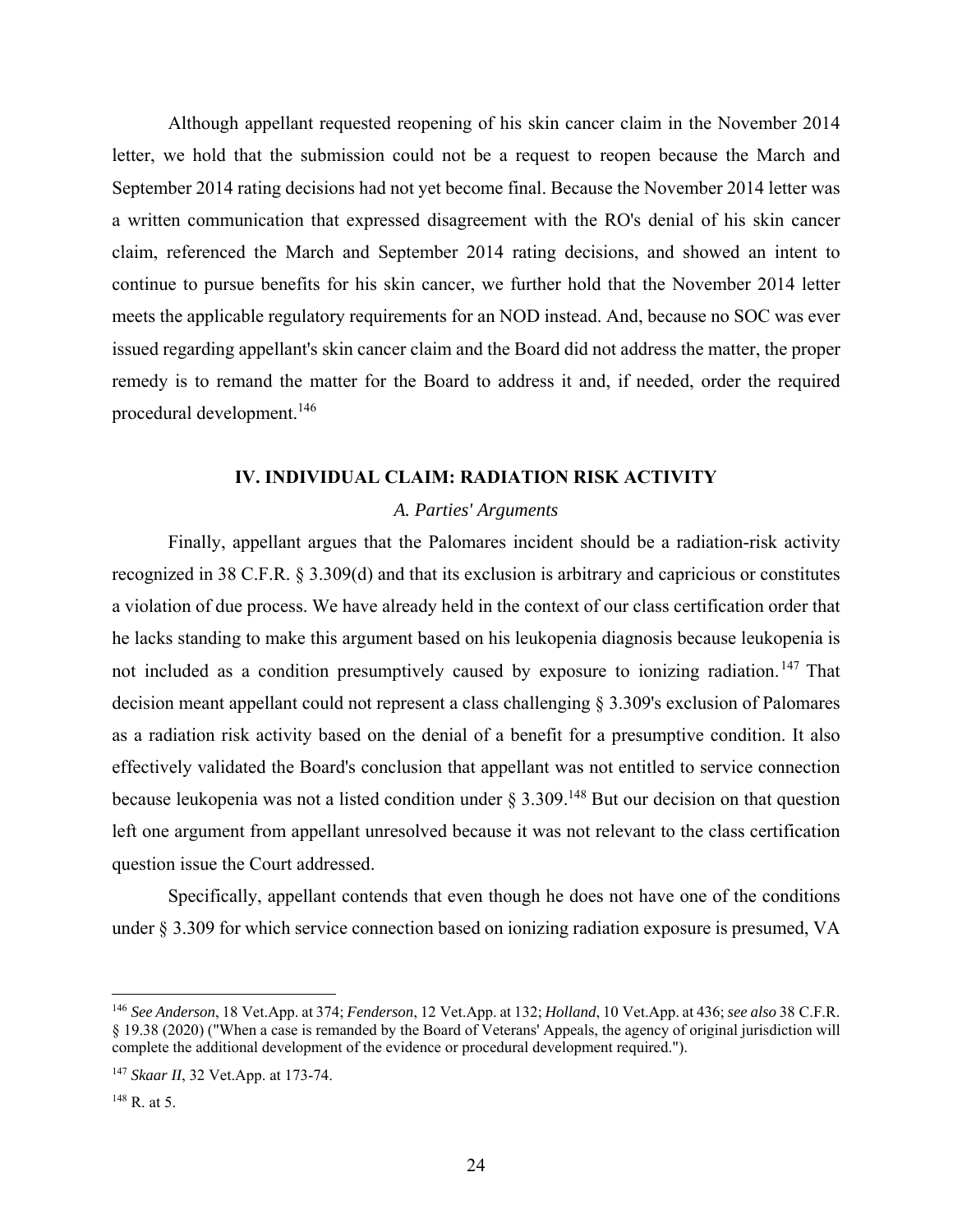Although appellant requested reopening of his skin cancer claim in the November 2014 letter, we hold that the submission could not be a request to reopen because the March and September 2014 rating decisions had not yet become final. Because the November 2014 letter was a written communication that expressed disagreement with the RO's denial of his skin cancer claim, referenced the March and September 2014 rating decisions, and showed an intent to continue to pursue benefits for his skin cancer, we further hold that the November 2014 letter meets the applicable regulatory requirements for an NOD instead. And, because no SOC was ever issued regarding appellant's skin cancer claim and the Board did not address the matter, the proper remedy is to remand the matter for the Board to address it and, if needed, order the required procedural development.146

## **IV. INDIVIDUAL CLAIM: RADIATION RISK ACTIVITY**

#### *A. Parties' Arguments*

Finally, appellant argues that the Palomares incident should be a radiation-risk activity recognized in 38 C.F.R. § 3.309(d) and that its exclusion is arbitrary and capricious or constitutes a violation of due process. We have already held in the context of our class certification order that he lacks standing to make this argument based on his leukopenia diagnosis because leukopenia is not included as a condition presumptively caused by exposure to ionizing radiation.<sup>147</sup> That decision meant appellant could not represent a class challenging § 3.309's exclusion of Palomares as a radiation risk activity based on the denial of a benefit for a presumptive condition. It also effectively validated the Board's conclusion that appellant was not entitled to service connection because leukopenia was not a listed condition under  $\S 3.309$ .<sup>148</sup> But our decision on that question left one argument from appellant unresolved because it was not relevant to the class certification question issue the Court addressed.

Specifically, appellant contends that even though he does not have one of the conditions under § 3.309 for which service connection based on ionizing radiation exposure is presumed, VA

<sup>146</sup> *See Anderson*, 18 Vet.App. at 374; *Fenderson*, 12 Vet.App. at 132; *Holland*, 10 Vet.App. at 436; *see also* 38 C.F.R. § 19.38 (2020) ("When a case is remanded by the Board of Veterans' Appeals, the agency of original jurisdiction will complete the additional development of the evidence or procedural development required.").

<sup>147</sup> *Skaar II*, 32 Vet.App. at 173-74.

<sup>148</sup> R. at 5.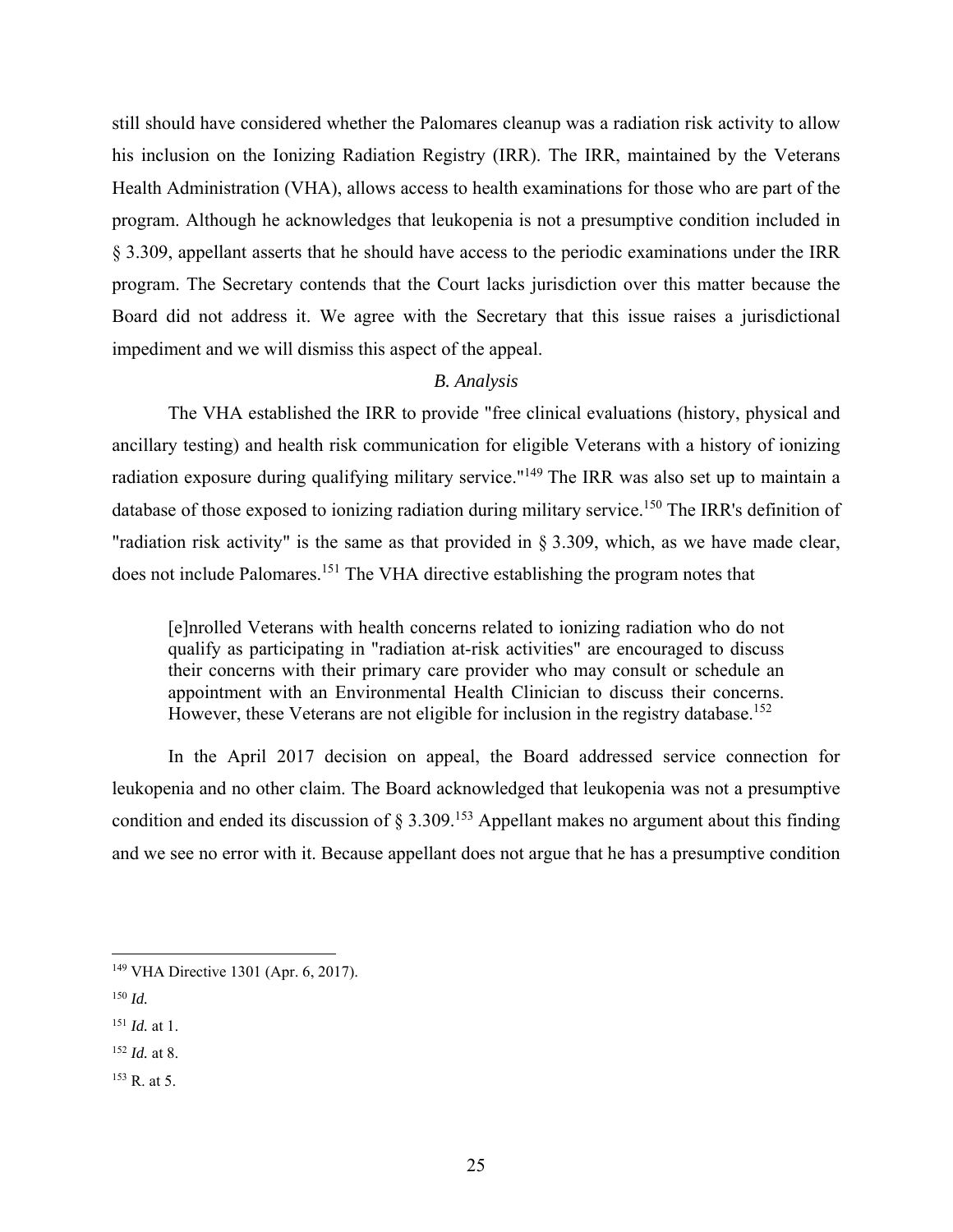still should have considered whether the Palomares cleanup was a radiation risk activity to allow his inclusion on the Ionizing Radiation Registry (IRR). The IRR, maintained by the Veterans Health Administration (VHA), allows access to health examinations for those who are part of the program. Although he acknowledges that leukopenia is not a presumptive condition included in § 3.309, appellant asserts that he should have access to the periodic examinations under the IRR program. The Secretary contends that the Court lacks jurisdiction over this matter because the Board did not address it. We agree with the Secretary that this issue raises a jurisdictional impediment and we will dismiss this aspect of the appeal.

#### *B. Analysis*

 The VHA established the IRR to provide "free clinical evaluations (history, physical and ancillary testing) and health risk communication for eligible Veterans with a history of ionizing radiation exposure during qualifying military service."<sup>149</sup> The IRR was also set up to maintain a database of those exposed to ionizing radiation during military service.<sup>150</sup> The IRR's definition of "radiation risk activity" is the same as that provided in § 3.309, which, as we have made clear, does not include Palomares.151 The VHA directive establishing the program notes that

[e]nrolled Veterans with health concerns related to ionizing radiation who do not qualify as participating in "radiation at-risk activities" are encouraged to discuss their concerns with their primary care provider who may consult or schedule an appointment with an Environmental Health Clinician to discuss their concerns. However, these Veterans are not eligible for inclusion in the registry database.<sup>152</sup>

 In the April 2017 decision on appeal, the Board addressed service connection for leukopenia and no other claim. The Board acknowledged that leukopenia was not a presumptive condition and ended its discussion of  $\S 3.309$ .<sup>153</sup> Appellant makes no argument about this finding and we see no error with it. Because appellant does not argue that he has a presumptive condition

 $\overline{a}$ 

153 R. at 5.

<sup>149</sup> VHA Directive 1301 (Apr. 6, 2017).

 $150$  *Id.* 

<sup>151</sup> *Id.* at 1.

<sup>152</sup> *Id.* at 8.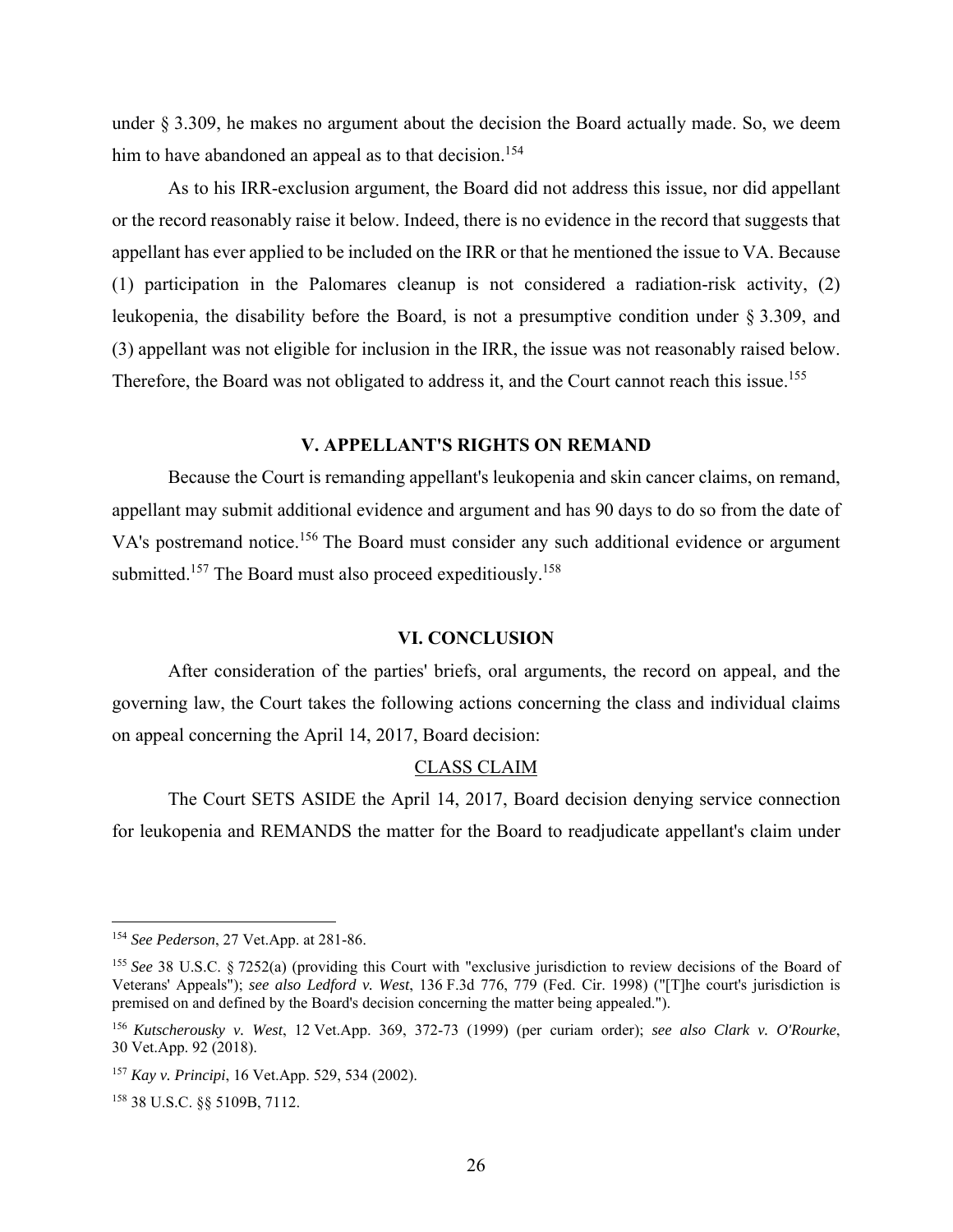under § 3.309, he makes no argument about the decision the Board actually made. So, we deem him to have abandoned an appeal as to that decision.<sup>154</sup>

As to his IRR-exclusion argument, the Board did not address this issue, nor did appellant or the record reasonably raise it below. Indeed, there is no evidence in the record that suggests that appellant has ever applied to be included on the IRR or that he mentioned the issue to VA. Because (1) participation in the Palomares cleanup is not considered a radiation-risk activity, (2) leukopenia, the disability before the Board, is not a presumptive condition under § 3.309, and (3) appellant was not eligible for inclusion in the IRR, the issue was not reasonably raised below. Therefore, the Board was not obligated to address it, and the Court cannot reach this issue.<sup>155</sup>

## **V. APPELLANT'S RIGHTS ON REMAND**

 Because the Court is remanding appellant's leukopenia and skin cancer claims, on remand, appellant may submit additional evidence and argument and has 90 days to do so from the date of VA's postremand notice.<sup>156</sup> The Board must consider any such additional evidence or argument submitted.<sup>157</sup> The Board must also proceed expeditiously.<sup>158</sup>

#### **VI. CONCLUSION**

 After consideration of the parties' briefs, oral arguments, the record on appeal, and the governing law, the Court takes the following actions concerning the class and individual claims on appeal concerning the April 14, 2017, Board decision:

#### CLASS CLAIM

 The Court SETS ASIDE the April 14, 2017, Board decision denying service connection for leukopenia and REMANDS the matter for the Board to readjudicate appellant's claim under

<u>.</u>

<sup>154</sup> *See Pederson*, 27 Vet.App. at 281-86.

<sup>155</sup> *See* 38 U.S.C. § 7252(a) (providing this Court with "exclusive jurisdiction to review decisions of the Board of Veterans' Appeals"); *see also Ledford v. West*, 136 F.3d 776, 779 (Fed. Cir. 1998) ("[T]he court's jurisdiction is premised on and defined by the Board's decision concerning the matter being appealed.").

<sup>156</sup> *Kutscherousky v. West*, 12 Vet.App. 369, 372-73 (1999) (per curiam order); *see also Clark v. O'Rourke*, 30 Vet.App. 92 (2018).

<sup>157</sup> *Kay v. Principi*, 16 Vet.App. 529, 534 (2002).

<sup>158 38</sup> U.S.C. §§ 5109B, 7112.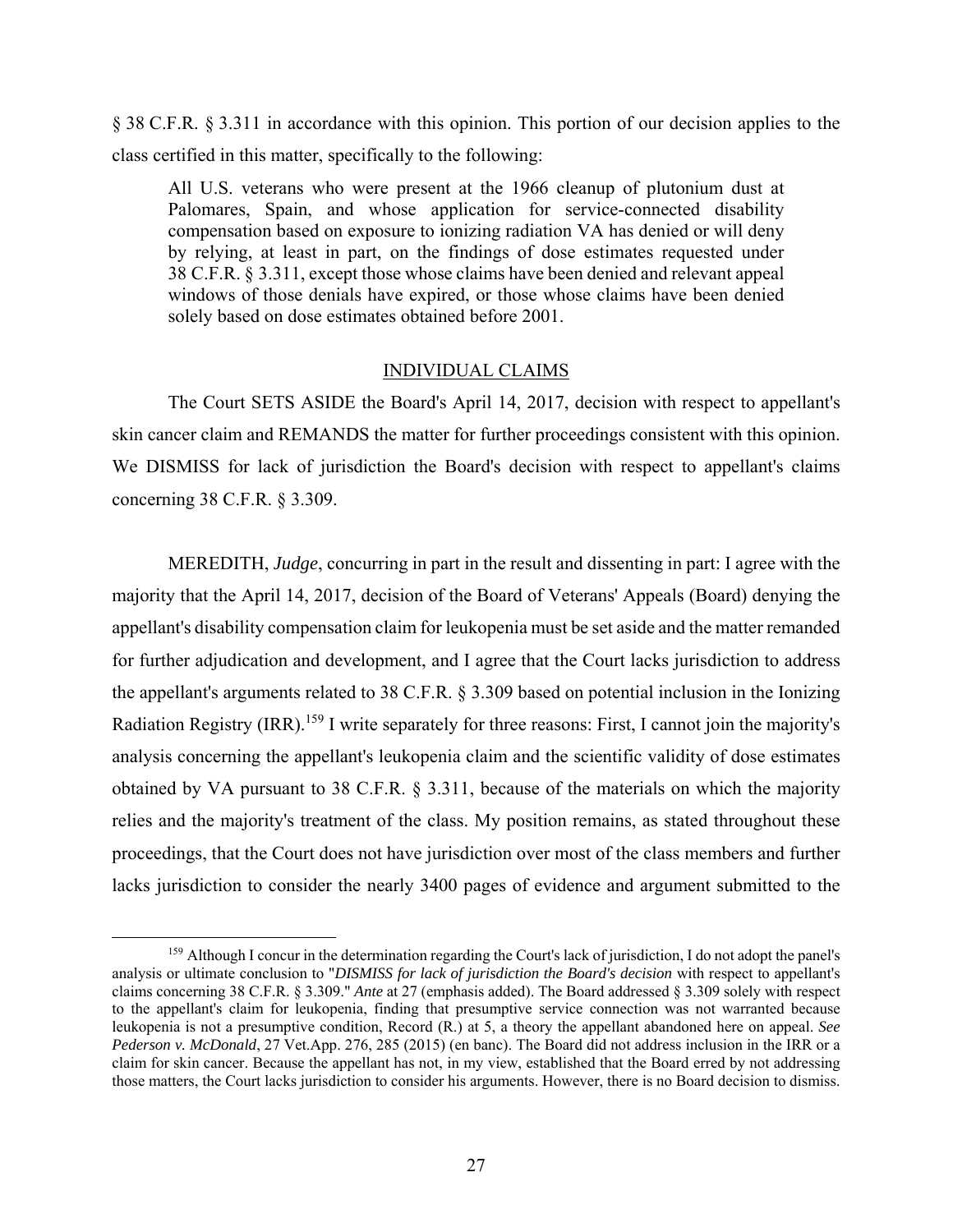§ 38 C.F.R. § 3.311 in accordance with this opinion. This portion of our decision applies to the class certified in this matter, specifically to the following:

All U.S. veterans who were present at the 1966 cleanup of plutonium dust at Palomares, Spain, and whose application for service-connected disability compensation based on exposure to ionizing radiation VA has denied or will deny by relying, at least in part, on the findings of dose estimates requested under 38 C.F.R. § 3.311, except those whose claims have been denied and relevant appeal windows of those denials have expired, or those whose claims have been denied solely based on dose estimates obtained before 2001.

### INDIVIDUAL CLAIMS

 The Court SETS ASIDE the Board's April 14, 2017, decision with respect to appellant's skin cancer claim and REMANDS the matter for further proceedings consistent with this opinion. We DISMISS for lack of jurisdiction the Board's decision with respect to appellant's claims concerning 38 C.F.R. § 3.309.

MEREDITH, *Judge*, concurring in part in the result and dissenting in part: I agree with the majority that the April 14, 2017, decision of the Board of Veterans' Appeals (Board) denying the appellant's disability compensation claim for leukopenia must be set aside and the matter remanded for further adjudication and development, and I agree that the Court lacks jurisdiction to address the appellant's arguments related to 38 C.F.R. § 3.309 based on potential inclusion in the Ionizing Radiation Registry (IRR).<sup>159</sup> I write separately for three reasons: First, I cannot join the majority's analysis concerning the appellant's leukopenia claim and the scientific validity of dose estimates obtained by VA pursuant to 38 C.F.R. § 3.311, because of the materials on which the majority relies and the majority's treatment of the class. My position remains, as stated throughout these proceedings, that the Court does not have jurisdiction over most of the class members and further lacks jurisdiction to consider the nearly 3400 pages of evidence and argument submitted to the

<sup>&</sup>lt;sup>159</sup> Although I concur in the determination regarding the Court's lack of jurisdiction, I do not adopt the panel's analysis or ultimate conclusion to "*DISMISS for lack of jurisdiction the Board's decision* with respect to appellant's claims concerning 38 C.F.R. § 3.309." *Ante* at 27 (emphasis added). The Board addressed § 3.309 solely with respect to the appellant's claim for leukopenia, finding that presumptive service connection was not warranted because leukopenia is not a presumptive condition, Record (R.) at 5, a theory the appellant abandoned here on appeal. *See Pederson v. McDonald*, 27 Vet.App. 276, 285 (2015) (en banc). The Board did not address inclusion in the IRR or a claim for skin cancer. Because the appellant has not, in my view, established that the Board erred by not addressing those matters, the Court lacks jurisdiction to consider his arguments. However, there is no Board decision to dismiss.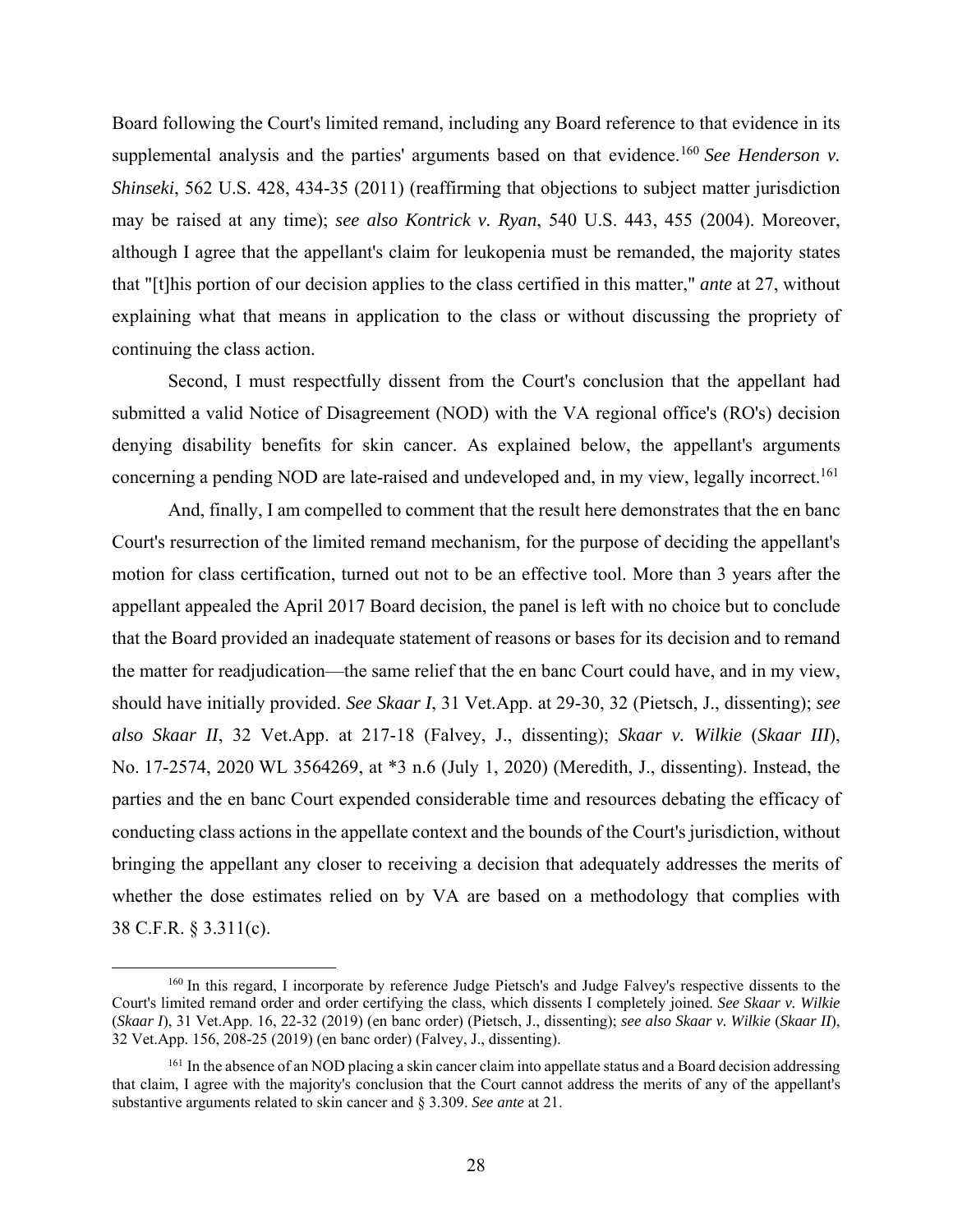Board following the Court's limited remand, including any Board reference to that evidence in its supplemental analysis and the parties' arguments based on that evidence.<sup>160</sup> See Henderson v. *Shinseki*, 562 U.S. 428, 434-35 (2011) (reaffirming that objections to subject matter jurisdiction may be raised at any time); *see also Kontrick v. Ryan*, 540 U.S. 443, 455 (2004). Moreover, although I agree that the appellant's claim for leukopenia must be remanded, the majority states that "[t]his portion of our decision applies to the class certified in this matter," *ante* at 27, without explaining what that means in application to the class or without discussing the propriety of continuing the class action.

Second, I must respectfully dissent from the Court's conclusion that the appellant had submitted a valid Notice of Disagreement (NOD) with the VA regional office's (RO's) decision denying disability benefits for skin cancer. As explained below, the appellant's arguments concerning a pending NOD are late-raised and undeveloped and, in my view, legally incorrect.<sup>161</sup>

And, finally, I am compelled to comment that the result here demonstrates that the en banc Court's resurrection of the limited remand mechanism, for the purpose of deciding the appellant's motion for class certification, turned out not to be an effective tool. More than 3 years after the appellant appealed the April 2017 Board decision, the panel is left with no choice but to conclude that the Board provided an inadequate statement of reasons or bases for its decision and to remand the matter for readjudication—the same relief that the en banc Court could have, and in my view, should have initially provided. *See Skaar I*, 31 Vet.App. at 29-30, 32 (Pietsch, J., dissenting); *see also Skaar II*, 32 Vet.App. at 217-18 (Falvey, J., dissenting); *Skaar v. Wilkie* (*Skaar III*), No. 17-2574, 2020 WL 3564269, at \*3 n.6 (July 1, 2020) (Meredith, J., dissenting). Instead, the parties and the en banc Court expended considerable time and resources debating the efficacy of conducting class actions in the appellate context and the bounds of the Court's jurisdiction, without bringing the appellant any closer to receiving a decision that adequately addresses the merits of whether the dose estimates relied on by VA are based on a methodology that complies with 38 C.F.R. § 3.311(c).

 <sup>160</sup> In this regard, I incorporate by reference Judge Pietsch's and Judge Falvey's respective dissents to the Court's limited remand order and order certifying the class, which dissents I completely joined. *See Skaar v. Wilkie*  (*Skaar I*), 31 Vet.App. 16, 22-32 (2019) (en banc order) (Pietsch, J., dissenting); *see also Skaar v. Wilkie* (*Skaar II*), 32 Vet.App. 156, 208-25 (2019) (en banc order) (Falvey, J., dissenting).

<sup>&</sup>lt;sup>161</sup> In the absence of an NOD placing a skin cancer claim into appellate status and a Board decision addressing that claim, I agree with the majority's conclusion that the Court cannot address the merits of any of the appellant's substantive arguments related to skin cancer and § 3.309. *See ante* at 21.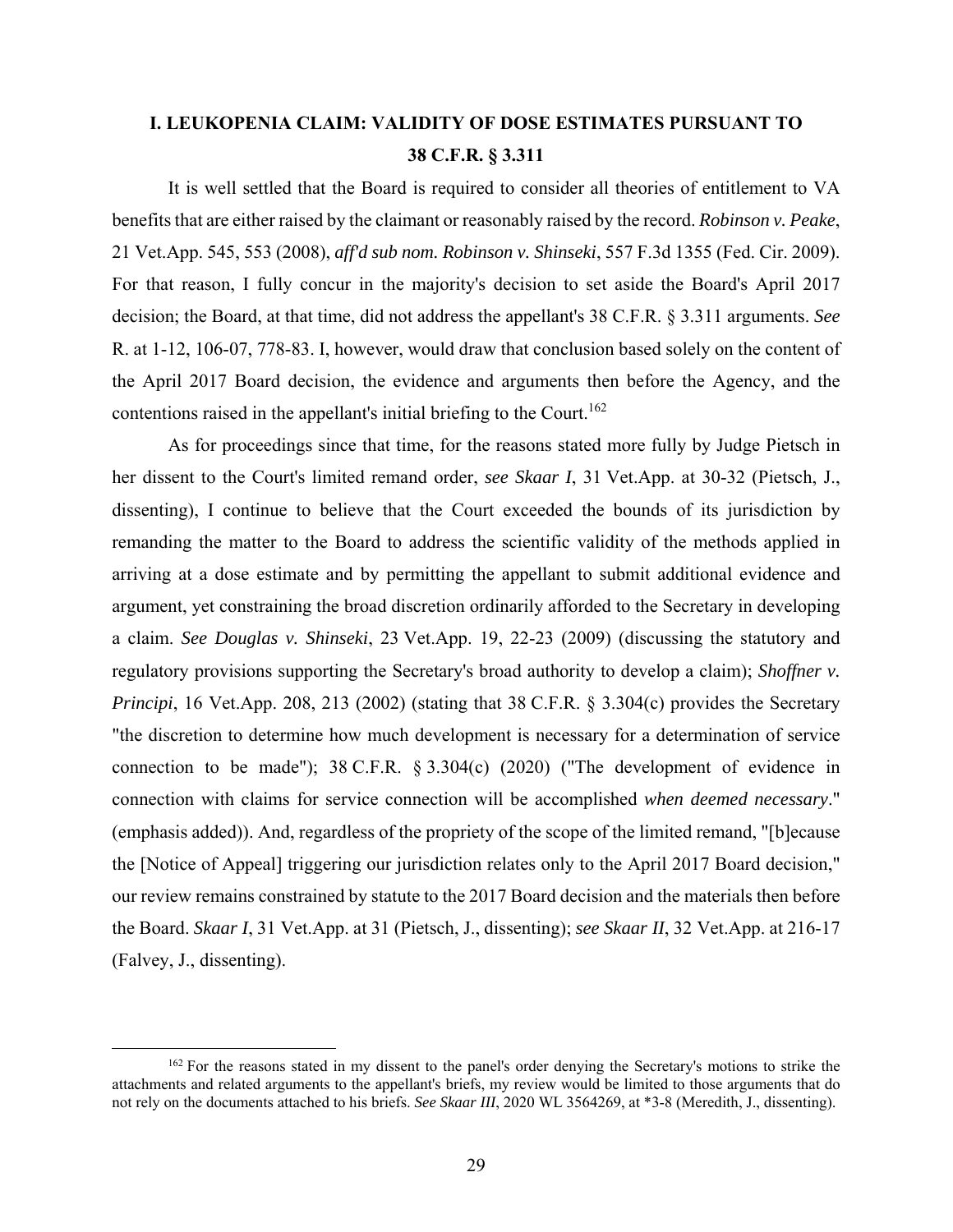# **I. LEUKOPENIA CLAIM: VALIDITY OF DOSE ESTIMATES PURSUANT TO 38 C.F.R. § 3.311**

It is well settled that the Board is required to consider all theories of entitlement to VA benefits that are either raised by the claimant or reasonably raised by the record. *Robinson v. Peake*, 21 Vet.App. 545, 553 (2008), *aff'd sub nom. Robinson v. Shinseki*, 557 F.3d 1355 (Fed. Cir. 2009). For that reason, I fully concur in the majority's decision to set aside the Board's April 2017 decision; the Board, at that time, did not address the appellant's 38 C.F.R. § 3.311 arguments. *See*  R. at 1-12, 106-07, 778-83. I, however, would draw that conclusion based solely on the content of the April 2017 Board decision, the evidence and arguments then before the Agency, and the contentions raised in the appellant's initial briefing to the Court.<sup>162</sup>

As for proceedings since that time, for the reasons stated more fully by Judge Pietsch in her dissent to the Court's limited remand order, *see Skaar I*, 31 Vet.App. at 30-32 (Pietsch, J., dissenting), I continue to believe that the Court exceeded the bounds of its jurisdiction by remanding the matter to the Board to address the scientific validity of the methods applied in arriving at a dose estimate and by permitting the appellant to submit additional evidence and argument, yet constraining the broad discretion ordinarily afforded to the Secretary in developing a claim. *See Douglas v. Shinseki*, 23 Vet.App. 19, 22-23 (2009) (discussing the statutory and regulatory provisions supporting the Secretary's broad authority to develop a claim); *Shoffner v. Principi*, 16 Vet.App. 208, 213 (2002) (stating that 38 C.F.R. § 3.304(c) provides the Secretary "the discretion to determine how much development is necessary for a determination of service connection to be made"); 38 C.F.R. § 3.304(c) (2020) ("The development of evidence in connection with claims for service connection will be accomplished *when deemed necessary*." (emphasis added)). And, regardless of the propriety of the scope of the limited remand, "[b]ecause the [Notice of Appeal] triggering our jurisdiction relates only to the April 2017 Board decision," our review remains constrained by statute to the 2017 Board decision and the materials then before the Board. *Skaar I*, 31 Vet.App. at 31 (Pietsch, J., dissenting); *see Skaar II*, 32 Vet.App. at 216-17 (Falvey, J., dissenting).

<sup>&</sup>lt;sup>162</sup> For the reasons stated in my dissent to the panel's order denying the Secretary's motions to strike the attachments and related arguments to the appellant's briefs, my review would be limited to those arguments that do not rely on the documents attached to his briefs. *See Skaar III*, 2020 WL 3564269, at \*3-8 (Meredith, J., dissenting).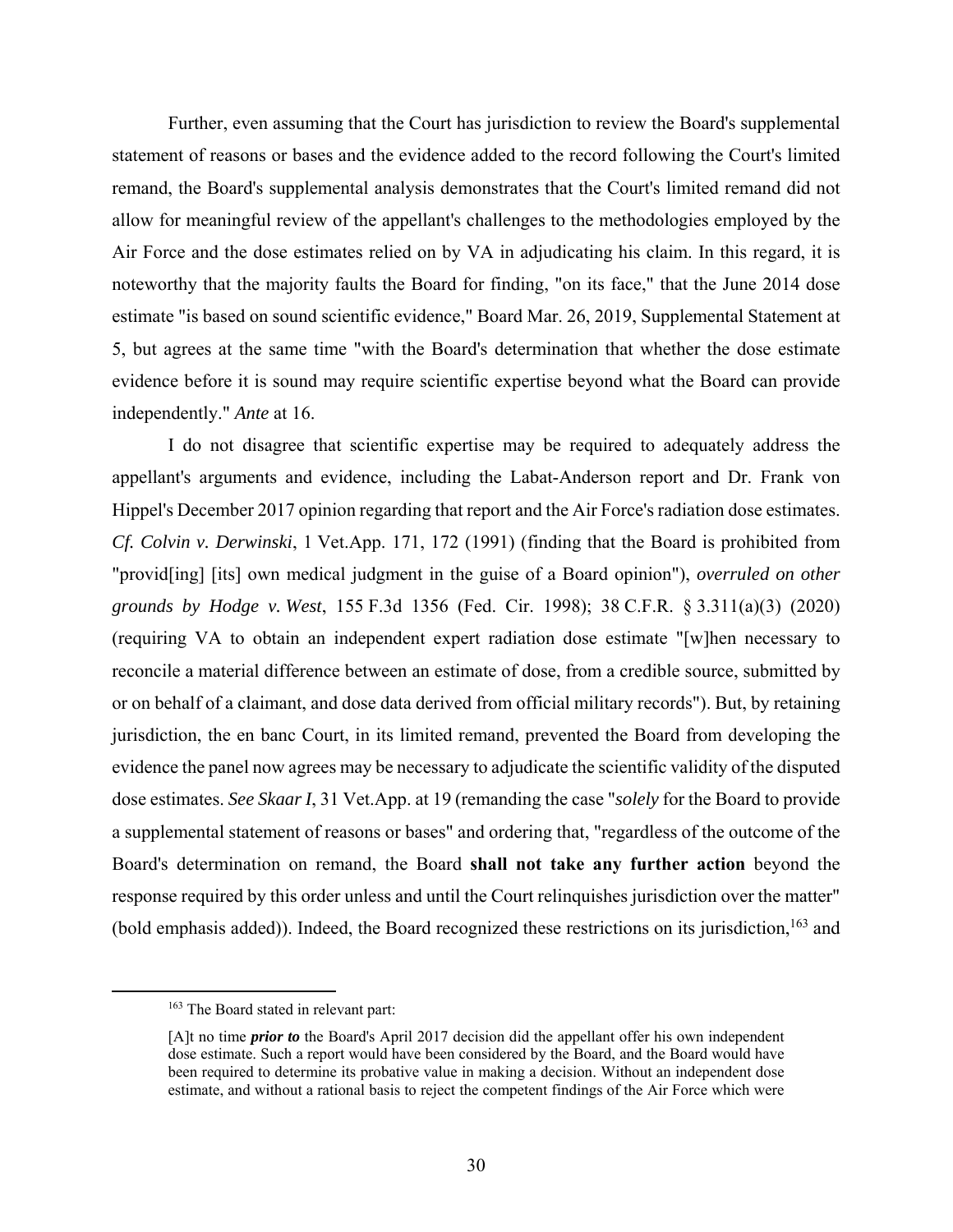Further, even assuming that the Court has jurisdiction to review the Board's supplemental statement of reasons or bases and the evidence added to the record following the Court's limited remand, the Board's supplemental analysis demonstrates that the Court's limited remand did not allow for meaningful review of the appellant's challenges to the methodologies employed by the Air Force and the dose estimates relied on by VA in adjudicating his claim. In this regard, it is noteworthy that the majority faults the Board for finding, "on its face," that the June 2014 dose estimate "is based on sound scientific evidence," Board Mar. 26, 2019, Supplemental Statement at 5, but agrees at the same time "with the Board's determination that whether the dose estimate evidence before it is sound may require scientific expertise beyond what the Board can provide independently." *Ante* at 16.

I do not disagree that scientific expertise may be required to adequately address the appellant's arguments and evidence, including the Labat-Anderson report and Dr. Frank von Hippel's December 2017 opinion regarding that report and the Air Force's radiation dose estimates. *Cf. Colvin v. Derwinski*, 1 Vet.App. 171, 172 (1991) (finding that the Board is prohibited from "provid[ing] [its] own medical judgment in the guise of a Board opinion"), *overruled on other grounds by Hodge v. West*, 155 F.3d 1356 (Fed. Cir. 1998); 38 C.F.R. § 3.311(a)(3) (2020) (requiring VA to obtain an independent expert radiation dose estimate "[w]hen necessary to reconcile a material difference between an estimate of dose, from a credible source, submitted by or on behalf of a claimant, and dose data derived from official military records"). But, by retaining jurisdiction, the en banc Court, in its limited remand, prevented the Board from developing the evidence the panel now agrees may be necessary to adjudicate the scientific validity of the disputed dose estimates. *See Skaar I*, 31 Vet.App. at 19 (remanding the case "*solely* for the Board to provide a supplemental statement of reasons or bases" and ordering that, "regardless of the outcome of the Board's determination on remand, the Board **shall not take any further action** beyond the response required by this order unless and until the Court relinquishes jurisdiction over the matter" (bold emphasis added)). Indeed, the Board recognized these restrictions on its jurisdiction,<sup>163</sup> and

<sup>&</sup>lt;sup>163</sup> The Board stated in relevant part:

<sup>[</sup>A]t no time *prior to* the Board's April 2017 decision did the appellant offer his own independent dose estimate. Such a report would have been considered by the Board, and the Board would have been required to determine its probative value in making a decision. Without an independent dose estimate, and without a rational basis to reject the competent findings of the Air Force which were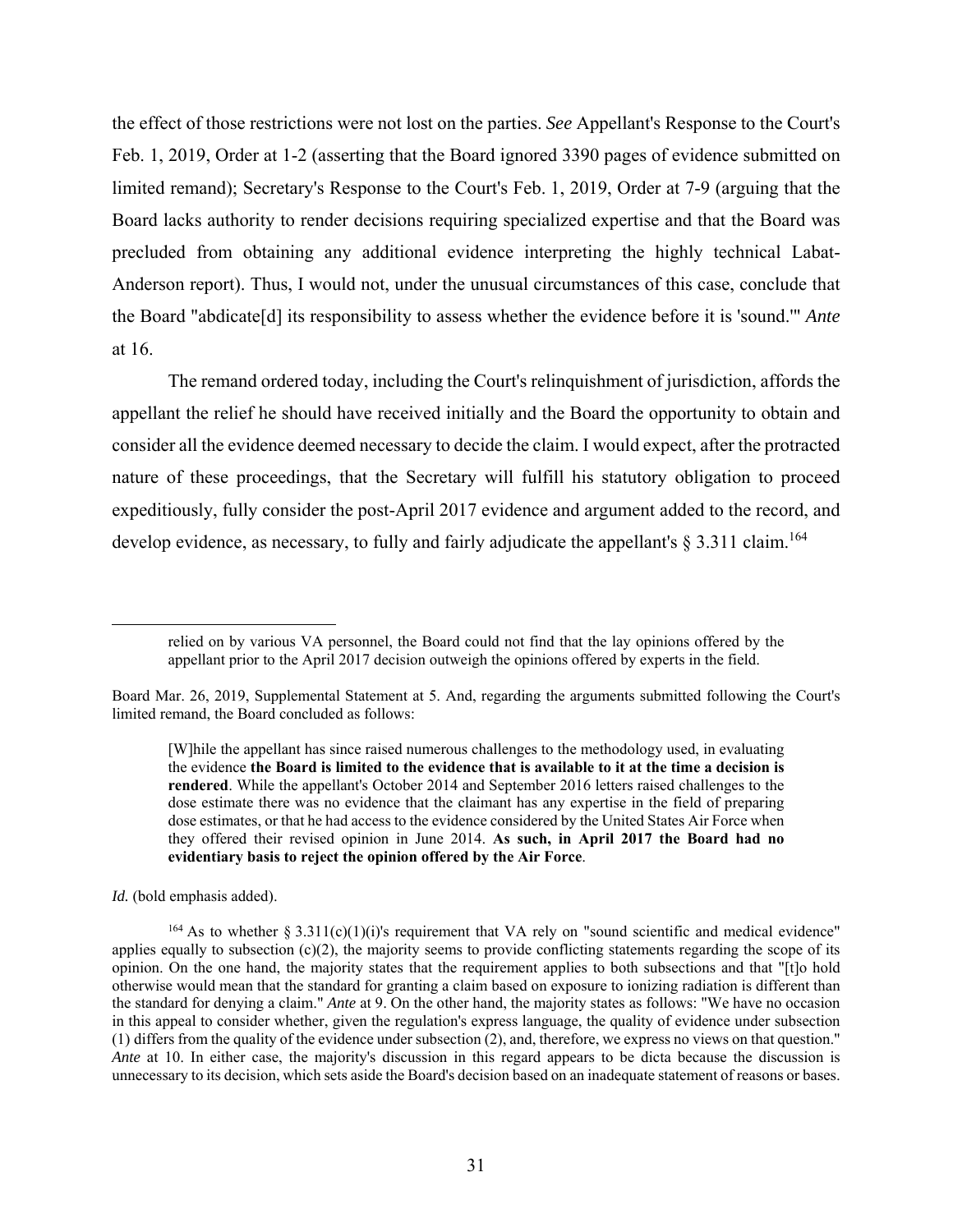the effect of those restrictions were not lost on the parties. *See* Appellant's Response to the Court's Feb. 1, 2019, Order at 1-2 (asserting that the Board ignored 3390 pages of evidence submitted on limited remand); Secretary's Response to the Court's Feb. 1, 2019, Order at 7-9 (arguing that the Board lacks authority to render decisions requiring specialized expertise and that the Board was precluded from obtaining any additional evidence interpreting the highly technical Labat-Anderson report). Thus, I would not, under the unusual circumstances of this case, conclude that the Board "abdicate[d] its responsibility to assess whether the evidence before it is 'sound.'" *Ante*  at 16.

The remand ordered today, including the Court's relinquishment of jurisdiction, affords the appellant the relief he should have received initially and the Board the opportunity to obtain and consider all the evidence deemed necessary to decide the claim. I would expect, after the protracted nature of these proceedings, that the Secretary will fulfill his statutory obligation to proceed expeditiously, fully consider the post-April 2017 evidence and argument added to the record, and develop evidence, as necessary, to fully and fairly adjudicate the appellant's  $\S 3.311$  claim.<sup>164</sup>

*Id.* (bold emphasis added).

relied on by various VA personnel, the Board could not find that the lay opinions offered by the appellant prior to the April 2017 decision outweigh the opinions offered by experts in the field.

Board Mar. 26, 2019, Supplemental Statement at 5. And, regarding the arguments submitted following the Court's limited remand, the Board concluded as follows:

<sup>[</sup>W]hile the appellant has since raised numerous challenges to the methodology used, in evaluating the evidence **the Board is limited to the evidence that is available to it at the time a decision is rendered**. While the appellant's October 2014 and September 2016 letters raised challenges to the dose estimate there was no evidence that the claimant has any expertise in the field of preparing dose estimates, or that he had access to the evidence considered by the United States Air Force when they offered their revised opinion in June 2014. **As such, in April 2017 the Board had no evidentiary basis to reject the opinion offered by the Air Force**.

 $164$  As to whether § 3.311(c)(1)(i)'s requirement that VA rely on "sound scientific and medical evidence" applies equally to subsection  $(c)(2)$ , the majority seems to provide conflicting statements regarding the scope of its opinion. On the one hand, the majority states that the requirement applies to both subsections and that "[t]o hold otherwise would mean that the standard for granting a claim based on exposure to ionizing radiation is different than the standard for denying a claim." *Ante* at 9. On the other hand, the majority states as follows: "We have no occasion in this appeal to consider whether, given the regulation's express language, the quality of evidence under subsection (1) differs from the quality of the evidence under subsection (2), and, therefore, we express no views on that question." *Ante* at 10. In either case, the majority's discussion in this regard appears to be dicta because the discussion is unnecessary to its decision, which sets aside the Board's decision based on an inadequate statement of reasons or bases.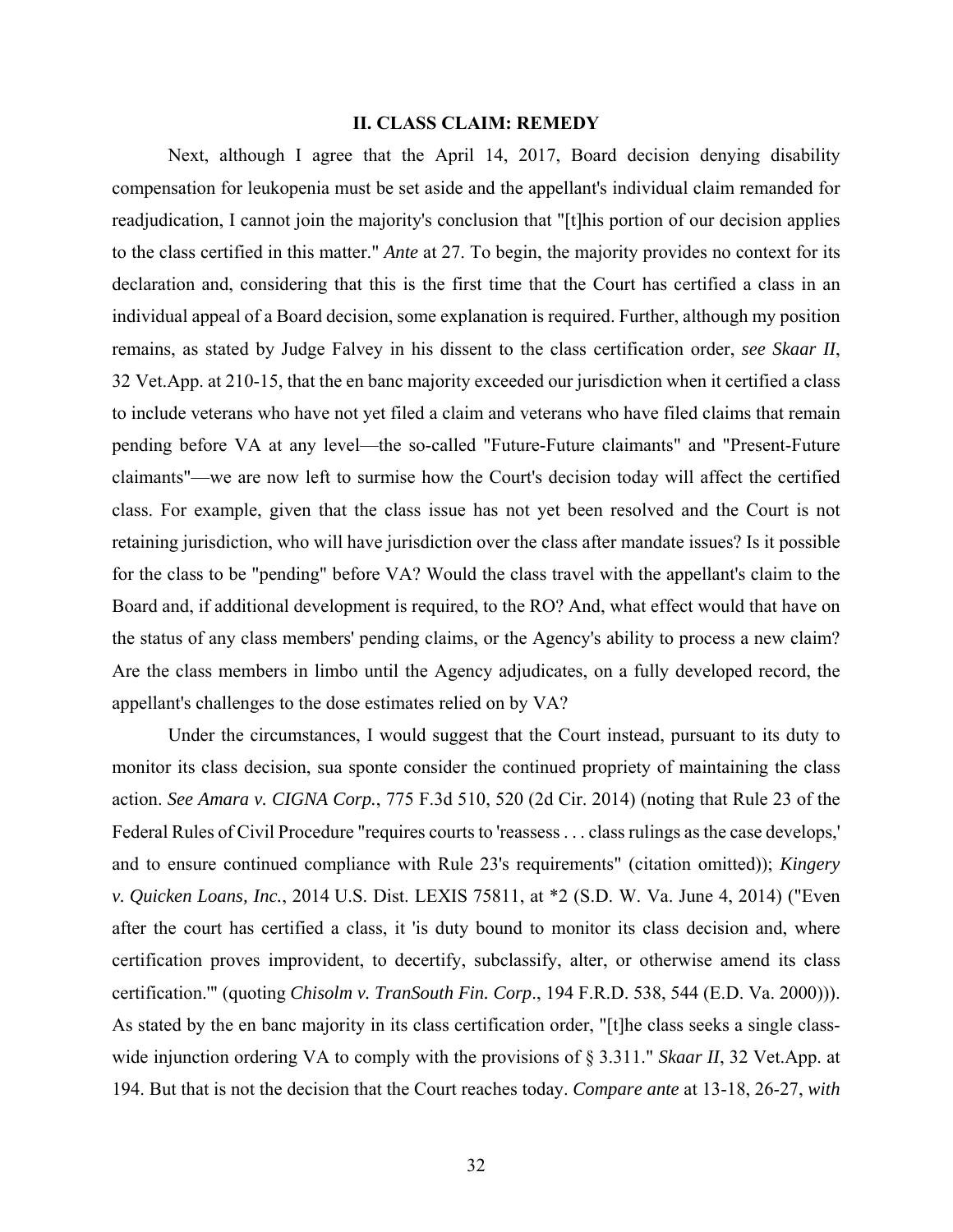#### **II. CLASS CLAIM: REMEDY**

Next, although I agree that the April 14, 2017, Board decision denying disability compensation for leukopenia must be set aside and the appellant's individual claim remanded for readjudication, I cannot join the majority's conclusion that "[t]his portion of our decision applies to the class certified in this matter." *Ante* at 27. To begin, the majority provides no context for its declaration and, considering that this is the first time that the Court has certified a class in an individual appeal of a Board decision, some explanation is required. Further, although my position remains, as stated by Judge Falvey in his dissent to the class certification order, *see Skaar II*, 32 Vet.App. at 210-15, that the en banc majority exceeded our jurisdiction when it certified a class to include veterans who have not yet filed a claim and veterans who have filed claims that remain pending before VA at any level—the so-called "Future-Future claimants" and "Present-Future claimants"—we are now left to surmise how the Court's decision today will affect the certified class. For example, given that the class issue has not yet been resolved and the Court is not retaining jurisdiction, who will have jurisdiction over the class after mandate issues? Is it possible for the class to be "pending" before VA? Would the class travel with the appellant's claim to the Board and, if additional development is required, to the RO? And, what effect would that have on the status of any class members' pending claims, or the Agency's ability to process a new claim? Are the class members in limbo until the Agency adjudicates, on a fully developed record, the appellant's challenges to the dose estimates relied on by VA?

Under the circumstances, I would suggest that the Court instead, pursuant to its duty to monitor its class decision, sua sponte consider the continued propriety of maintaining the class action. *See Amara v. CIGNA Corp.*, 775 F.3d 510, 520 (2d Cir. 2014) (noting that Rule 23 of the Federal Rules of Civil Procedure "requires courts to 'reassess . . . class rulings as the case develops,' and to ensure continued compliance with Rule 23's requirements" (citation omitted)); *Kingery v. Quicken Loans, Inc.*, 2014 U.S. Dist. LEXIS 75811, at \*2 (S.D. W. Va. June 4, 2014) ("Even after the court has certified a class, it 'is duty bound to monitor its class decision and, where certification proves improvident, to decertify, subclassify, alter, or otherwise amend its class certification.'" (quoting *Chisolm v. TranSouth Fin. Corp*., 194 F.R.D. 538, 544 (E.D. Va. 2000))). As stated by the en banc majority in its class certification order, "[t]he class seeks a single classwide injunction ordering VA to comply with the provisions of § 3.311." *Skaar II*, 32 Vet.App. at 194. But that is not the decision that the Court reaches today. *Compare ante* at 13-18, 26-27, *with*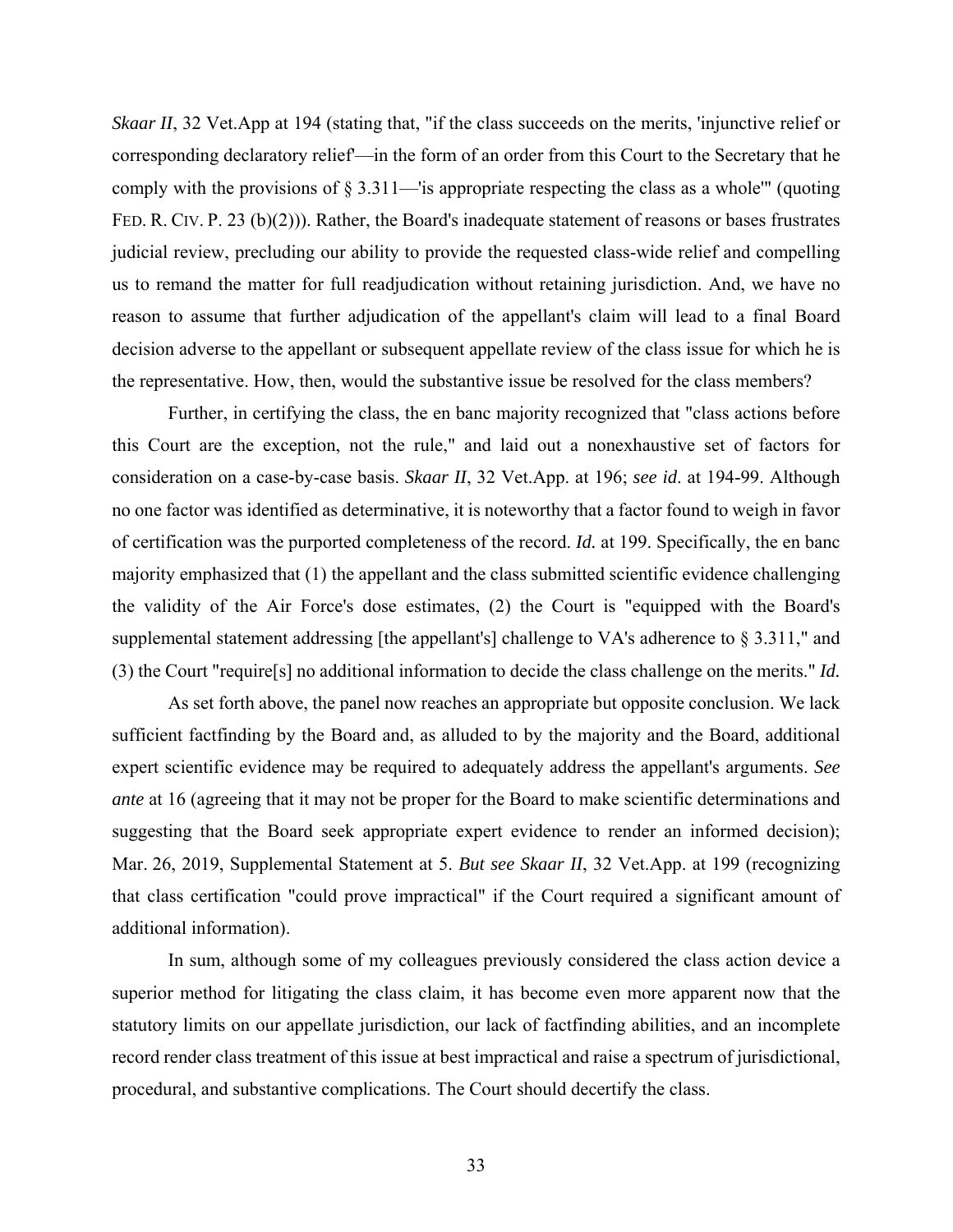*Skaar II*, 32 Vet. App at 194 (stating that, "if the class succeeds on the merits, 'injunctive relief or corresponding declaratory relief'—in the form of an order from this Court to the Secretary that he comply with the provisions of § 3.311—'is appropriate respecting the class as a whole'" (quoting FED. R. CIV. P. 23 (b)(2))). Rather, the Board's inadequate statement of reasons or bases frustrates judicial review, precluding our ability to provide the requested class-wide relief and compelling us to remand the matter for full readjudication without retaining jurisdiction. And, we have no reason to assume that further adjudication of the appellant's claim will lead to a final Board decision adverse to the appellant or subsequent appellate review of the class issue for which he is the representative. How, then, would the substantive issue be resolved for the class members?

Further, in certifying the class, the en banc majority recognized that "class actions before this Court are the exception, not the rule," and laid out a nonexhaustive set of factors for consideration on a case-by-case basis. *Skaar II*, 32 Vet.App. at 196; *see id*. at 194-99. Although no one factor was identified as determinative, it is noteworthy that a factor found to weigh in favor of certification was the purported completeness of the record. *Id.* at 199. Specifically, the en banc majority emphasized that (1) the appellant and the class submitted scientific evidence challenging the validity of the Air Force's dose estimates, (2) the Court is "equipped with the Board's supplemental statement addressing [the appellant's] challenge to VA's adherence to § 3.311," and (3) the Court "require[s] no additional information to decide the class challenge on the merits." *Id.*

As set forth above, the panel now reaches an appropriate but opposite conclusion. We lack sufficient factfinding by the Board and, as alluded to by the majority and the Board, additional expert scientific evidence may be required to adequately address the appellant's arguments. *See ante* at 16 (agreeing that it may not be proper for the Board to make scientific determinations and suggesting that the Board seek appropriate expert evidence to render an informed decision); Mar. 26, 2019, Supplemental Statement at 5. *But see Skaar II*, 32 Vet.App. at 199 (recognizing that class certification "could prove impractical" if the Court required a significant amount of additional information).

In sum, although some of my colleagues previously considered the class action device a superior method for litigating the class claim, it has become even more apparent now that the statutory limits on our appellate jurisdiction, our lack of factfinding abilities, and an incomplete record render class treatment of this issue at best impractical and raise a spectrum of jurisdictional, procedural, and substantive complications. The Court should decertify the class.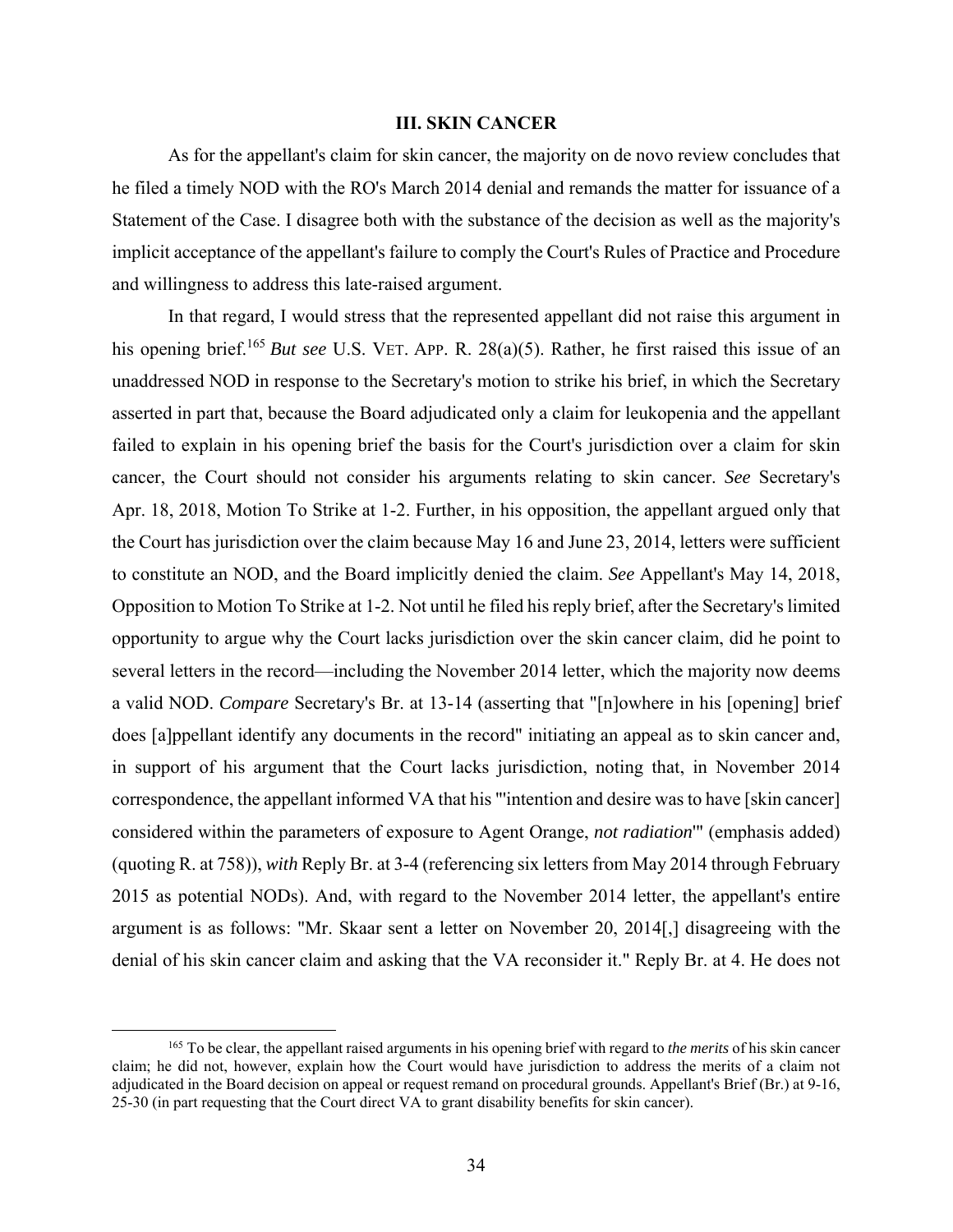## **III. SKIN CANCER**

As for the appellant's claim for skin cancer, the majority on de novo review concludes that he filed a timely NOD with the RO's March 2014 denial and remands the matter for issuance of a Statement of the Case. I disagree both with the substance of the decision as well as the majority's implicit acceptance of the appellant's failure to comply the Court's Rules of Practice and Procedure and willingness to address this late-raised argument.

In that regard, I would stress that the represented appellant did not raise this argument in his opening brief.<sup>165</sup> *But see* U.S. VET. APP. R. 28(a)(5). Rather, he first raised this issue of an unaddressed NOD in response to the Secretary's motion to strike his brief, in which the Secretary asserted in part that, because the Board adjudicated only a claim for leukopenia and the appellant failed to explain in his opening brief the basis for the Court's jurisdiction over a claim for skin cancer, the Court should not consider his arguments relating to skin cancer. *See* Secretary's Apr. 18, 2018, Motion To Strike at 1-2. Further, in his opposition, the appellant argued only that the Court has jurisdiction over the claim because May 16 and June 23, 2014, letters were sufficient to constitute an NOD, and the Board implicitly denied the claim. *See* Appellant's May 14, 2018, Opposition to Motion To Strike at 1-2. Not until he filed his reply brief, after the Secretary's limited opportunity to argue why the Court lacks jurisdiction over the skin cancer claim, did he point to several letters in the record—including the November 2014 letter, which the majority now deems a valid NOD. *Compare* Secretary's Br. at 13-14 (asserting that "[n]owhere in his [opening] brief does [a]ppellant identify any documents in the record" initiating an appeal as to skin cancer and, in support of his argument that the Court lacks jurisdiction, noting that, in November 2014 correspondence, the appellant informed VA that his "'intention and desire was to have [skin cancer] considered within the parameters of exposure to Agent Orange, *not radiation*'" (emphasis added) (quoting R. at 758)), *with* Reply Br. at 3-4 (referencing six letters from May 2014 through February 2015 as potential NODs). And, with regard to the November 2014 letter, the appellant's entire argument is as follows: "Mr. Skaar sent a letter on November 20, 2014[,] disagreeing with the denial of his skin cancer claim and asking that the VA reconsider it." Reply Br. at 4. He does not

 <sup>165</sup> To be clear, the appellant raised arguments in his opening brief with regard to *the merits* of his skin cancer claim; he did not, however, explain how the Court would have jurisdiction to address the merits of a claim not adjudicated in the Board decision on appeal or request remand on procedural grounds. Appellant's Brief (Br.) at 9-16, 25-30 (in part requesting that the Court direct VA to grant disability benefits for skin cancer).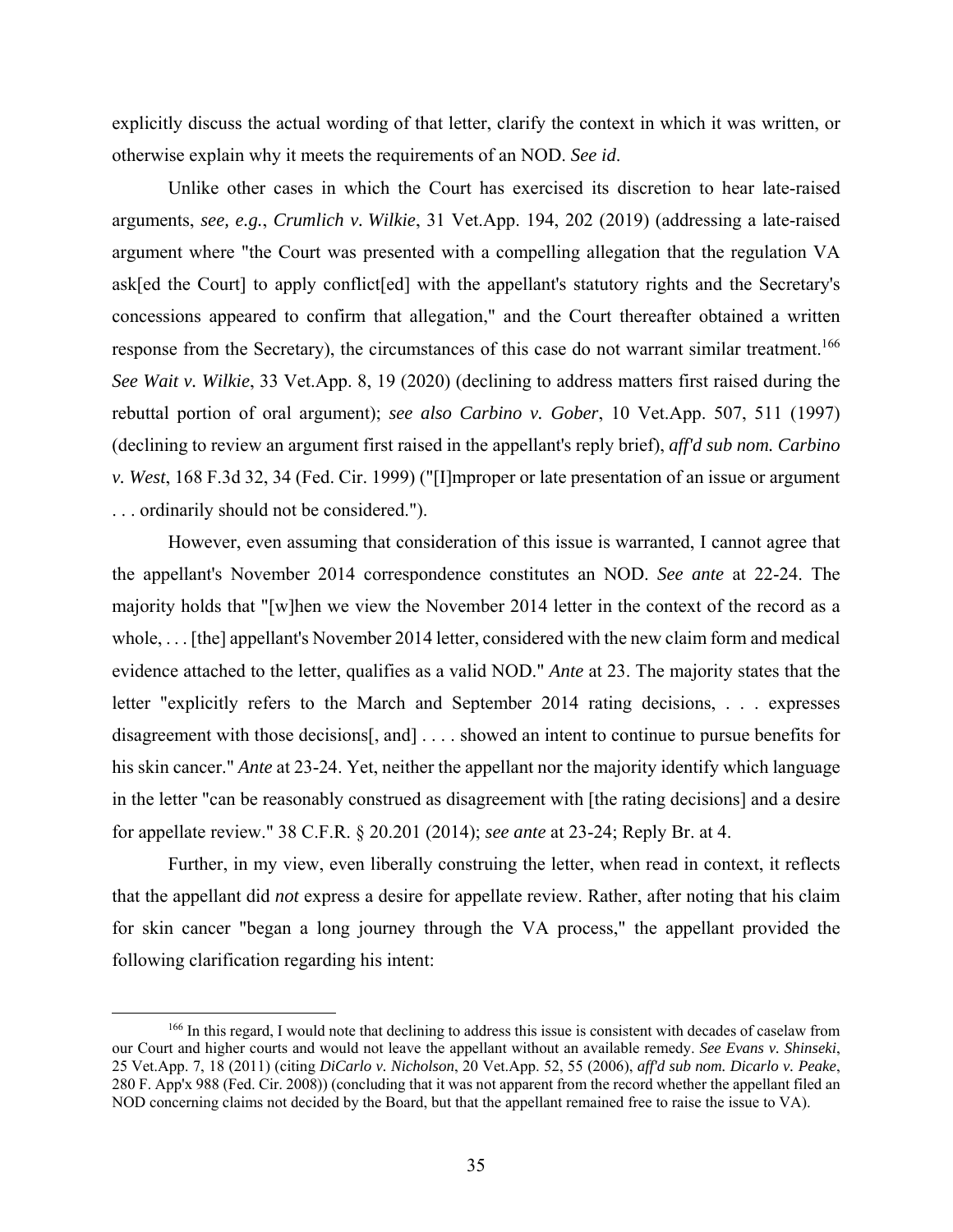explicitly discuss the actual wording of that letter, clarify the context in which it was written, or otherwise explain why it meets the requirements of an NOD. *See id*.

Unlike other cases in which the Court has exercised its discretion to hear late-raised arguments, *see, e.g.*, *Crumlich v. Wilkie*, 31 Vet.App. 194, 202 (2019) (addressing a late-raised argument where "the Court was presented with a compelling allegation that the regulation VA ask[ed the Court] to apply conflict[ed] with the appellant's statutory rights and the Secretary's concessions appeared to confirm that allegation," and the Court thereafter obtained a written response from the Secretary), the circumstances of this case do not warrant similar treatment.<sup>166</sup> *See Wait v. Wilkie*, 33 Vet.App. 8, 19 (2020) (declining to address matters first raised during the rebuttal portion of oral argument); *see also Carbino v. Gober*, 10 Vet.App. 507, 511 (1997) (declining to review an argument first raised in the appellant's reply brief), *aff'd sub nom. Carbino v. West*, 168 F.3d 32, 34 (Fed. Cir. 1999) ("[I]mproper or late presentation of an issue or argument . . . ordinarily should not be considered.").

However, even assuming that consideration of this issue is warranted, I cannot agree that the appellant's November 2014 correspondence constitutes an NOD. *See ante* at 22-24. The majority holds that "[w]hen we view the November 2014 letter in the context of the record as a whole, . . . [the] appellant's November 2014 letter, considered with the new claim form and medical evidence attached to the letter, qualifies as a valid NOD." *Ante* at 23. The majority states that the letter "explicitly refers to the March and September 2014 rating decisions, . . . expresses disagreement with those decisions[, and] . . . . showed an intent to continue to pursue benefits for his skin cancer." *Ante* at 23-24. Yet, neither the appellant nor the majority identify which language in the letter "can be reasonably construed as disagreement with [the rating decisions] and a desire for appellate review." 38 C.F.R. § 20.201 (2014); *see ante* at 23-24; Reply Br. at 4.

Further, in my view, even liberally construing the letter, when read in context, it reflects that the appellant did *not* express a desire for appellate review. Rather, after noting that his claim for skin cancer "began a long journey through the VA process," the appellant provided the following clarification regarding his intent:

<sup>&</sup>lt;sup>166</sup> In this regard, I would note that declining to address this issue is consistent with decades of caselaw from our Court and higher courts and would not leave the appellant without an available remedy. *See Evans v. Shinseki*, 25 Vet.App. 7, 18 (2011) (citing *DiCarlo v. Nicholson*, 20 Vet.App. 52, 55 (2006), *aff'd sub nom. Dicarlo v. Peake*, 280 F. App'x 988 (Fed. Cir. 2008)) (concluding that it was not apparent from the record whether the appellant filed an NOD concerning claims not decided by the Board, but that the appellant remained free to raise the issue to VA).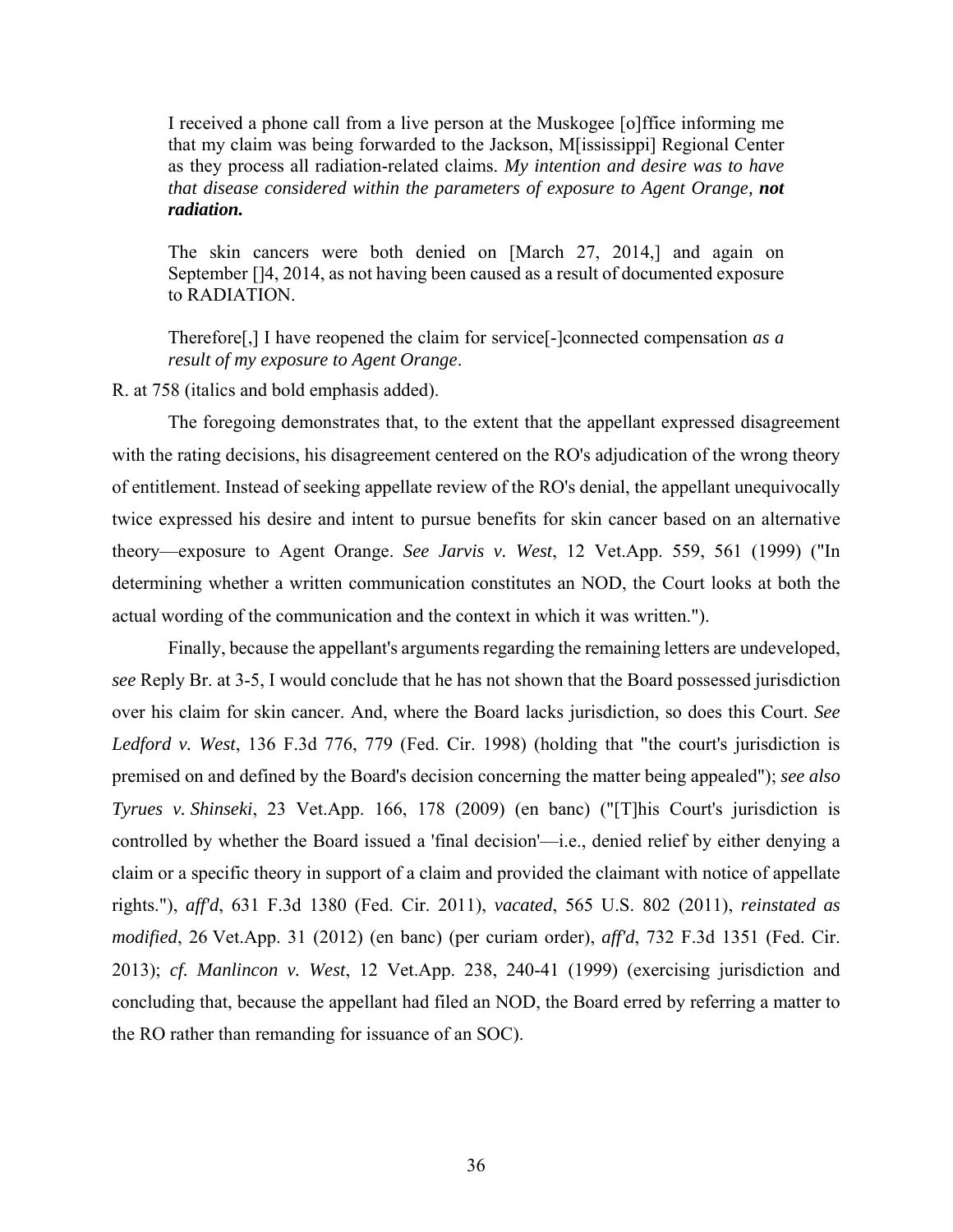I received a phone call from a live person at the Muskogee [o]ffice informing me that my claim was being forwarded to the Jackson, M[ississippi] Regional Center as they process all radiation-related claims. *My intention and desire was to have that disease considered within the parameters of exposure to Agent Orange, not radiation.*

The skin cancers were both denied on [March 27, 2014,] and again on September []4, 2014, as not having been caused as a result of documented exposure to RADIATION.

Therefore[,] I have reopened the claim for service[-]connected compensation *as a result of my exposure to Agent Orange*.

R. at 758 (italics and bold emphasis added).

The foregoing demonstrates that, to the extent that the appellant expressed disagreement with the rating decisions, his disagreement centered on the RO's adjudication of the wrong theory of entitlement. Instead of seeking appellate review of the RO's denial, the appellant unequivocally twice expressed his desire and intent to pursue benefits for skin cancer based on an alternative theory—exposure to Agent Orange. *See Jarvis v. West*, 12 Vet.App. 559, 561 (1999) ("In determining whether a written communication constitutes an NOD, the Court looks at both the actual wording of the communication and the context in which it was written.").

Finally, because the appellant's arguments regarding the remaining letters are undeveloped, *see* Reply Br. at 3-5, I would conclude that he has not shown that the Board possessed jurisdiction over his claim for skin cancer. And, where the Board lacks jurisdiction, so does this Court. *See Ledford v. West*, 136 F.3d 776, 779 (Fed. Cir. 1998) (holding that "the court's jurisdiction is premised on and defined by the Board's decision concerning the matter being appealed"); *see also Tyrues v. Shinseki*, 23 Vet.App. 166, 178 (2009) (en banc) ("[T]his Court's jurisdiction is controlled by whether the Board issued a 'final decision'—i.e., denied relief by either denying a claim or a specific theory in support of a claim and provided the claimant with notice of appellate rights."), *aff'd*, 631 F.3d 1380 (Fed. Cir. 2011), *vacated*, 565 U.S. 802 (2011), *reinstated as modified*, 26 Vet.App. 31 (2012) (en banc) (per curiam order), *aff'd*, 732 F.3d 1351 (Fed. Cir. 2013); *cf. Manlincon v. West*, 12 Vet.App. 238, 240-41 (1999) (exercising jurisdiction and concluding that, because the appellant had filed an NOD, the Board erred by referring a matter to the RO rather than remanding for issuance of an SOC).